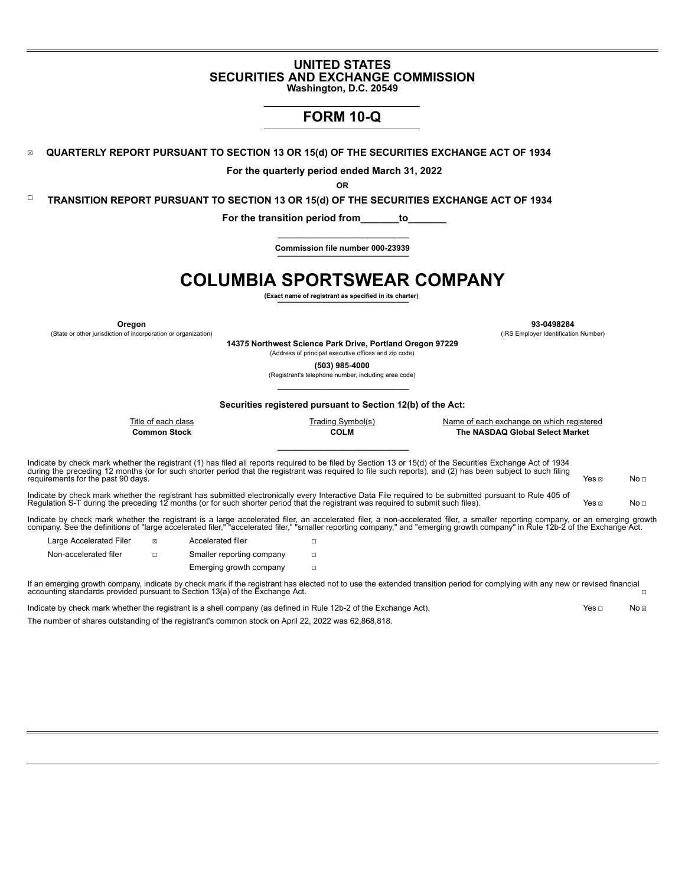## **UNITED STATES SECURITIES AND EXCHANGE COMMISSION**

**Washington, D.C. 20549**

## **FORM 10-Q**

☒ **QUARTERLY REPORT PURSUANT TO SECTION 13 OR 15(d) OF THE SECURITIES EXCHANGE ACT OF 1934**

**For the quarterly period ended March 31, 2022**

**OR**

☐ **TRANSITION REPORT PURSUANT TO SECTION 13 OR 15(d) OF THE SECURITIES EXCHANGE ACT OF 1934**

**For the transition period from\_\_\_\_\_\_\_to\_\_\_\_\_\_\_**

**————————————————————— Commission file number 000-23939 —————————————————————**

# **COLUMBIA SPORTSWEAR COMPANY**

**(Exact name of registrant as specified in its charter) —————————————————————**

(State or other jurisdiction of incorporation or organization) (IRS Employer Identification Number)

**Oregon 93-0498284**

**14375 Northwest Science Park Drive, Portland Oregon 97229**

(Address of principal executive offices and zip code) **(503) 985-4000**

(Registrant's telephone number, including area code)

**————————————————————— Securities registered pursuant to Section 12(b) of the Act:**

**—————————————————————**

| The NASDAQ Global Select Market |
|---------------------------------|
|                                 |

Indicate by check mark whether the registrant (1) has filed all reports required to be filed by Section 13 or 15(d) of the Securities Exchange Act of 1934 during the preceding 12 months (or for such shorter period that the registrant was required to file such reports), and (2) has been subject to such filing Yes ⊠ No □<br>requirements for the past 90 days. No □

Indicate by check mark whether the registrant has submitted electronically every Interactive Data File required to be submitted pursuant to Rule 405 of Regulation S-T during the preceding 12 months (or for such shorter period that the registrant was required to submit such files). Yes ⊠ Yes ⊠ No □

Indicate by check mark whether the registrant is a large accelerated filer, an accelerated filer, a non-accelerated filer, a smaller reporting company, or an emerging growth<br>company. See the definitions of "large accelerat

| Large Accelerated Filer | 冈 | Accelerated filer         |  |
|-------------------------|---|---------------------------|--|
| Non-accelerated filer   | п | Smaller reporting company |  |
|                         |   | Emerging growth company   |  |

If an emerging growth company, indicate by check mark if the registrant has elected not to use the extended transition period for complying with any new or revised financial accounting standards provided pursuant to Section 13(a) of the Exchange Act. ☐

Indicate by check mark whether the registrant is a shell company (as defined in Rule 12b-2 of the Exchange Act). Yes □ No ⊠

<span id="page-0-0"></span>The number of shares outstanding of the registrant's common stock on April 22, 2022 was 62,868,818.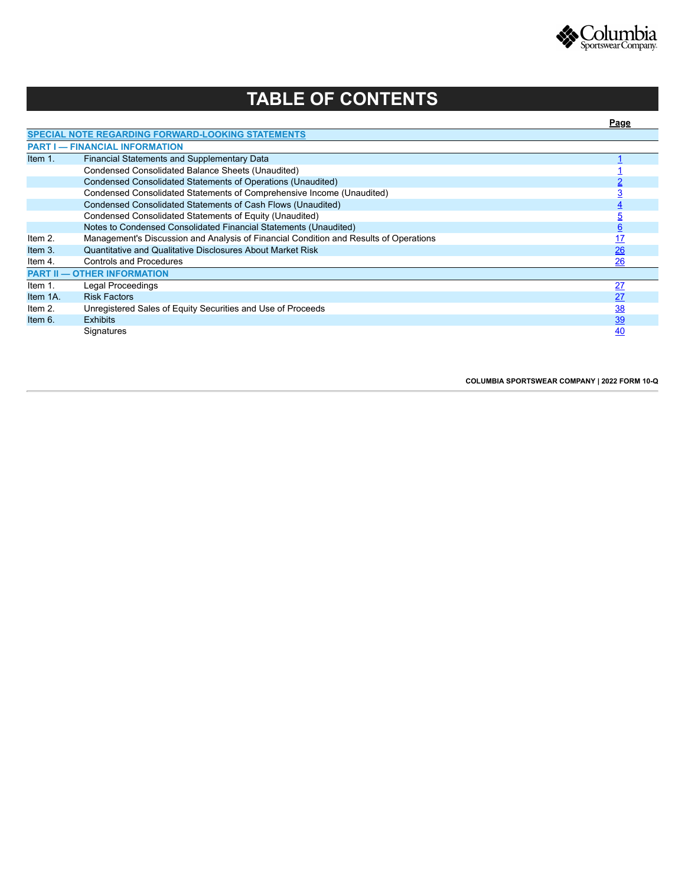

# **TABLE OF CONTENTS**

<span id="page-1-0"></span>

|                                                                                                                                                                                                                                                                                                                                                                                                                                                                                                                                                                                                                                                                                                                                                                                                                                                                                                          |            | Page            |
|----------------------------------------------------------------------------------------------------------------------------------------------------------------------------------------------------------------------------------------------------------------------------------------------------------------------------------------------------------------------------------------------------------------------------------------------------------------------------------------------------------------------------------------------------------------------------------------------------------------------------------------------------------------------------------------------------------------------------------------------------------------------------------------------------------------------------------------------------------------------------------------------------------|------------|-----------------|
|                                                                                                                                                                                                                                                                                                                                                                                                                                                                                                                                                                                                                                                                                                                                                                                                                                                                                                          |            |                 |
| <b>SPECIAL NOTE REGARDING FORWARD-LOOKING STATEMENTS</b><br><b>PART I — FINANCIAL INFORMATION</b><br>Financial Statements and Supplementary Data<br>Condensed Consolidated Balance Sheets (Unaudited)<br>Condensed Consolidated Statements of Operations (Unaudited)<br>Condensed Consolidated Statements of Comprehensive Income (Unaudited)<br>Condensed Consolidated Statements of Cash Flows (Unaudited)<br>Condensed Consolidated Statements of Equity (Unaudited)<br>Notes to Condensed Consolidated Financial Statements (Unaudited)<br>Management's Discussion and Analysis of Financial Condition and Results of Operations<br>Quantitative and Qualitative Disclosures About Market Risk<br><b>Controls and Procedures</b><br><b>PART II - OTHER INFORMATION</b><br>Legal Proceedings<br><b>Risk Factors</b><br>Unregistered Sales of Equity Securities and Use of Proceeds<br><b>Exhibits</b> |            |                 |
| Item $1$ .                                                                                                                                                                                                                                                                                                                                                                                                                                                                                                                                                                                                                                                                                                                                                                                                                                                                                               |            |                 |
|                                                                                                                                                                                                                                                                                                                                                                                                                                                                                                                                                                                                                                                                                                                                                                                                                                                                                                          |            |                 |
|                                                                                                                                                                                                                                                                                                                                                                                                                                                                                                                                                                                                                                                                                                                                                                                                                                                                                                          |            |                 |
|                                                                                                                                                                                                                                                                                                                                                                                                                                                                                                                                                                                                                                                                                                                                                                                                                                                                                                          |            |                 |
|                                                                                                                                                                                                                                                                                                                                                                                                                                                                                                                                                                                                                                                                                                                                                                                                                                                                                                          |            |                 |
|                                                                                                                                                                                                                                                                                                                                                                                                                                                                                                                                                                                                                                                                                                                                                                                                                                                                                                          |            |                 |
|                                                                                                                                                                                                                                                                                                                                                                                                                                                                                                                                                                                                                                                                                                                                                                                                                                                                                                          |            | <u>6</u>        |
| Item $2.$                                                                                                                                                                                                                                                                                                                                                                                                                                                                                                                                                                                                                                                                                                                                                                                                                                                                                                |            | <u>17</u>       |
| Item $3.$                                                                                                                                                                                                                                                                                                                                                                                                                                                                                                                                                                                                                                                                                                                                                                                                                                                                                                |            | 26              |
| Item 4.                                                                                                                                                                                                                                                                                                                                                                                                                                                                                                                                                                                                                                                                                                                                                                                                                                                                                                  |            | 26              |
|                                                                                                                                                                                                                                                                                                                                                                                                                                                                                                                                                                                                                                                                                                                                                                                                                                                                                                          |            |                 |
| Item $1$ .                                                                                                                                                                                                                                                                                                                                                                                                                                                                                                                                                                                                                                                                                                                                                                                                                                                                                               |            | $\overline{27}$ |
| Item 1A.                                                                                                                                                                                                                                                                                                                                                                                                                                                                                                                                                                                                                                                                                                                                                                                                                                                                                                 |            | 27              |
| Item $2.$                                                                                                                                                                                                                                                                                                                                                                                                                                                                                                                                                                                                                                                                                                                                                                                                                                                                                                |            | <u>38</u>       |
| Item $6.$                                                                                                                                                                                                                                                                                                                                                                                                                                                                                                                                                                                                                                                                                                                                                                                                                                                                                                |            | <u>39</u>       |
|                                                                                                                                                                                                                                                                                                                                                                                                                                                                                                                                                                                                                                                                                                                                                                                                                                                                                                          | Signatures | 40              |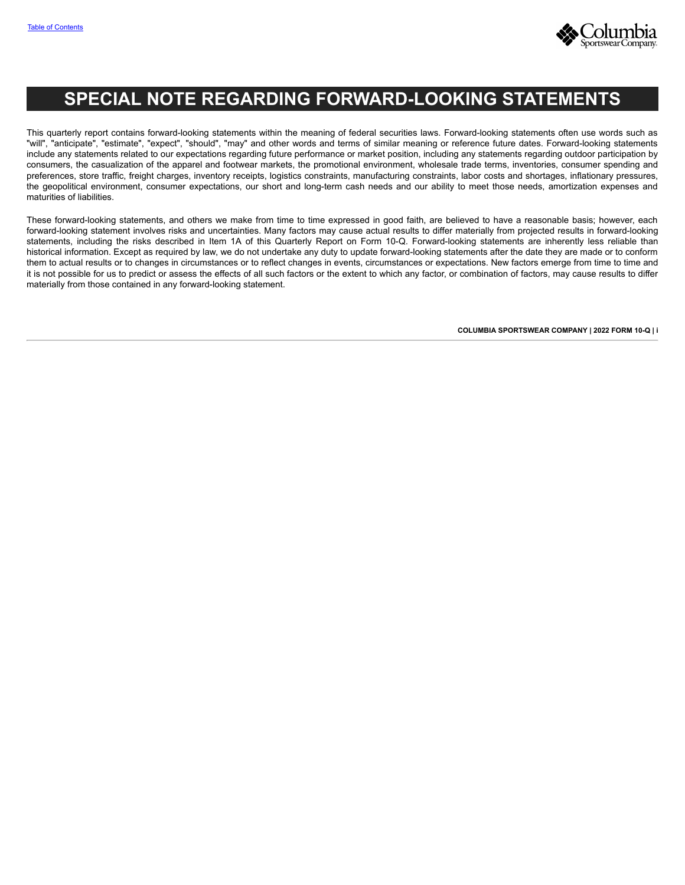

# **SPECIAL NOTE REGARDING FORWARD-LOOKING STATEMENTS**

This quarterly report contains forward-looking statements within the meaning of federal securities laws. Forward-looking statements often use words such as "will", "anticipate", "estimate", "expect", "should", "may" and other words and terms of similar meaning or reference future dates. Forward-looking statements include any statements related to our expectations regarding future performance or market position, including any statements regarding outdoor participation by consumers, the casualization of the apparel and footwear markets, the promotional environment, wholesale trade terms, inventories, consumer spending and preferences, store traffic, freight charges, inventory receipts, logistics constraints, manufacturing constraints, labor costs and shortages, inflationary pressures, the geopolitical environment, consumer expectations, our short and long-term cash needs and our ability to meet those needs, amortization expenses and maturities of liabilities.

<span id="page-2-0"></span>These forward-looking statements, and others we make from time to time expressed in good faith, are believed to have a reasonable basis; however, each forward-looking statement involves risks and uncertainties. Many factors may cause actual results to differ materially from projected results in forward-looking statements, including the risks described in Item 1A of this Quarterly Report on Form 10-Q. Forward-looking statements are inherently less reliable than historical information. Except as required by law, we do not undertake any duty to update forward-looking statements after the date they are made or to conform them to actual results or to changes in circumstances or to reflect changes in events, circumstances or expectations. New factors emerge from time to time and it is not possible for us to predict or assess the effects of all such factors or the extent to which any factor, or combination of factors, may cause results to differ materially from those contained in any forward-looking statement.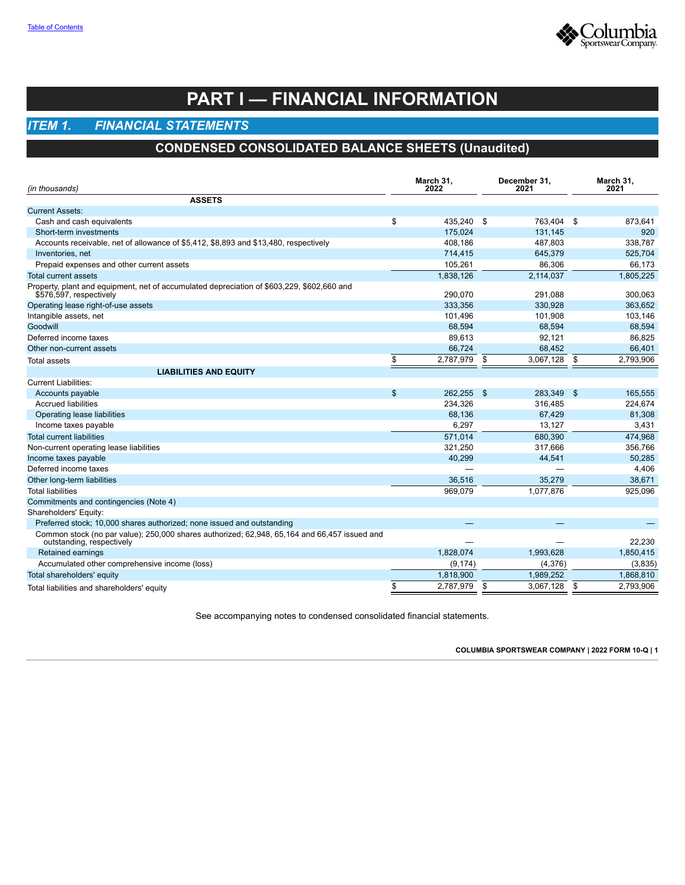

# **PART I — FINANCIAL INFORMATION**

## <span id="page-3-1"></span><span id="page-3-0"></span>*ITEM 1. FINANCIAL STATEMENTS*

## **CONDENSED CONSOLIDATED BALANCE SHEETS (Unaudited)**

| (in thousands)                                                                                                            |    | March 31,<br>2022 | December 31,<br>2021 | March 31,<br>2021 |
|---------------------------------------------------------------------------------------------------------------------------|----|-------------------|----------------------|-------------------|
| <b>ASSETS</b>                                                                                                             |    |                   |                      |                   |
| <b>Current Assets:</b>                                                                                                    |    |                   |                      |                   |
| Cash and cash equivalents                                                                                                 | \$ | 435,240 \$        | 763,404 \$           | 873,641           |
| Short-term investments                                                                                                    |    | 175,024           | 131,145              | 920               |
| Accounts receivable, net of allowance of \$5,412, \$8,893 and \$13,480, respectively                                      |    | 408,186           | 487,803              | 338,787           |
| Inventories, net                                                                                                          |    | 714,415           | 645,379              | 525,704           |
| Prepaid expenses and other current assets                                                                                 |    | 105.261           | 86,306               | 66.173            |
| <b>Total current assets</b>                                                                                               |    | 1,838,126         | 2,114,037            | 1,805,225         |
| Property, plant and equipment, net of accumulated depreciation of \$603,229, \$602,660 and<br>\$576,597, respectively     |    | 290,070           | 291,088              | 300,063           |
| Operating lease right-of-use assets                                                                                       |    | 333,356           | 330,928              | 363,652           |
| Intangible assets, net                                                                                                    |    | 101,496           | 101,908              | 103,146           |
| Goodwill                                                                                                                  |    | 68.594            | 68,594               | 68,594            |
| Deferred income taxes                                                                                                     |    | 89,613            | 92,121               | 86,825            |
| Other non-current assets                                                                                                  |    | 66,724            | 68,452               | 66,401            |
| Total assets                                                                                                              | \$ | 2,787,979 \$      | 3,067,128            | \$<br>2,793,906   |
| <b>LIABILITIES AND EQUITY</b>                                                                                             |    |                   |                      |                   |
| <b>Current Liabilities:</b>                                                                                               |    |                   |                      |                   |
| Accounts payable                                                                                                          | \$ | 262,255 \$        | 283,349 \$           | 165,555           |
| <b>Accrued liabilities</b>                                                                                                |    | 234,326           | 316,485              | 224,674           |
| Operating lease liabilities                                                                                               |    | 68,136            | 67,429               | 81,308            |
| Income taxes payable                                                                                                      |    | 6,297             | 13,127               | 3,431             |
| <b>Total current liabilities</b>                                                                                          |    | 571,014           | 680,390              | 474,968           |
| Non-current operating lease liabilities                                                                                   |    | 321,250           | 317,666              | 356,766           |
| Income taxes payable                                                                                                      |    | 40,299            | 44,541               | 50,285            |
| Deferred income taxes                                                                                                     |    |                   |                      | 4,406             |
| Other long-term liabilities                                                                                               |    | 36,516            | 35,279               | 38,671            |
| <b>Total liabilities</b>                                                                                                  |    | 969,079           | 1,077,876            | 925,096           |
| Commitments and contingencies (Note 4)                                                                                    |    |                   |                      |                   |
| Shareholders' Equity:                                                                                                     |    |                   |                      |                   |
| Preferred stock; 10,000 shares authorized; none issued and outstanding                                                    |    | —                 |                      |                   |
| Common stock (no par value); 250,000 shares authorized; 62,948, 65,164 and 66,457 issued and<br>outstanding, respectively |    |                   |                      | 22.230            |
| Retained earnings                                                                                                         |    | 1,828,074         | 1,993,628            | 1,850,415         |
| Accumulated other comprehensive income (loss)                                                                             |    | (9, 174)          | (4,376)              | (3,835)           |
| Total shareholders' equity                                                                                                |    | 1,818,900         | 1,989,252            | 1,868,810         |
| Total liabilities and shareholders' equity                                                                                | \$ | 2,787,979 \$      | 3,067,128            | \$<br>2,793,906   |

<span id="page-3-2"></span>See accompanying notes to condensed consolidated financial statements.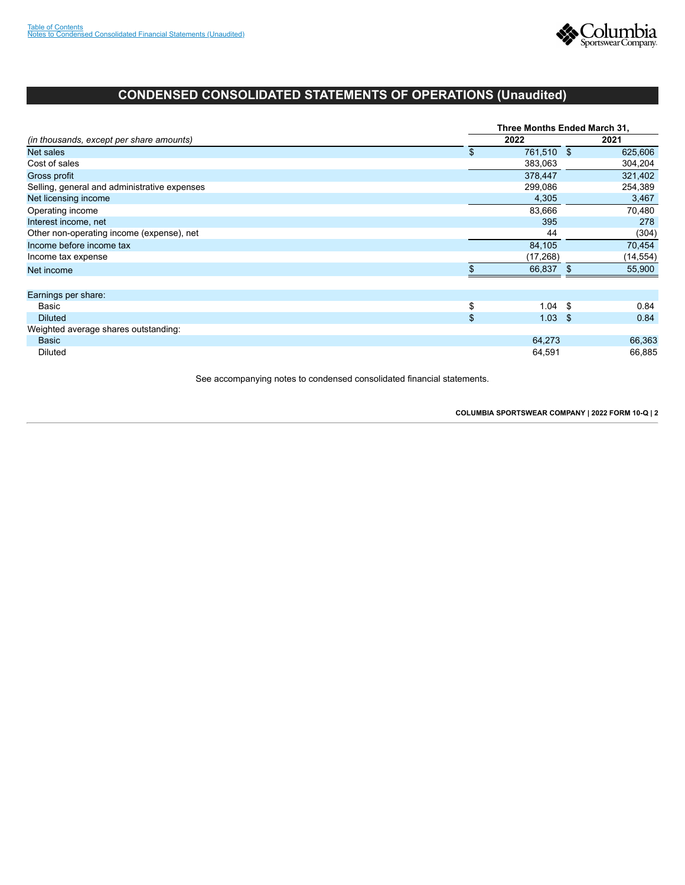

## **CONDENSED CONSOLIDATED STATEMENTS OF OPERATIONS (Unaudited)**

|                                              | Three Months Ended March 31, |            |     |           |  |  |  |  |  |  |
|----------------------------------------------|------------------------------|------------|-----|-----------|--|--|--|--|--|--|
| (in thousands, except per share amounts)     |                              | 2022       |     | 2021      |  |  |  |  |  |  |
| Net sales                                    | \$                           | 761,510 \$ |     | 625,606   |  |  |  |  |  |  |
| Cost of sales                                |                              | 383,063    |     | 304,204   |  |  |  |  |  |  |
| Gross profit                                 |                              | 378,447    |     | 321,402   |  |  |  |  |  |  |
| Selling, general and administrative expenses |                              | 299,086    |     | 254,389   |  |  |  |  |  |  |
| Net licensing income                         |                              | 4,305      |     | 3,467     |  |  |  |  |  |  |
| Operating income                             |                              | 83,666     |     | 70,480    |  |  |  |  |  |  |
| Interest income, net                         |                              | 395        |     | 278       |  |  |  |  |  |  |
| Other non-operating income (expense), net    |                              | 44         |     | (304)     |  |  |  |  |  |  |
| Income before income tax                     |                              | 84,105     |     | 70,454    |  |  |  |  |  |  |
| Income tax expense                           |                              | (17, 268)  |     | (14, 554) |  |  |  |  |  |  |
| Net income                                   |                              | 66,837     | \$. | 55,900    |  |  |  |  |  |  |
| Earnings per share:                          |                              |            |     |           |  |  |  |  |  |  |
| Basic                                        | \$                           | $1.04$ \$  |     | 0.84      |  |  |  |  |  |  |
| <b>Diluted</b>                               | \$                           | $1.03$ \$  |     | 0.84      |  |  |  |  |  |  |
| Weighted average shares outstanding:         |                              |            |     |           |  |  |  |  |  |  |
| <b>Basic</b>                                 |                              | 64,273     |     | 66,363    |  |  |  |  |  |  |
| <b>Diluted</b>                               |                              | 64,591     |     | 66,885    |  |  |  |  |  |  |

<span id="page-4-0"></span>See accompanying notes to condensed consolidated financial statements.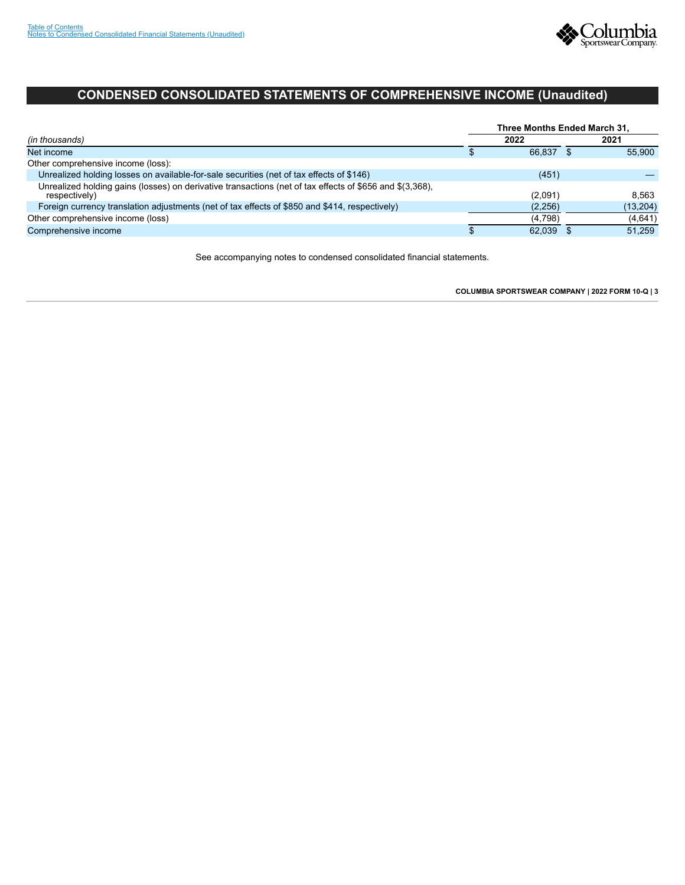

## **CONDENSED CONSOLIDATED STATEMENTS OF COMPREHENSIVE INCOME (Unaudited)**

|                                                                                                                           | Three Months Ended March 31. |         |  |           |  |  |  |  |  |
|---------------------------------------------------------------------------------------------------------------------------|------------------------------|---------|--|-----------|--|--|--|--|--|
| (in thousands)                                                                                                            |                              | 2022    |  | 2021      |  |  |  |  |  |
| Net income                                                                                                                |                              | 66.837  |  | 55.900    |  |  |  |  |  |
| Other comprehensive income (loss):                                                                                        |                              |         |  |           |  |  |  |  |  |
| Unrealized holding losses on available-for-sale securities (net of tax effects of \$146)                                  |                              | (451)   |  |           |  |  |  |  |  |
| Unrealized holding gains (losses) on derivative transactions (net of tax effects of \$656 and \$(3,368).<br>respectively) |                              | (2,091) |  | 8.563     |  |  |  |  |  |
| Foreign currency translation adjustments (net of tax effects of \$850 and \$414, respectively)                            |                              | (2,256) |  | (13, 204) |  |  |  |  |  |
| Other comprehensive income (loss)                                                                                         |                              | (4.798) |  | (4,641)   |  |  |  |  |  |
| Comprehensive income                                                                                                      |                              | 62.039  |  | 51.259    |  |  |  |  |  |

<span id="page-5-0"></span>See accompanying notes to condensed consolidated financial statements.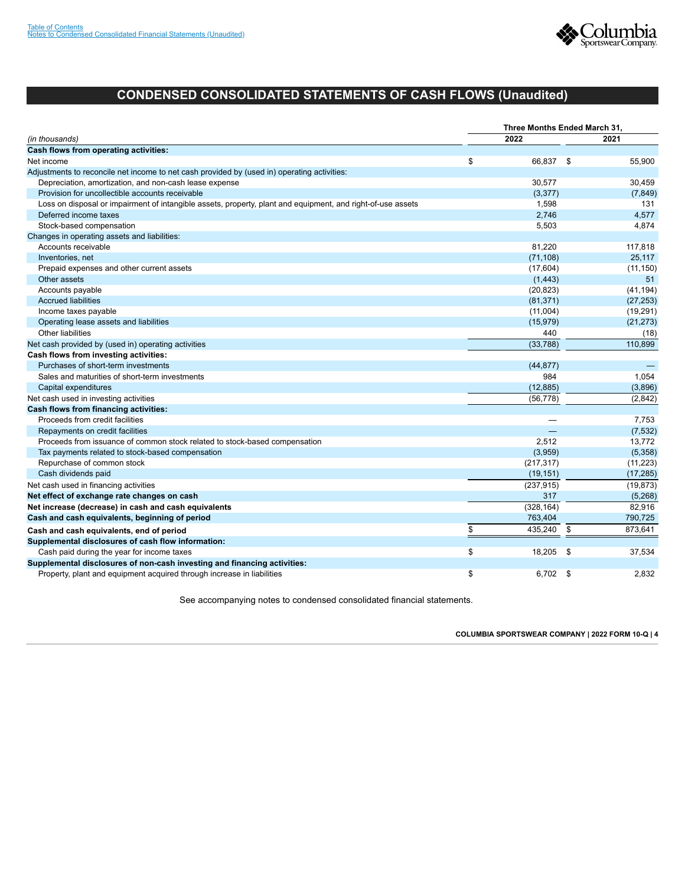

## **CONDENSED CONSOLIDATED STATEMENTS OF CASH FLOWS (Unaudited)**

|                                                                                                             | Three Months Ended March 31, |            |      |           |  |  |  |  |  |
|-------------------------------------------------------------------------------------------------------------|------------------------------|------------|------|-----------|--|--|--|--|--|
| (in thousands)                                                                                              |                              | 2022       |      | 2021      |  |  |  |  |  |
| Cash flows from operating activities:                                                                       |                              |            |      |           |  |  |  |  |  |
| Net income                                                                                                  | \$                           | 66,837 \$  |      | 55,900    |  |  |  |  |  |
| Adjustments to reconcile net income to net cash provided by (used in) operating activities:                 |                              |            |      |           |  |  |  |  |  |
| Depreciation, amortization, and non-cash lease expense                                                      |                              | 30,577     |      | 30,459    |  |  |  |  |  |
| Provision for uncollectible accounts receivable                                                             |                              | (3, 377)   |      | (7, 849)  |  |  |  |  |  |
| Loss on disposal or impairment of intangible assets, property, plant and equipment, and right-of-use assets |                              | 1,598      |      | 131       |  |  |  |  |  |
| Deferred income taxes                                                                                       |                              | 2,746      |      | 4,577     |  |  |  |  |  |
| Stock-based compensation                                                                                    |                              | 5,503      |      | 4,874     |  |  |  |  |  |
| Changes in operating assets and liabilities:                                                                |                              |            |      |           |  |  |  |  |  |
| Accounts receivable                                                                                         |                              | 81,220     |      | 117,818   |  |  |  |  |  |
| Inventories, net                                                                                            |                              | (71, 108)  |      | 25,117    |  |  |  |  |  |
| Prepaid expenses and other current assets                                                                   |                              | (17,604)   |      | (11, 150) |  |  |  |  |  |
| Other assets                                                                                                |                              | (1, 443)   |      | 51        |  |  |  |  |  |
| Accounts payable                                                                                            |                              | (20, 823)  |      | (41, 194) |  |  |  |  |  |
| <b>Accrued liabilities</b>                                                                                  |                              | (81, 371)  |      | (27, 253) |  |  |  |  |  |
| Income taxes payable                                                                                        |                              | (11,004)   |      | (19, 291) |  |  |  |  |  |
| Operating lease assets and liabilities                                                                      |                              | (15, 979)  |      | (21, 273) |  |  |  |  |  |
| Other liabilities                                                                                           |                              | 440        |      | (18)      |  |  |  |  |  |
| Net cash provided by (used in) operating activities                                                         |                              | (33, 788)  |      | 110,899   |  |  |  |  |  |
| Cash flows from investing activities:                                                                       |                              |            |      |           |  |  |  |  |  |
| Purchases of short-term investments                                                                         |                              | (44, 877)  |      |           |  |  |  |  |  |
| Sales and maturities of short-term investments                                                              |                              | 984        |      | 1,054     |  |  |  |  |  |
| Capital expenditures                                                                                        |                              | (12, 885)  |      | (3,896)   |  |  |  |  |  |
| Net cash used in investing activities                                                                       |                              | (56, 778)  |      | (2,842)   |  |  |  |  |  |
| Cash flows from financing activities:                                                                       |                              |            |      |           |  |  |  |  |  |
| Proceeds from credit facilities                                                                             |                              |            |      | 7.753     |  |  |  |  |  |
| Repayments on credit facilities                                                                             |                              |            |      | (7, 532)  |  |  |  |  |  |
| Proceeds from issuance of common stock related to stock-based compensation                                  |                              | 2.512      |      | 13,772    |  |  |  |  |  |
| Tax payments related to stock-based compensation                                                            |                              | (3,959)    |      | (5,358)   |  |  |  |  |  |
| Repurchase of common stock                                                                                  |                              | (217, 317) |      | (11, 223) |  |  |  |  |  |
| Cash dividends paid                                                                                         |                              | (19, 151)  |      | (17, 285) |  |  |  |  |  |
| Net cash used in financing activities                                                                       |                              | (237, 915) |      | (19, 873) |  |  |  |  |  |
| Net effect of exchange rate changes on cash                                                                 |                              | 317        |      | (5,268)   |  |  |  |  |  |
| Net increase (decrease) in cash and cash equivalents                                                        |                              | (328, 164) |      | 82,916    |  |  |  |  |  |
| Cash and cash equivalents, beginning of period                                                              |                              | 763,404    |      | 790,725   |  |  |  |  |  |
| Cash and cash equivalents, end of period                                                                    | \$                           | 435,240    | \$   | 873,641   |  |  |  |  |  |
| Supplemental disclosures of cash flow information:                                                          |                              |            |      |           |  |  |  |  |  |
| Cash paid during the year for income taxes                                                                  | \$                           | 18,205     | - \$ | 37,534    |  |  |  |  |  |
| Supplemental disclosures of non-cash investing and financing activities:                                    |                              |            |      |           |  |  |  |  |  |
| Property, plant and equipment acquired through increase in liabilities                                      | \$                           | 6.702      | \$   | 2,832     |  |  |  |  |  |

<span id="page-6-0"></span>See accompanying notes to condensed consolidated financial statements.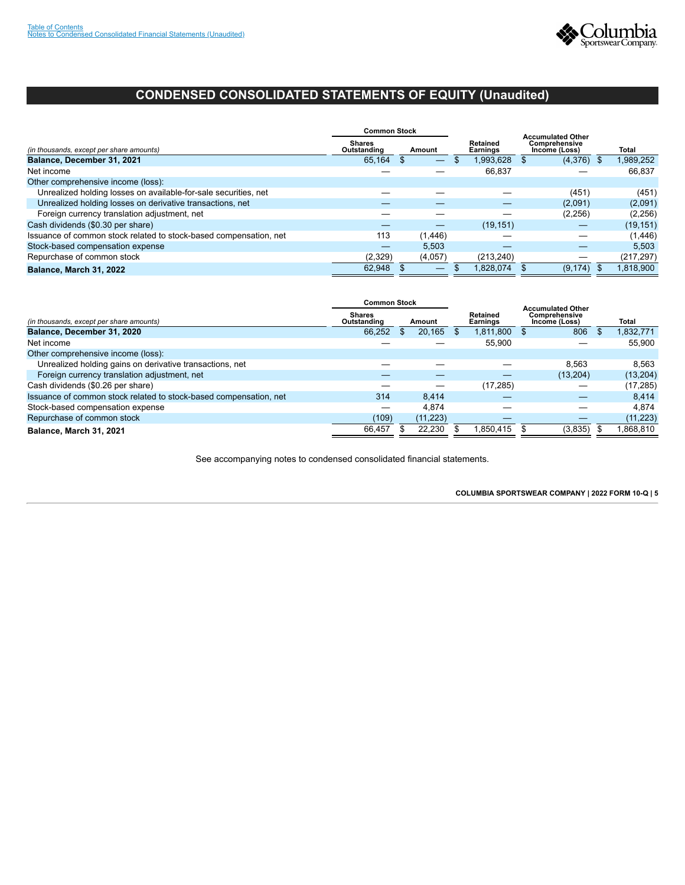

## **CONDENSED CONSOLIDATED STATEMENTS OF EQUITY (Unaudited)**

|                                                                   | <b>Common Stock</b>             |  |                          |                                |  | <b>Accumulated Other</b> |            |
|-------------------------------------------------------------------|---------------------------------|--|--------------------------|--------------------------------|--|--------------------------|------------|
| (in thousands, except per share amounts)                          | Shares<br>Outstanding<br>Amount |  | Retained<br>Earnings     | Comprehensive<br>Income (Loss) |  | <b>Total</b>             |            |
| Balance, December 31, 2021                                        | 65,164                          |  | $\overline{\phantom{0}}$ | 1,993,628 \$                   |  | $(4,376)$ \$             | 1,989,252  |
| Net income                                                        |                                 |  |                          | 66,837                         |  |                          | 66,837     |
| Other comprehensive income (loss):                                |                                 |  |                          |                                |  |                          |            |
| Unrealized holding losses on available-for-sale securities, net   |                                 |  |                          |                                |  | (451)                    | (451)      |
| Unrealized holding losses on derivative transactions, net         |                                 |  |                          |                                |  | (2,091)                  | (2,091)    |
| Foreign currency translation adjustment, net                      |                                 |  |                          |                                |  | (2,256)                  | (2,256)    |
| Cash dividends (\$0.30 per share)                                 |                                 |  |                          | (19, 151)                      |  |                          | (19, 151)  |
| Issuance of common stock related to stock-based compensation, net | 113                             |  | (1, 446)                 |                                |  |                          | (1, 446)   |
| Stock-based compensation expense                                  | –                               |  | 5,503                    |                                |  |                          | 5,503      |
| Repurchase of common stock                                        | (2,329)                         |  | (4,057)                  | (213.240)                      |  |                          | (217, 297) |
| Balance, March 31, 2022                                           | 62.948                          |  |                          | 1.828.074                      |  | (9, 174)                 | 1.818.900  |

|                                                                   | <b>Common Stock</b>          |        |           |                      |                                | <b>Accumulated Other</b> |           |
|-------------------------------------------------------------------|------------------------------|--------|-----------|----------------------|--------------------------------|--------------------------|-----------|
| (in thousands, except per share amounts)                          | <b>Shares</b><br>Outstanding | Amount |           | Retained<br>Earnings | Comprehensive<br>Income (Loss) | Total                    |           |
| Balance, December 31, 2020                                        | 66,252                       | \$.    | 20,165    |                      | 1,811,800 \$                   | 806                      | 1,832,771 |
| Net income                                                        |                              |        |           |                      | 55,900                         |                          | 55.900    |
| Other comprehensive income (loss):                                |                              |        |           |                      |                                |                          |           |
| Unrealized holding gains on derivative transactions, net          |                              |        |           |                      |                                | 8.563                    | 8.563     |
| Foreign currency translation adjustment, net                      |                              |        |           |                      |                                | (13,204)                 | (13,204)  |
| Cash dividends (\$0.26 per share)                                 |                              |        |           |                      | (17, 285)                      |                          | (17, 285) |
| Issuance of common stock related to stock-based compensation, net | 314                          |        | 8.414     |                      |                                |                          | 8,414     |
| Stock-based compensation expense                                  |                              |        | 4.874     |                      |                                |                          | 4.874     |
| Repurchase of common stock                                        | (109)                        |        | (11, 223) |                      |                                |                          | (11, 223) |
| Balance, March 31, 2021                                           | 66.457                       |        | 22,230    |                      | .850,415                       | (3,835)                  | ,868,810  |

<span id="page-7-0"></span>See accompanying notes to condensed consolidated financial statements.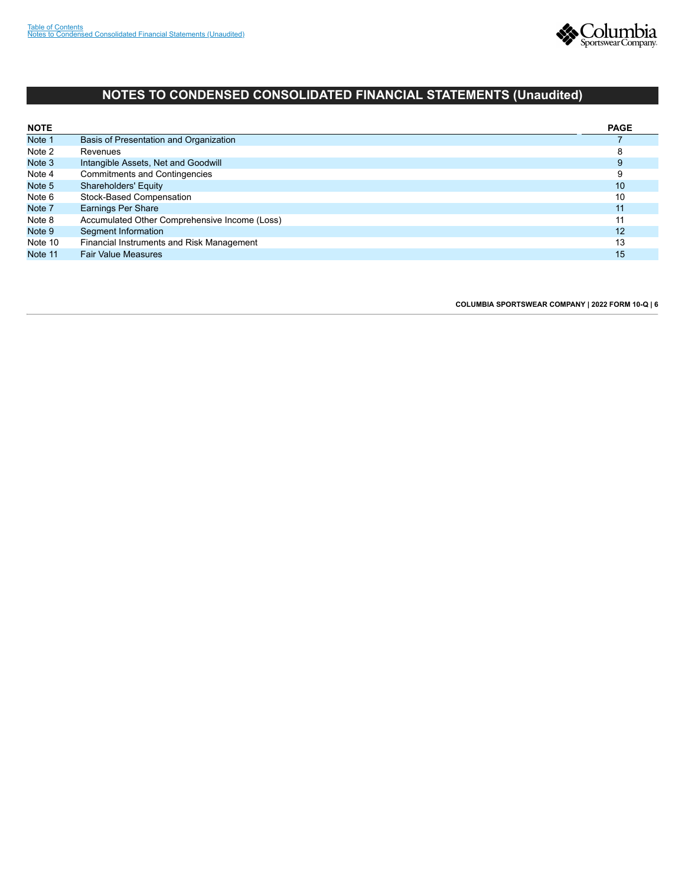

## **NOTES TO CONDENSED CONSOLIDATED FINANCIAL STATEMENTS (Unaudited)**

<span id="page-8-0"></span>

| <b>NOTE</b> |                                               | <b>PAGE</b> |
|-------------|-----------------------------------------------|-------------|
| Note 1      | Basis of Presentation and Organization        |             |
| Note 2      | Revenues                                      | 8           |
| Note 3      | Intangible Assets, Net and Goodwill           | 9           |
| Note 4      | <b>Commitments and Contingencies</b>          | 9           |
| Note 5      | <b>Shareholders' Equity</b>                   | 10          |
| Note 6      | Stock-Based Compensation                      | 10          |
| Note 7      | Earnings Per Share                            | 11          |
| Note 8      | Accumulated Other Comprehensive Income (Loss) | 11          |
| Note 9      | Segment Information                           | 12          |
| Note 10     | Financial Instruments and Risk Management     | 13          |
| Note 11     | <b>Fair Value Measures</b>                    | 15          |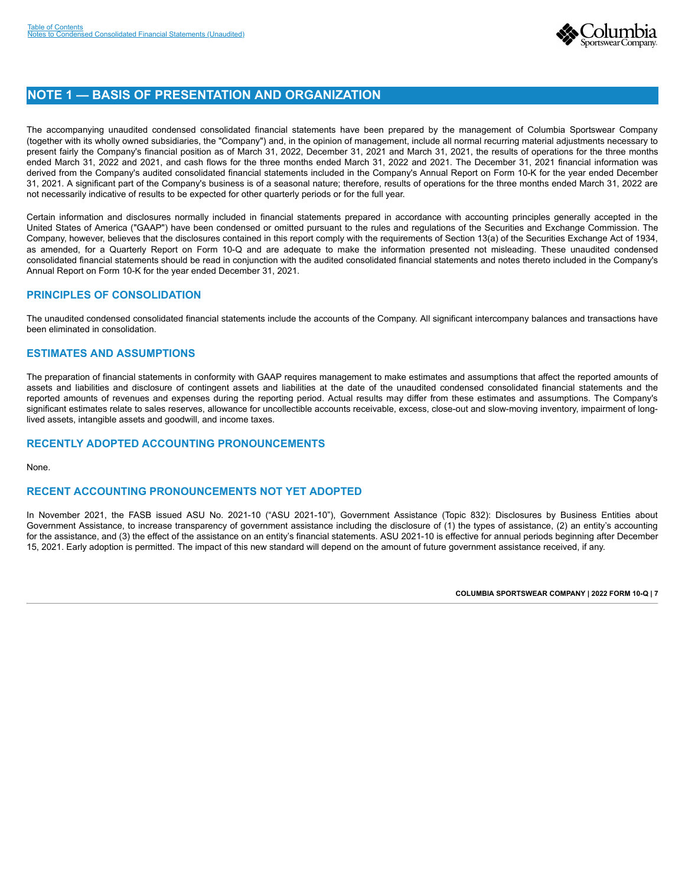

## **NOTE 1 — BASIS OF PRESENTATION AND ORGANIZATION**

The accompanying unaudited condensed consolidated financial statements have been prepared by the management of Columbia Sportswear Company (together with its wholly owned subsidiaries, the "Company") and, in the opinion of management, include all normal recurring material adjustments necessary to present fairly the Company's financial position as of March 31, 2022, December 31, 2021 and March 31, 2021, the results of operations for the three months ended March 31, 2022 and 2021, and cash flows for the three months ended March 31, 2022 and 2021. The December 31, 2021 financial information was derived from the Company's audited consolidated financial statements included in the Company's Annual Report on Form 10-K for the year ended December 31, 2021. A significant part of the Company's business is of a seasonal nature; therefore, results of operations for the three months ended March 31, 2022 are not necessarily indicative of results to be expected for other quarterly periods or for the full year.

Certain information and disclosures normally included in financial statements prepared in accordance with accounting principles generally accepted in the United States of America ("GAAP") have been condensed or omitted pursuant to the rules and regulations of the Securities and Exchange Commission. The Company, however, believes that the disclosures contained in this report comply with the requirements of Section 13(a) of the Securities Exchange Act of 1934, as amended, for a Quarterly Report on Form 10-Q and are adequate to make the information presented not misleading. These unaudited condensed consolidated financial statements should be read in conjunction with the audited consolidated financial statements and notes thereto included in the Company's Annual Report on Form 10-K for the year ended December 31, 2021.

## **PRINCIPLES OF CONSOLIDATION**

The unaudited condensed consolidated financial statements include the accounts of the Company. All significant intercompany balances and transactions have been eliminated in consolidation.

### **ESTIMATES AND ASSUMPTIONS**

The preparation of financial statements in conformity with GAAP requires management to make estimates and assumptions that affect the reported amounts of assets and liabilities and disclosure of contingent assets and liabilities at the date of the unaudited condensed consolidated financial statements and the reported amounts of revenues and expenses during the reporting period. Actual results may differ from these estimates and assumptions. The Company's significant estimates relate to sales reserves, allowance for uncollectible accounts receivable, excess, close-out and slow-moving inventory, impairment of longlived assets, intangible assets and goodwill, and income taxes.

## **RECENTLY ADOPTED ACCOUNTING PRONOUNCEMENTS**

None.

### **RECENT ACCOUNTING PRONOUNCEMENTS NOT YET ADOPTED**

<span id="page-9-0"></span>In November 2021, the FASB issued ASU No. 2021-10 ("ASU 2021-10"), Government Assistance (Topic 832): Disclosures by Business Entities about Government Assistance, to increase transparency of government assistance including the disclosure of (1) the types of assistance, (2) an entity's accounting for the assistance, and (3) the effect of the assistance on an entity's financial statements. ASU 2021-10 is effective for annual periods beginning after December 15, 2021. Early adoption is permitted. The impact of this new standard will depend on the amount of future government assistance received, if any.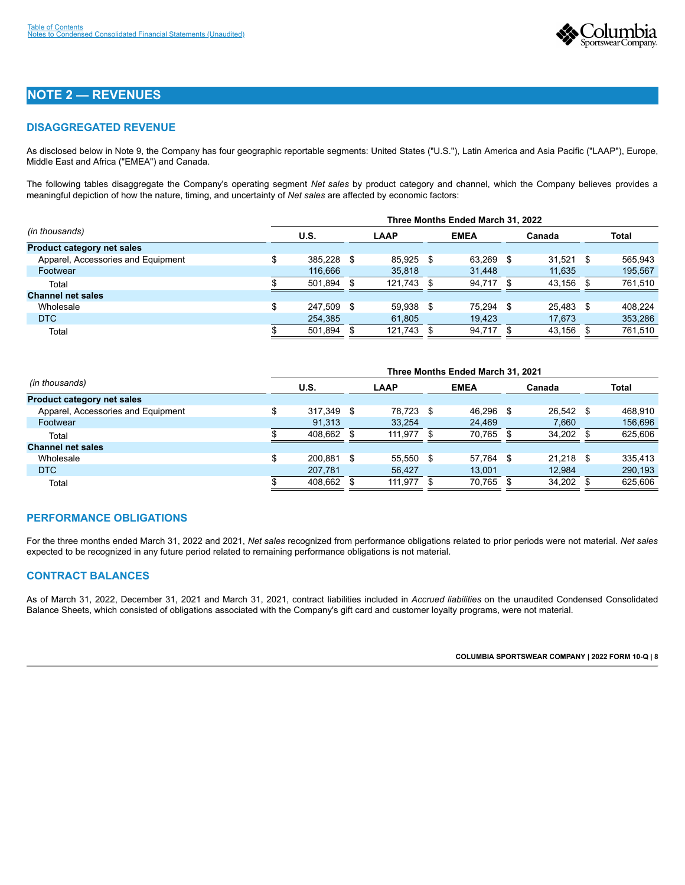

## **NOTE 2 — REVENUES**

## **DISAGGREGATED REVENUE**

As disclosed below in Note 9, the Company has four geographic reportable segments: United States ("U.S."), Latin America and Asia Pacific ("LAAP"), Europe, Middle East and Africa ("EMEA") and Canada.

The following tables disaggregate the Company's operating segment *Net sales* by product category and channel, which the Company believes provides a meaningful depiction of how the nature, timing, and uncertainty of *Net sales* are affected by economic factors:

|                                    | Three Months Ended March 31, 2022 |            |      |             |  |             |      |        |      |              |  |  |
|------------------------------------|-----------------------------------|------------|------|-------------|--|-------------|------|--------|------|--------------|--|--|
| (in thousands)                     |                                   | U.S.       |      | <b>LAAP</b> |  | <b>EMEA</b> |      | Canada |      | <b>Total</b> |  |  |
| Product category net sales         |                                   |            |      |             |  |             |      |        |      |              |  |  |
| Apparel, Accessories and Equipment |                                   | 385.228 \$ |      | 85.925 \$   |  | 63.269      | - \$ | 31.521 | - \$ | 565.943      |  |  |
| Footwear                           |                                   | 116.666    |      | 35,818      |  | 31,448      |      | 11,635 |      | 195,567      |  |  |
| Total                              |                                   | 501,894    | £.   | 121.743     |  | 94.717      |      | 43,156 |      | 761,510      |  |  |
| <b>Channel net sales</b>           |                                   |            |      |             |  |             |      |        |      |              |  |  |
| Wholesale                          | \$                                | 247,509    | - \$ | 59.938 \$   |  | 75.294      | - \$ | 25,483 | - \$ | 408.224      |  |  |
| <b>DTC</b>                         |                                   | 254,385    |      | 61,805      |  | 19,423      |      | 17,673 |      | 353,286      |  |  |
| Total                              |                                   | 501,894    |      | 121,743 \$  |  | 94,717      |      | 43,156 |      | 761,510      |  |  |

|                                    | Three Months Ended March 31, 2021 |            |      |             |  |             |    |           |      |              |  |  |  |
|------------------------------------|-----------------------------------|------------|------|-------------|--|-------------|----|-----------|------|--------------|--|--|--|
| (in thousands)                     |                                   | U.S.       |      | <b>LAAP</b> |  | <b>EMEA</b> |    | Canada    |      | <b>Total</b> |  |  |  |
| <b>Product category net sales</b>  |                                   |            |      |             |  |             |    |           |      |              |  |  |  |
| Apparel, Accessories and Equipment |                                   | 317.349 \$ |      | 78.723 \$   |  | 46.296      | -S | 26.542 \$ |      | 468.910      |  |  |  |
| Footwear                           |                                   | 91,313     |      | 33,254      |  | 24,469      |    | 7,660     |      | 156,696      |  |  |  |
| Total                              |                                   | 408.662    |      | 111.977     |  | 70.765      |    | 34,202    |      | 625,606      |  |  |  |
| <b>Channel net sales</b>           |                                   |            |      |             |  |             |    |           |      |              |  |  |  |
| Wholesale                          | \$                                | 200.881    | - \$ | 55.550 \$   |  | 57.764 \$   |    | 21.218    | - \$ | 335.413      |  |  |  |
| D <sub>TC</sub>                    |                                   | 207.781    |      | 56,427      |  | 13.001      |    | 12,984    |      | 290,193      |  |  |  |
| Total                              |                                   | 408,662    |      | 111,977     |  | 70,765      |    | 34,202    |      | 625,606      |  |  |  |

### **PERFORMANCE OBLIGATIONS**

For the three months ended March 31, 2022 and 2021, *Net sales* recognized from performance obligations related to prior periods were not material. *Net sales* expected to be recognized in any future period related to remaining performance obligations is not material.

### **CONTRACT BALANCES**

<span id="page-10-0"></span>As of March 31, 2022, December 31, 2021 and March 31, 2021, contract liabilities included in *Accrued liabilities* on the unaudited Condensed Consolidated Balance Sheets, which consisted of obligations associated with the Company's gift card and customer loyalty programs, were not material.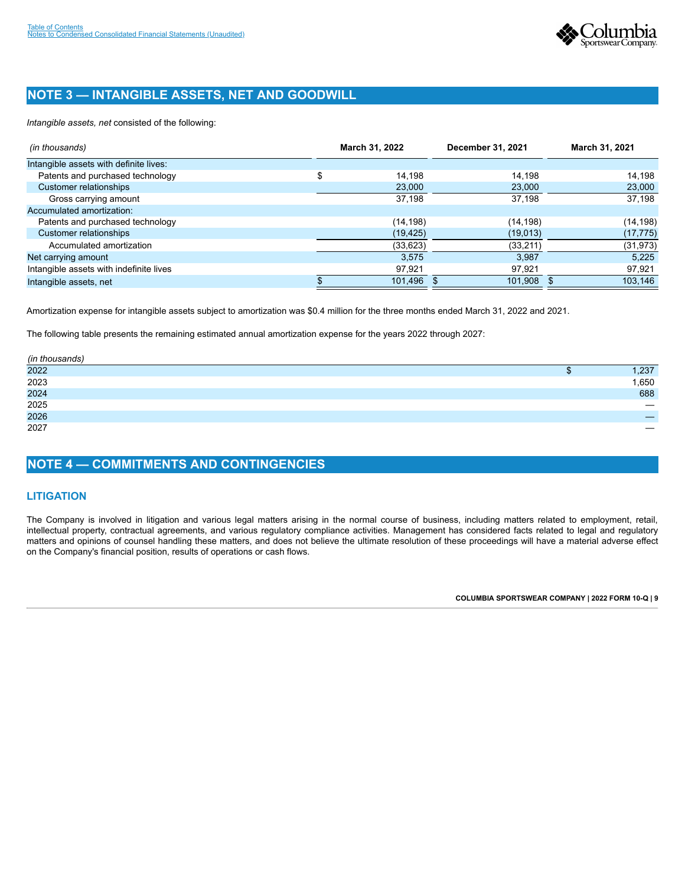

## **NOTE 3 — INTANGIBLE ASSETS, NET AND GOODWILL**

*Intangible assets, net* consisted of the following:

| (in thousands)                          | March 31, 2022 | December 31, 2021 | March 31, 2021 |
|-----------------------------------------|----------------|-------------------|----------------|
| Intangible assets with definite lives:  |                |                   |                |
| Patents and purchased technology        | \$<br>14.198   | 14.198            | 14,198         |
| Customer relationships                  | 23,000         | 23,000            | 23,000         |
| Gross carrying amount                   | 37.198         | 37,198            | 37,198         |
| Accumulated amortization:               |                |                   |                |
| Patents and purchased technology        | (14, 198)      | (14, 198)         | (14,198)       |
| Customer relationships                  | (19, 425)      | (19,013)          | (17, 775)      |
| Accumulated amortization                | (33, 623)      | (33, 211)         | (31, 973)      |
| Net carrying amount                     | 3.575          | 3.987             | 5.225          |
| Intangible assets with indefinite lives | 97,921         | 97,921            | 97,921         |
| Intangible assets, net                  | 101,496        | 101,908           | 103,146        |

Amortization expense for intangible assets subject to amortization was \$0.4 million for the three months ended March 31, 2022 and 2021.

The following table presents the remaining estimated annual amortization expense for the years 2022 through 2027:

| (in thousands) |       |
|----------------|-------|
| 2022           | ,237  |
| 2023           | 1,650 |
| 2024<br>2025   | 688   |
|                |       |
| 2026           | –     |
| 2027           |       |

## <span id="page-11-0"></span>**NOTE 4 — COMMITMENTS AND CONTINGENCIES**

## **LITIGATION**

<span id="page-11-1"></span>The Company is involved in litigation and various legal matters arising in the normal course of business, including matters related to employment, retail, intellectual property, contractual agreements, and various regulatory compliance activities. Management has considered facts related to legal and regulatory matters and opinions of counsel handling these matters, and does not believe the ultimate resolution of these proceedings will have a material adverse effect on the Company's financial position, results of operations or cash flows.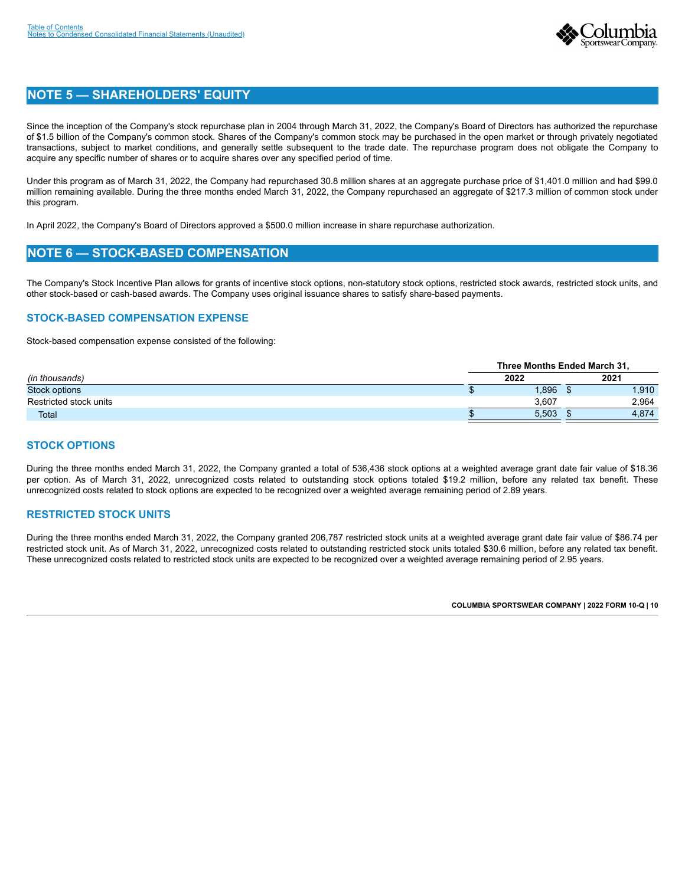

## **NOTE 5 — SHAREHOLDERS' EQUITY**

Since the inception of the Company's stock repurchase plan in 2004 through March 31, 2022, the Company's Board of Directors has authorized the repurchase of \$1.5 billion of the Company's common stock. Shares of the Company's common stock may be purchased in the open market or through privately negotiated transactions, subject to market conditions, and generally settle subsequent to the trade date. The repurchase program does not obligate the Company to acquire any specific number of shares or to acquire shares over any specified period of time.

Under this program as of March 31, 2022, the Company had repurchased 30.8 million shares at an aggregate purchase price of \$1,401.0 million and had \$99.0 million remaining available. During the three months ended March 31, 2022, the Company repurchased an aggregate of \$217.3 million of common stock under this program.

In April 2022, the Company's Board of Directors approved a \$500.0 million increase in share repurchase authorization.

## <span id="page-12-0"></span>**NOTE 6 — STOCK-BASED COMPENSATION**

The Company's Stock Incentive Plan allows for grants of incentive stock options, non-statutory stock options, restricted stock awards, restricted stock units, and other stock-based or cash-based awards. The Company uses original issuance shares to satisfy share-based payments.

### **STOCK-BASED COMPENSATION EXPENSE**

Stock-based compensation expense consisted of the following:

|                        |      | <b>Three Months Ended March 31.</b> |  |       |  |  |  |  |  |  |
|------------------------|------|-------------------------------------|--|-------|--|--|--|--|--|--|
| (in thousands)         | 2022 |                                     |  | 2021  |  |  |  |  |  |  |
| Stock options          |      | .896                                |  | 1,910 |  |  |  |  |  |  |
| Restricted stock units |      | 3.607                               |  | 2,964 |  |  |  |  |  |  |
| <b>Total</b>           |      | 5.503                               |  | 4,874 |  |  |  |  |  |  |

### **STOCK OPTIONS**

During the three months ended March 31, 2022, the Company granted a total of 536,436 stock options at a weighted average grant date fair value of \$18.36 per option. As of March 31, 2022, unrecognized costs related to outstanding stock options totaled \$19.2 million, before any related tax benefit. These unrecognized costs related to stock options are expected to be recognized over a weighted average remaining period of 2.89 years.

### **RESTRICTED STOCK UNITS**

<span id="page-12-1"></span>During the three months ended March 31, 2022, the Company granted 206,787 restricted stock units at a weighted average grant date fair value of \$86.74 per restricted stock unit. As of March 31, 2022, unrecognized costs related to outstanding restricted stock units totaled \$30.6 million, before any related tax benefit. These unrecognized costs related to restricted stock units are expected to be recognized over a weighted average remaining period of 2.95 years.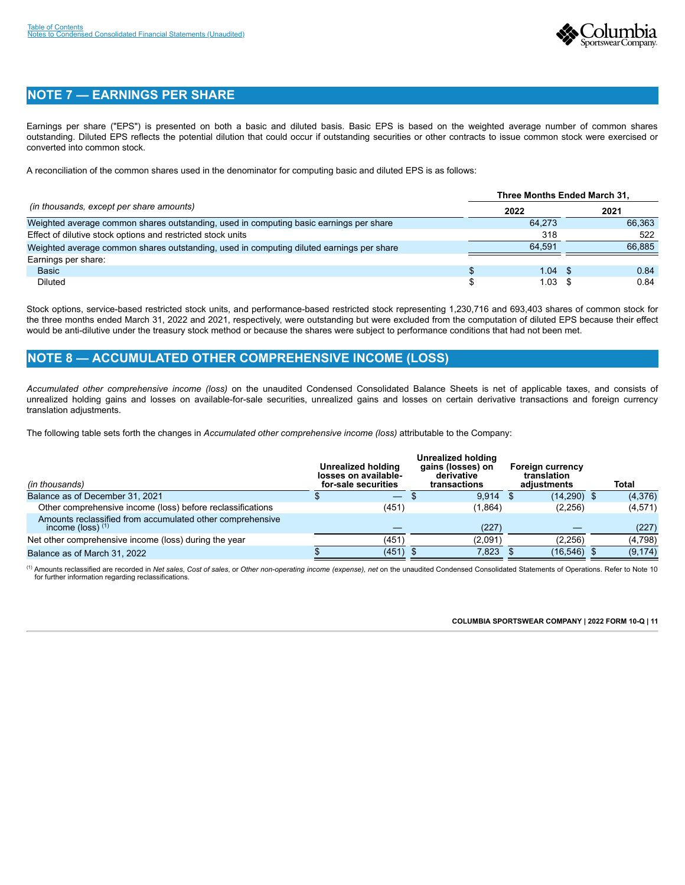

## **NOTE 7 — EARNINGS PER SHARE**

Earnings per share ("EPS") is presented on both a basic and diluted basis. Basic EPS is based on the weighted average number of common shares outstanding. Diluted EPS reflects the potential dilution that could occur if outstanding securities or other contracts to issue common stock were exercised or converted into common stock.

A reconciliation of the common shares used in the denominator for computing basic and diluted EPS is as follows:

|                                                                                          | Three Months Ended March 31. |         |        |
|------------------------------------------------------------------------------------------|------------------------------|---------|--------|
| (in thousands, except per share amounts)                                                 | 2022                         |         | 2021   |
| Weighted average common shares outstanding, used in computing basic earnings per share   | 64.273                       |         | 66.363 |
| Effect of dilutive stock options and restricted stock units                              | 318                          |         | 522    |
| Weighted average common shares outstanding, used in computing diluted earnings per share | 64.591                       |         | 66.885 |
| Earnings per share:                                                                      |                              |         |        |
| <b>Basic</b>                                                                             | 1.04                         |         | 0.84   |
| Diluted                                                                                  |                              | 1.03 \$ | 0.84   |

Stock options, service-based restricted stock units, and performance-based restricted stock representing 1,230,716 and 693,403 shares of common stock for the three months ended March 31, 2022 and 2021, respectively, were outstanding but were excluded from the computation of diluted EPS because their effect would be anti-dilutive under the treasury stock method or because the shares were subject to performance conditions that had not been met.

## <span id="page-13-0"></span>**NOTE 8 — ACCUMULATED OTHER COMPREHENSIVE INCOME (LOSS)**

*Accumulated other comprehensive income (loss)* on the unaudited Condensed Consolidated Balance Sheets is net of applicable taxes, and consists of unrealized holding gains and losses on available-for-sale securities, unrealized gains and losses on certain derivative transactions and foreign currency translation adjustments.

The following table sets forth the changes in *Accumulated other comprehensive income (loss)* attributable to the Company:

| (in thousands)                                                                   | <b>Unrealized holding</b><br>losses on available-<br>for-sale securities | Unrealized holding<br>gains (losses) on<br>derivative<br>transactions | <b>Foreign currency</b><br>translation<br>adjustments | Total    |
|----------------------------------------------------------------------------------|--------------------------------------------------------------------------|-----------------------------------------------------------------------|-------------------------------------------------------|----------|
| Balance as of December 31, 2021                                                  |                                                                          | 9.914                                                                 | $(14,290)$ \$                                         | (4,376)  |
| Other comprehensive income (loss) before reclassifications                       | (451)                                                                    | (1,864)                                                               | (2,256)                                               | (4,571)  |
| Amounts reclassified from accumulated other comprehensive<br>income (loss) $(1)$ |                                                                          | (227)                                                                 |                                                       | (227)    |
| Net other comprehensive income (loss) during the year                            | (451)                                                                    | (2,091)                                                               | (2,256)                                               | (4,798)  |
| Balance as of March 31, 2022                                                     | $(451)$ \$                                                               | 7.823                                                                 | (16, 546)                                             | (9, 174) |

(1) Amounts reclassified are recorded in Net sales, Cost of sales, or Other non-operating income (expense), net on the unaudited Condensed Consolidated Statements of Operations. Refer to Note 10 for further information regarding reclassifications.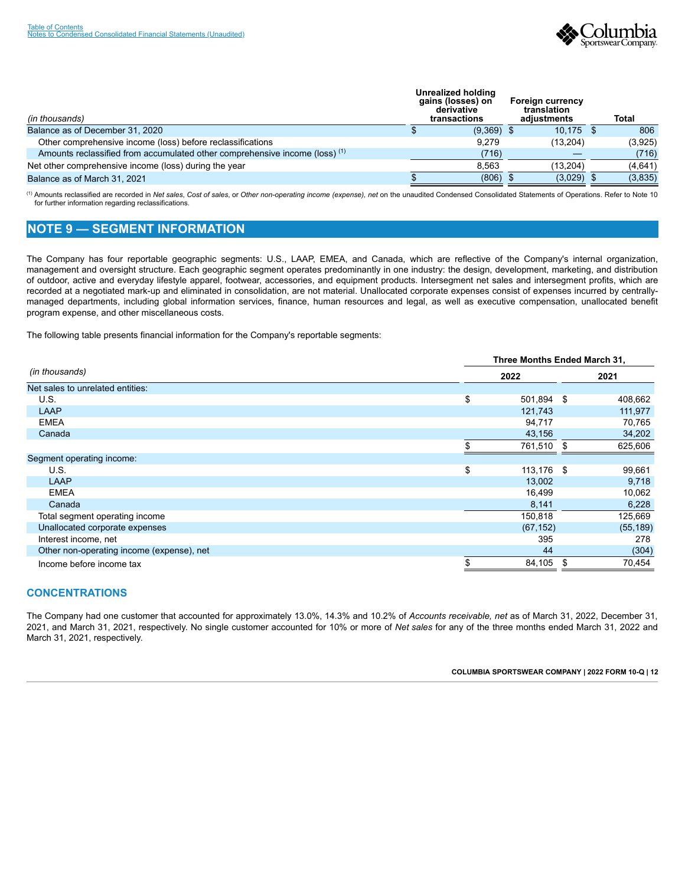

| (in thousands)                                                                         | <b>Unrealized holding</b><br>gains (losses) on<br>derivative<br>transactions | <b>Foreign currency</b><br>translation<br>adiustments | <b>Total</b> |
|----------------------------------------------------------------------------------------|------------------------------------------------------------------------------|-------------------------------------------------------|--------------|
| Balance as of December 31, 2020                                                        | $(9,369)$ \$                                                                 | 10.175                                                | 806          |
| Other comprehensive income (loss) before reclassifications                             | 9.279                                                                        | (13, 204)                                             | (3,925)      |
| Amounts reclassified from accumulated other comprehensive income (loss) <sup>(1)</sup> | (716)                                                                        |                                                       | (716)        |
| Net other comprehensive income (loss) during the year                                  | 8.563                                                                        | (13.204)                                              | (4,641)      |
| Balance as of March 31, 2021                                                           | (806)                                                                        | (3,029)                                               | (3,835)      |

(1) Amounts reclassified are recorded in Net sales, Cost of sales, or Other non-operating income (expense), net on the unaudited Condensed Consolidated Statements of Operations. Refer to Note 10 for further information regarding reclassifications.

## <span id="page-14-0"></span>**NOTE 9 — SEGMENT INFORMATION**

The Company has four reportable geographic segments: U.S., LAAP, EMEA, and Canada, which are reflective of the Company's internal organization, management and oversight structure. Each geographic segment operates predominantly in one industry: the design, development, marketing, and distribution of outdoor, active and everyday lifestyle apparel, footwear, accessories, and equipment products. Intersegment net sales and intersegment profits, which are recorded at a negotiated mark-up and eliminated in consolidation, are not material. Unallocated corporate expenses consist of expenses incurred by centrallymanaged departments, including global information services, finance, human resources and legal, as well as executive compensation, unallocated benefit program expense, and other miscellaneous costs.

The following table presents financial information for the Company's reportable segments:

|                                           | Three Months Ended March 31, |    |           |  |  |  |  |  |
|-------------------------------------------|------------------------------|----|-----------|--|--|--|--|--|
| (in thousands)                            | 2022                         |    | 2021      |  |  |  |  |  |
| Net sales to unrelated entities:          |                              |    |           |  |  |  |  |  |
| U.S.                                      | \$<br>501,894 \$             |    | 408,662   |  |  |  |  |  |
| LAAP                                      | 121,743                      |    | 111,977   |  |  |  |  |  |
| <b>EMEA</b>                               | 94,717                       |    | 70,765    |  |  |  |  |  |
| Canada                                    | 43,156                       |    | 34,202    |  |  |  |  |  |
|                                           | 761,510                      | \$ | 625,606   |  |  |  |  |  |
| Segment operating income:                 |                              |    |           |  |  |  |  |  |
| U.S.                                      | \$<br>113,176 \$             |    | 99,661    |  |  |  |  |  |
| LAAP                                      | 13,002                       |    | 9,718     |  |  |  |  |  |
| <b>EMEA</b>                               | 16,499                       |    | 10,062    |  |  |  |  |  |
| Canada                                    | 8,141                        |    | 6,228     |  |  |  |  |  |
| Total segment operating income            | 150,818                      |    | 125,669   |  |  |  |  |  |
| Unallocated corporate expenses            | (67, 152)                    |    | (55, 189) |  |  |  |  |  |
| Interest income, net                      | 395                          |    | 278       |  |  |  |  |  |
| Other non-operating income (expense), net | 44                           |    | (304)     |  |  |  |  |  |
| Income before income tax                  | 84,105                       | S  | 70,454    |  |  |  |  |  |

## **CONCENTRATIONS**

The Company had one customer that accounted for approximately 13.0%, 14.3% and 10.2% of *Accounts receivable, net* as of March 31, 2022, December 31, 2021, and March 31, 2021, respectively. No single customer accounted for 10% or more of *Net sales* for any of the three months ended March 31, 2022 and March 31, 2021, respectively.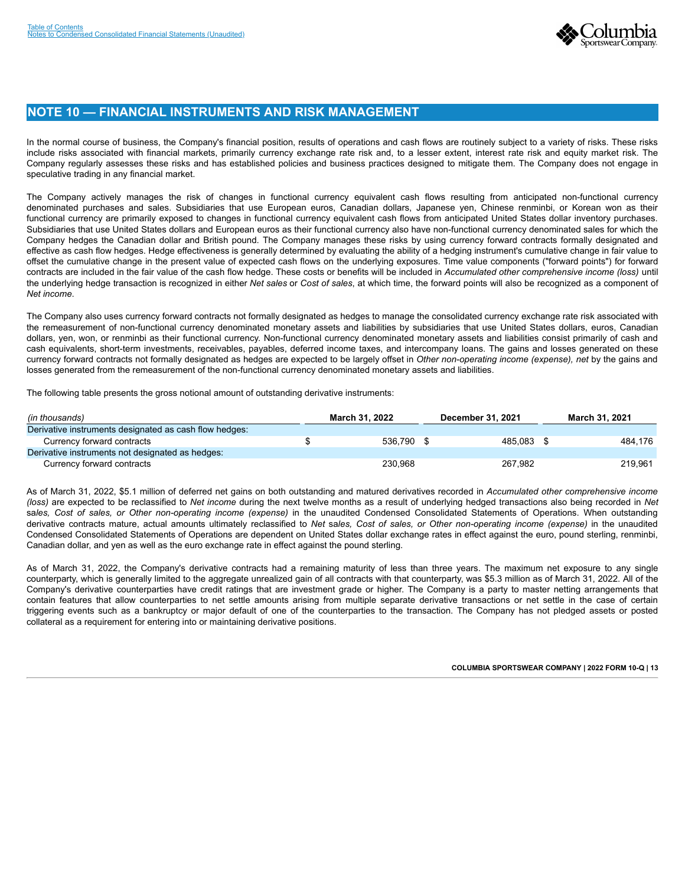

## <span id="page-15-0"></span>**NOTE 10 — FINANCIAL INSTRUMENTS AND RISK MANAGEMENT**

In the normal course of business, the Company's financial position, results of operations and cash flows are routinely subject to a variety of risks. These risks include risks associated with financial markets, primarily currency exchange rate risk and, to a lesser extent, interest rate risk and equity market risk. The Company regularly assesses these risks and has established policies and business practices designed to mitigate them. The Company does not engage in speculative trading in any financial market.

The Company actively manages the risk of changes in functional currency equivalent cash flows resulting from anticipated non-functional currency denominated purchases and sales. Subsidiaries that use European euros, Canadian dollars, Japanese yen, Chinese renminbi, or Korean won as their functional currency are primarily exposed to changes in functional currency equivalent cash flows from anticipated United States dollar inventory purchases. Subsidiaries that use United States dollars and European euros as their functional currency also have non-functional currency denominated sales for which the Company hedges the Canadian dollar and British pound. The Company manages these risks by using currency forward contracts formally designated and effective as cash flow hedges. Hedge effectiveness is generally determined by evaluating the ability of a hedging instrument's cumulative change in fair value to offset the cumulative change in the present value of expected cash flows on the underlying exposures. Time value components ("forward points") for forward contracts are included in the fair value of the cash flow hedge. These costs or benefits will be included in *Accumulated other comprehensive income (loss)* until the underlying hedge transaction is recognized in either *Net sales* or *Cost of sales*, at which time, the forward points will also be recognized as a component of *Net income*.

The Company also uses currency forward contracts not formally designated as hedges to manage the consolidated currency exchange rate risk associated with the remeasurement of non-functional currency denominated monetary assets and liabilities by subsidiaries that use United States dollars, euros, Canadian dollars, yen, won, or renminbi as their functional currency. Non-functional currency denominated monetary assets and liabilities consist primarily of cash and cash equivalents, short-term investments, receivables, payables, deferred income taxes, and intercompany loans. The gains and losses generated on these currency forward contracts not formally designated as hedges are expected to be largely offset in *Other non-operating income (expense), net* by the gains and losses generated from the remeasurement of the non-functional currency denominated monetary assets and liabilities.

The following table presents the gross notional amount of outstanding derivative instruments:

| (in thousands)                                         | March 31, 2022 | <b>December 31, 2021</b> |         |  | <b>March 31, 2021</b> |
|--------------------------------------------------------|----------------|--------------------------|---------|--|-----------------------|
| Derivative instruments designated as cash flow hedges: |                |                          |         |  |                       |
| Currency forward contracts                             | 536.790        |                          | 485.083 |  | 484.176               |
| Derivative instruments not designated as hedges:       |                |                          |         |  |                       |
| Currency forward contracts                             | 230.968        |                          | 267.982 |  | 219.961               |

As of March 31, 2022, \$5.1 million of deferred net gains on both outstanding and matured derivatives recorded in *Accumulated other comprehensive income (loss)* are expected to be reclassified to *Net income* during the next twelve months as a result of underlying hedged transactions also being recorded in *Net* sa*les, Cost of sales, or Other non-operating income (expense)* in the unaudited Condensed Consolidated Statements of Operations. When outstanding derivative contracts mature, actual amounts ultimately reclassified to *Net* sa*les, Cost of sales, or Other non-operating income (expense)* in the unaudited Condensed Consolidated Statements of Operations are dependent on United States dollar exchange rates in effect against the euro, pound sterling, renminbi, Canadian dollar, and yen as well as the euro exchange rate in effect against the pound sterling.

As of March 31, 2022, the Company's derivative contracts had a remaining maturity of less than three years. The maximum net exposure to any single counterparty, which is generally limited to the aggregate unrealized gain of all contracts with that counterparty, was \$5.3 million as of March 31, 2022. All of the Company's derivative counterparties have credit ratings that are investment grade or higher. The Company is a party to master netting arrangements that contain features that allow counterparties to net settle amounts arising from multiple separate derivative transactions or net settle in the case of certain triggering events such as a bankruptcy or major default of one of the counterparties to the transaction. The Company has not pledged assets or posted collateral as a requirement for entering into or maintaining derivative positions.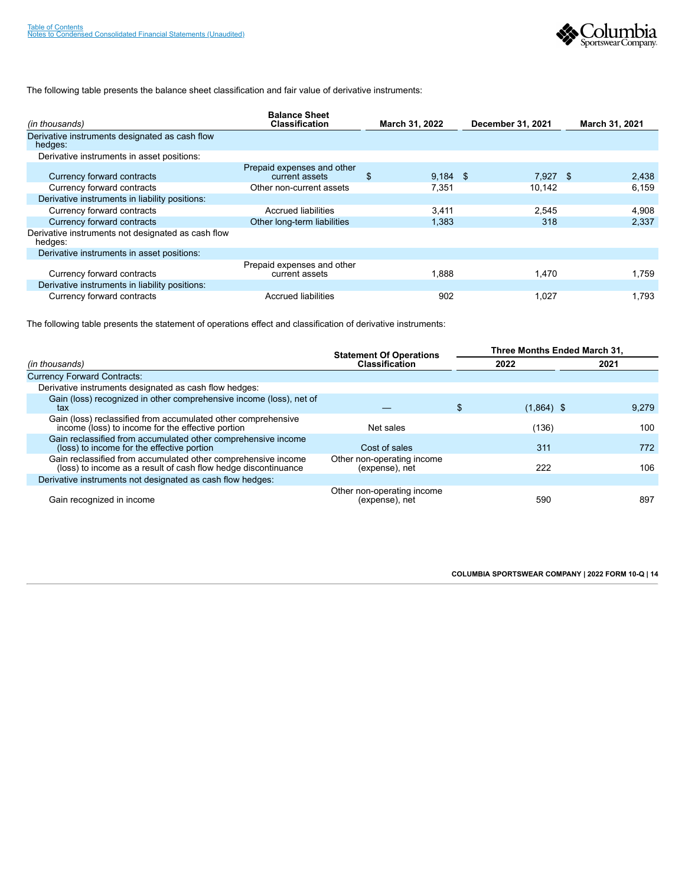

## The following table presents the balance sheet classification and fair value of derivative instruments:

| (in thousands)                                                | <b>Balance Sheet</b><br><b>Classification</b> |    | March 31, 2022 | December 31, 2021 | March 31, 2021 |
|---------------------------------------------------------------|-----------------------------------------------|----|----------------|-------------------|----------------|
| Derivative instruments designated as cash flow<br>hedges:     |                                               |    |                |                   |                |
| Derivative instruments in asset positions:                    |                                               |    |                |                   |                |
| Currency forward contracts                                    | Prepaid expenses and other<br>current assets  | £. | $9.184$ \$     | $7.927$ \$        | 2,438          |
| Currency forward contracts                                    | Other non-current assets                      |    | 7.351          | 10.142            | 6.159          |
| Derivative instruments in liability positions:                |                                               |    |                |                   |                |
| Currency forward contracts                                    | Accrued liabilities                           |    | 3,411          | 2.545             | 4,908          |
| Currency forward contracts                                    | Other long-term liabilities                   |    | 1,383          | 318               | 2,337          |
| Derivative instruments not designated as cash flow<br>hedges: |                                               |    |                |                   |                |
| Derivative instruments in asset positions:                    |                                               |    |                |                   |                |
| Currency forward contracts                                    | Prepaid expenses and other<br>current assets  |    | 1,888          | .470              | 1.759          |
| Derivative instruments in liability positions:                |                                               |    |                |                   |                |
| Currency forward contracts                                    | Accrued liabilities                           |    | 902            | 1.027             | 1.793          |

The following table presents the statement of operations effect and classification of derivative instruments:

<span id="page-16-0"></span>

|                                                                                                                                 | <b>Statement Of Operations</b>               | Three Months Ended March 31, |       |  |  |  |  |
|---------------------------------------------------------------------------------------------------------------------------------|----------------------------------------------|------------------------------|-------|--|--|--|--|
| (in thousands)                                                                                                                  | <b>Classification</b>                        | 2022                         | 2021  |  |  |  |  |
| <b>Currency Forward Contracts:</b>                                                                                              |                                              |                              |       |  |  |  |  |
| Derivative instruments designated as cash flow hedges:                                                                          |                                              |                              |       |  |  |  |  |
| Gain (loss) recognized in other comprehensive income (loss), net of<br>tax                                                      |                                              | $(1,864)$ \$                 | 9.279 |  |  |  |  |
| Gain (loss) reclassified from accumulated other comprehensive<br>income (loss) to income for the effective portion              | Net sales                                    | (136)                        | 100   |  |  |  |  |
| Gain reclassified from accumulated other comprehensive income<br>(loss) to income for the effective portion                     | Cost of sales                                | 311                          | 772   |  |  |  |  |
| Gain reclassified from accumulated other comprehensive income<br>(loss) to income as a result of cash flow hedge discontinuance | Other non-operating income<br>(expense), net | 222                          | 106   |  |  |  |  |
| Derivative instruments not designated as cash flow hedges:                                                                      |                                              |                              |       |  |  |  |  |
| Gain recognized in income                                                                                                       | Other non-operating income<br>(expense), net | 590                          | 897   |  |  |  |  |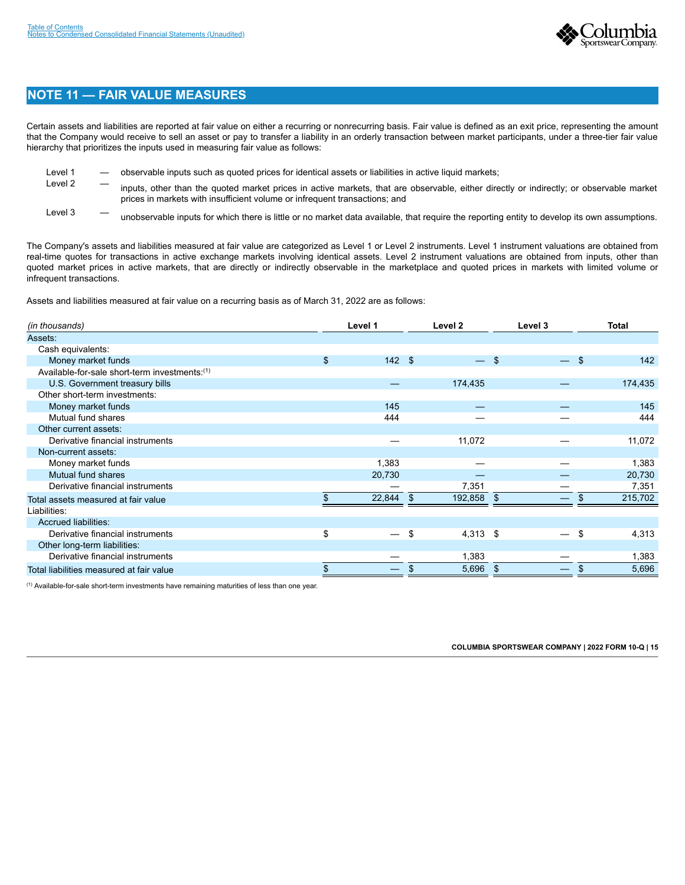

## **NOTE 11 — FAIR VALUE MEASURES**

Certain assets and liabilities are reported at fair value on either a recurring or nonrecurring basis. Fair value is defined as an exit price, representing the amount that the Company would receive to sell an asset or pay to transfer a liability in an orderly transaction between market participants, under a three-tier fair value hierarchy that prioritizes the inputs used in measuring fair value as follows:

- Level 1 cbservable inputs such as quoted prices for identical assets or liabilities in active liquid markets;
- Level 2 inputs, other than the quoted market prices in active markets, that are observable, either directly or indirectly; or observable market prices in markets with insufficient volume or infrequent transactions; and
- Level 3 The unobservable inputs for which there is little or no market data available, that require the reporting entity to develop its own assumptions.

The Company's assets and liabilities measured at fair value are categorized as Level 1 or Level 2 instruments. Level 1 instrument valuations are obtained from real-time quotes for transactions in active exchange markets involving identical assets. Level 2 instrument valuations are obtained from inputs, other than quoted market prices in active markets, that are directly or indirectly observable in the marketplace and quoted prices in markets with limited volume or infrequent transactions.

Assets and liabilities measured at fair value on a recurring basis as of March 31, 2022 are as follows:

| (in thousands)                                | Level 1        |        | Level 2          |                | Level 3           |      | <b>Total</b> |
|-----------------------------------------------|----------------|--------|------------------|----------------|-------------------|------|--------------|
| Assets:                                       |                |        |                  |                |                   |      |              |
| Cash equivalents:                             |                |        |                  |                |                   |      |              |
| Money market funds                            | $\mathfrak{s}$ | 142S   | $-$ \$           |                | $\qquad \qquad -$ | - \$ | 142          |
| Available-for-sale short-term investments:(1) |                |        |                  |                |                   |      |              |
| U.S. Government treasury bills                |                |        | 174,435          |                |                   |      | 174,435      |
| Other short-term investments:                 |                |        |                  |                |                   |      |              |
| Money market funds                            |                | 145    |                  |                |                   |      | 145          |
| Mutual fund shares                            |                | 444    |                  |                |                   |      | 444          |
| Other current assets:                         |                |        |                  |                |                   |      |              |
| Derivative financial instruments              |                |        | 11,072           |                |                   |      | 11,072       |
| Non-current assets:                           |                |        |                  |                |                   |      |              |
| Money market funds                            |                | 1,383  |                  |                |                   |      | 1,383        |
| Mutual fund shares                            |                | 20,730 |                  |                |                   |      | 20,730       |
| Derivative financial instruments              |                |        | 7,351            |                |                   |      | 7,351        |
| Total assets measured at fair value           |                | 22,844 | \$<br>192,858    | $\mathfrak{F}$ |                   |      | 215,702      |
| Liabilities:                                  |                |        |                  |                |                   |      |              |
| <b>Accrued liabilities:</b>                   |                |        |                  |                |                   |      |              |
| Derivative financial instruments              | \$             |        | \$<br>$4,313$ \$ |                | —                 | \$   | 4,313        |
| Other long-term liabilities:                  |                |        |                  |                |                   |      |              |
| Derivative financial instruments              |                |        | 1,383            |                |                   |      | 1,383        |
| Total liabilities measured at fair value      |                |        | \$<br>5,696 \$   |                |                   |      | 5,696        |

 $<sup>(1)</sup>$  Available-for-sale short-term investments have remaining maturities of less than one year.</sup>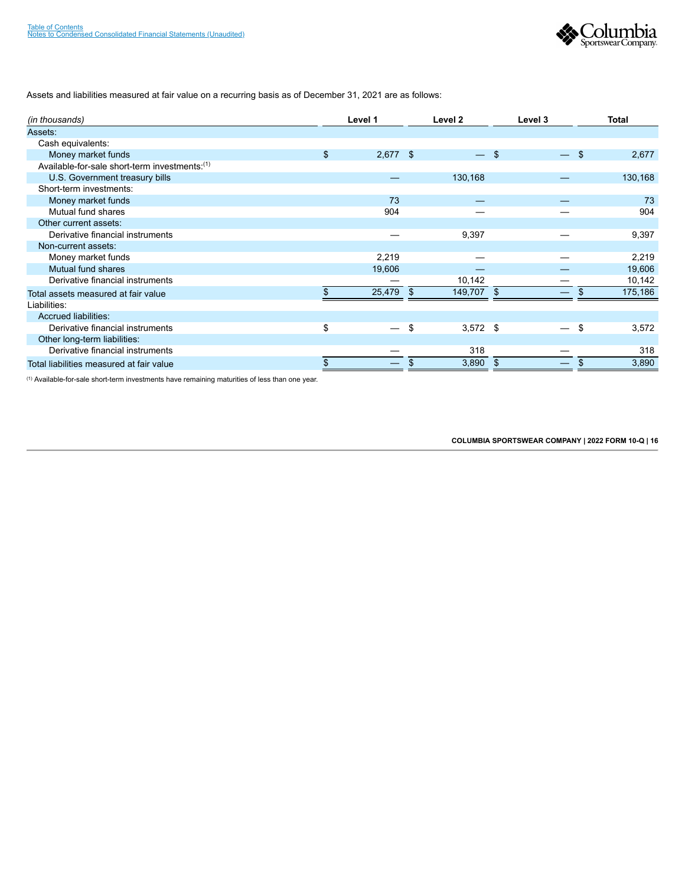

Assets and liabilities measured at fair value on a recurring basis as of December 31, 2021 are as follows:

| (in thousands)                                |                | Level 1    |     | Level 2    |     | Level 3 |     | <b>Total</b> |
|-----------------------------------------------|----------------|------------|-----|------------|-----|---------|-----|--------------|
| Assets:                                       |                |            |     |            |     |         |     |              |
| Cash equivalents:                             |                |            |     |            |     |         |     |              |
| Money market funds                            | $\mathfrak{s}$ | $2,677$ \$ |     |            | -\$ |         | -\$ | 2,677        |
| Available-for-sale short-term investments:(1) |                |            |     |            |     |         |     |              |
| U.S. Government treasury bills                |                |            |     | 130,168    |     |         |     | 130,168      |
| Short-term investments:                       |                |            |     |            |     |         |     |              |
| Money market funds                            |                | 73         |     |            |     |         |     | 73           |
| Mutual fund shares                            |                | 904        |     |            |     |         |     | 904          |
| Other current assets:                         |                |            |     |            |     |         |     |              |
| Derivative financial instruments              |                |            |     | 9,397      |     |         |     | 9,397        |
| Non-current assets:                           |                |            |     |            |     |         |     |              |
| Money market funds                            |                | 2,219      |     |            |     |         |     | 2,219        |
| Mutual fund shares                            |                | 19,606     |     |            |     |         |     | 19,606       |
| Derivative financial instruments              |                |            |     | 10,142     |     |         |     | 10,142       |
| Total assets measured at fair value           | \$             | 25,479     | -\$ | 149,707 \$ |     |         | \$  | 175,186      |
| Liabilities:                                  |                |            |     |            |     |         |     |              |
| <b>Accrued liabilities:</b>                   |                |            |     |            |     |         |     |              |
| Derivative financial instruments              | \$             |            | \$  | $3,572$ \$ |     |         | \$  | 3,572        |
| Other long-term liabilities:                  |                |            |     |            |     |         |     |              |
| Derivative financial instruments              |                |            |     | 318        |     |         |     | 318          |
| Total liabilities measured at fair value      | \$             |            | \$  | 3,890      | -\$ |         | S   | 3,890        |

 $<sup>(1)</sup>$  Available-for-sale short-term investments have remaining maturities of less than one year.</sup>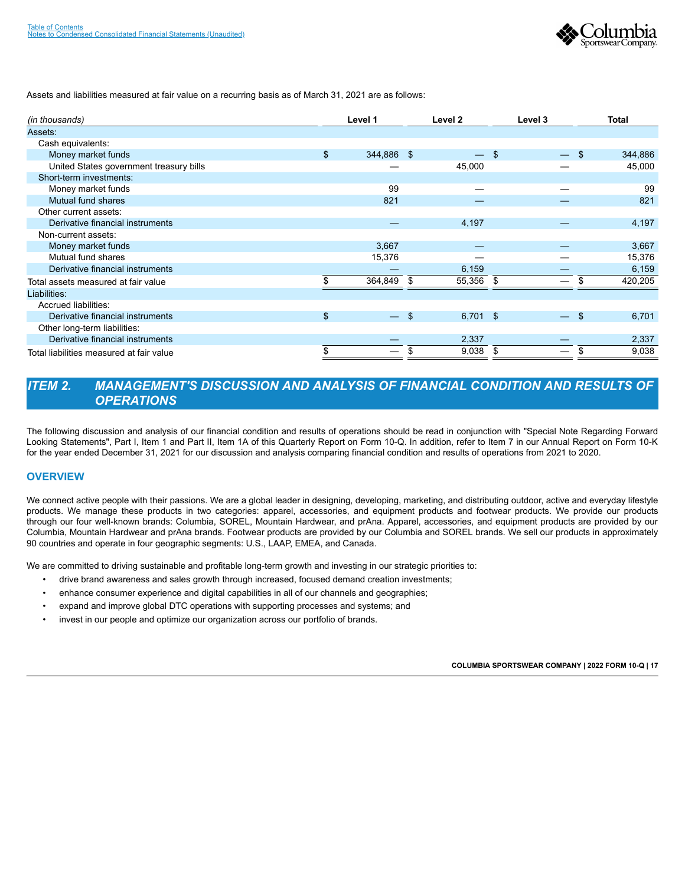

Assets and liabilities measured at fair value on a recurring basis as of March 31, 2021 are as follows:

| (in thousands)                           | Level 1                 |     | Level 2    | Level 3                  | <b>Total</b>  |
|------------------------------------------|-------------------------|-----|------------|--------------------------|---------------|
| Assets:                                  |                         |     |            |                          |               |
| Cash equivalents:                        |                         |     |            |                          |               |
| Money market funds                       | \$<br>344,886 \$        |     | —          | \$<br>—                  | \$<br>344,886 |
| United States government treasury bills  |                         |     | 45,000     |                          | 45,000        |
| Short-term investments:                  |                         |     |            |                          |               |
| Money market funds                       | 99                      |     |            |                          | 99            |
| Mutual fund shares                       | 821                     |     |            |                          | 821           |
| Other current assets:                    |                         |     |            |                          |               |
| Derivative financial instruments         |                         |     | 4,197      |                          | 4,197         |
| Non-current assets:                      |                         |     |            |                          |               |
| Money market funds                       | 3,667                   |     |            |                          | 3,667         |
| Mutual fund shares                       | 15,376                  |     |            |                          | 15,376        |
| Derivative financial instruments         |                         |     | 6,159      |                          | 6,159         |
| Total assets measured at fair value      | 364,849                 | -\$ | 55,356     | \$                       | 420,205       |
| Liabilities:                             |                         |     |            |                          |               |
| Accrued liabilities:                     |                         |     |            |                          |               |
| Derivative financial instruments         | \$<br>$\qquad \qquad -$ | \$  | $6,701$ \$ | $\overline{\phantom{0}}$ | \$<br>6,701   |
| Other long-term liabilities:             |                         |     |            |                          |               |
| Derivative financial instruments         |                         |     | 2,337      |                          | 2,337         |
| Total liabilities measured at fair value | \$                      | S   | 9,038      | \$<br>—                  | \$<br>9,038   |

## <span id="page-19-0"></span>*ITEM 2. MANAGEMENT'S DISCUSSION AND ANALYSIS OF FINANCIAL CONDITION AND RESULTS OF OPERATIONS*

The following discussion and analysis of our financial condition and results of operations should be read in conjunction with "Special Note Regarding Forward Looking Statements", Part I, Item 1 and Part II, Item 1A of this Quarterly Report on Form 10-Q. In addition, refer to Item 7 in our Annual Report on Form 10-K for the year ended December 31, 2021 for our discussion and analysis comparing financial condition and results of operations from 2021 to 2020.

### **OVERVIEW**

We connect active people with their passions. We are a global leader in designing, developing, marketing, and distributing outdoor, active and everyday lifestyle products. We manage these products in two categories: apparel, accessories, and equipment products and footwear products. We provide our products through our four well-known brands: Columbia, SOREL, Mountain Hardwear, and prAna. Apparel, accessories, and equipment products are provided by our Columbia, Mountain Hardwear and prAna brands. Footwear products are provided by our Columbia and SOREL brands. We sell our products in approximately 90 countries and operate in four geographic segments: U.S., LAAP, EMEA, and Canada.

We are committed to driving sustainable and profitable long-term growth and investing in our strategic priorities to:

- drive brand awareness and sales growth through increased, focused demand creation investments;
- enhance consumer experience and digital capabilities in all of our channels and geographies;
- expand and improve global DTC operations with supporting processes and systems; and
- invest in our people and optimize our organization across our portfolio of brands.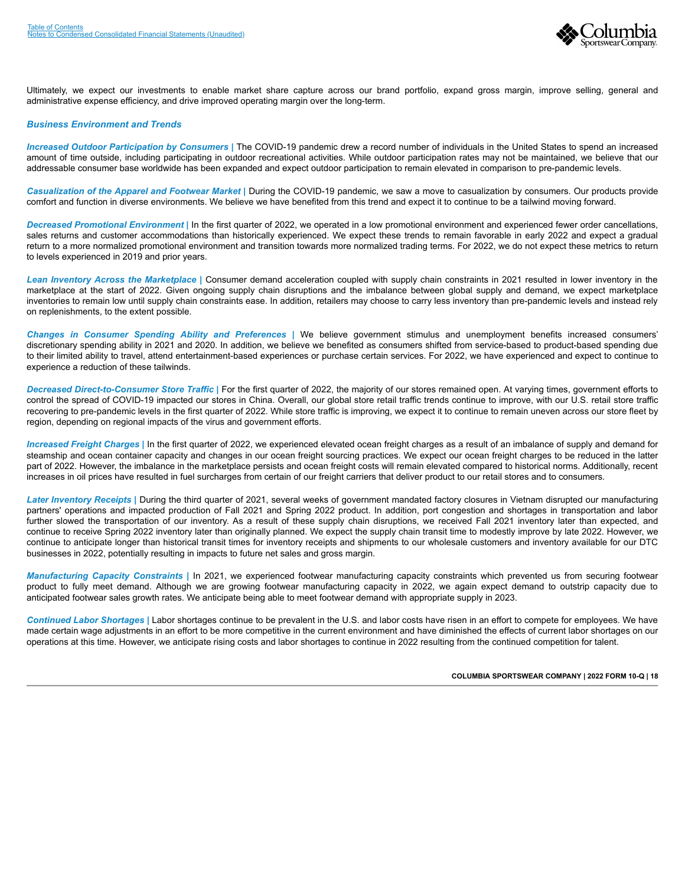

Ultimately, we expect our investments to enable market share capture across our brand portfolio, expand gross margin, improve selling, general and administrative expense efficiency, and drive improved operating margin over the long-term.

#### *Business Environment and Trends*

*Increased Outdoor Participation by Consumers |* The COVID-19 pandemic drew a record number of individuals in the United States to spend an increased amount of time outside, including participating in outdoor recreational activities. While outdoor participation rates may not be maintained, we believe that our addressable consumer base worldwide has been expanded and expect outdoor participation to remain elevated in comparison to pre-pandemic levels.

*Casualization of the Apparel and Footwear Market |* During the COVID-19 pandemic, we saw a move to casualization by consumers. Our products provide comfort and function in diverse environments. We believe we have benefited from this trend and expect it to continue to be a tailwind moving forward.

*Decreased Promotional Environment |* In the first quarter of 2022, we operated in a low promotional environment and experienced fewer order cancellations, sales returns and customer accommodations than historically experienced. We expect these trends to remain favorable in early 2022 and expect a gradual return to a more normalized promotional environment and transition towards more normalized trading terms. For 2022, we do not expect these metrics to return to levels experienced in 2019 and prior years.

*Lean Inventory Across the Marketplace |* Consumer demand acceleration coupled with supply chain constraints in 2021 resulted in lower inventory in the marketplace at the start of 2022. Given ongoing supply chain disruptions and the imbalance between global supply and demand, we expect marketplace inventories to remain low until supply chain constraints ease. In addition, retailers may choose to carry less inventory than pre-pandemic levels and instead rely on replenishments, to the extent possible.

*Changes in Consumer Spending Ability and Preferences |* We believe government stimulus and unemployment benefits increased consumers' discretionary spending ability in 2021 and 2020. In addition, we believe we benefited as consumers shifted from service-based to product-based spending due to their limited ability to travel, attend entertainment-based experiences or purchase certain services. For 2022, we have experienced and expect to continue to experience a reduction of these tailwinds.

*Decreased Direct-to-Consumer Store Traffic |* For the first quarter of 2022, the majority of our stores remained open. At varying times, government efforts to control the spread of COVID-19 impacted our stores in China. Overall, our global store retail traffic trends continue to improve, with our U.S. retail store traffic recovering to pre-pandemic levels in the first quarter of 2022. While store traffic is improving, we expect it to continue to remain uneven across our store fleet by region, depending on regional impacts of the virus and government efforts.

*Increased Freight Charges |* In the first quarter of 2022, we experienced elevated ocean freight charges as a result of an imbalance of supply and demand for steamship and ocean container capacity and changes in our ocean freight sourcing practices. We expect our ocean freight charges to be reduced in the latter part of 2022. However, the imbalance in the marketplace persists and ocean freight costs will remain elevated compared to historical norms. Additionally, recent increases in oil prices have resulted in fuel surcharges from certain of our freight carriers that deliver product to our retail stores and to consumers.

*Later Inventory Receipts |* During the third quarter of 2021, several weeks of government mandated factory closures in Vietnam disrupted our manufacturing partners' operations and impacted production of Fall 2021 and Spring 2022 product. In addition, port congestion and shortages in transportation and labor further slowed the transportation of our inventory. As a result of these supply chain disruptions, we received Fall 2021 inventory later than expected, and continue to receive Spring 2022 inventory later than originally planned. We expect the supply chain transit time to modestly improve by late 2022. However, we continue to anticipate longer than historical transit times for inventory receipts and shipments to our wholesale customers and inventory available for our DTC businesses in 2022, potentially resulting in impacts to future net sales and gross margin.

*Manufacturing Capacity Constraints |* In 2021, we experienced footwear manufacturing capacity constraints which prevented us from securing footwear product to fully meet demand. Although we are growing footwear manufacturing capacity in 2022, we again expect demand to outstrip capacity due to anticipated footwear sales growth rates. We anticipate being able to meet footwear demand with appropriate supply in 2023.

*Continued Labor Shortages |* Labor shortages continue to be prevalent in the U.S. and labor costs have risen in an effort to compete for employees. We have made certain wage adjustments in an effort to be more competitive in the current environment and have diminished the effects of current labor shortages on our operations at this time. However, we anticipate rising costs and labor shortages to continue in 2022 resulting from the continued competition for talent.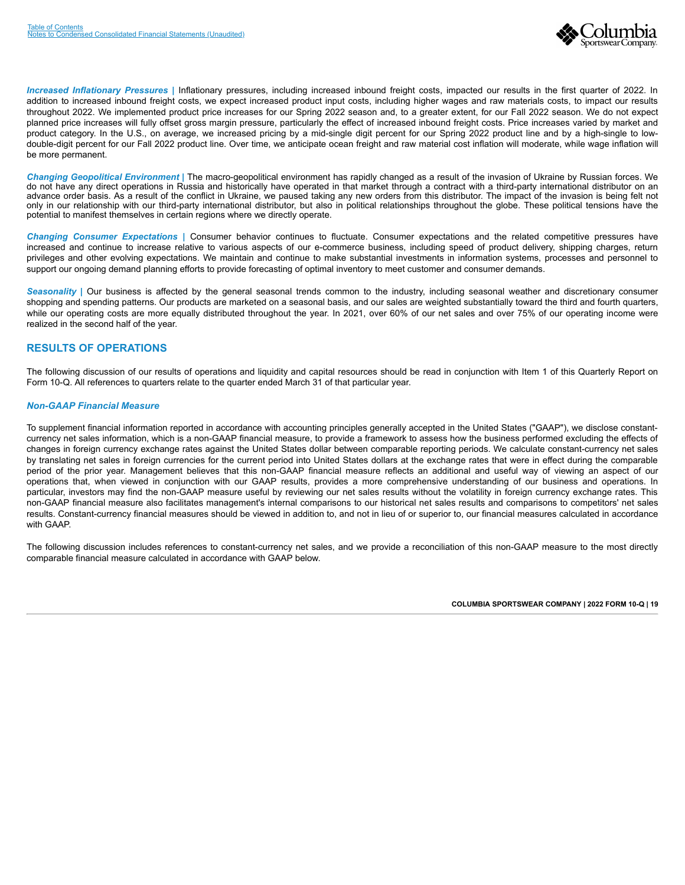

*Increased Inflationary Pressures |* Inflationary pressures, including increased inbound freight costs, impacted our results in the first quarter of 2022. In addition to increased inbound freight costs, we expect increased product input costs, including higher wages and raw materials costs, to impact our results throughout 2022. We implemented product price increases for our Spring 2022 season and, to a greater extent, for our Fall 2022 season. We do not expect planned price increases will fully offset gross margin pressure, particularly the effect of increased inbound freight costs. Price increases varied by market and product category. In the U.S., on average, we increased pricing by a mid-single digit percent for our Spring 2022 product line and by a high-single to lowdouble-digit percent for our Fall 2022 product line. Over time, we anticipate ocean freight and raw material cost inflation will moderate, while wage inflation will be more permanent.

*Changing Geopolitical Environment |* The macro-geopolitical environment has rapidly changed as a result of the invasion of Ukraine by Russian forces. We do not have any direct operations in Russia and historically have operated in that market through a contract with a third-party international distributor on an advance order basis. As a result of the conflict in Ukraine, we paused taking any new orders from this distributor. The impact of the invasion is being felt not only in our relationship with our third-party international distributor, but also in political relationships throughout the globe. These political tensions have the potential to manifest themselves in certain regions where we directly operate.

*Changing Consumer Expectations |* Consumer behavior continues to fluctuate. Consumer expectations and the related competitive pressures have increased and continue to increase relative to various aspects of our e-commerce business, including speed of product delivery, shipping charges, return privileges and other evolving expectations. We maintain and continue to make substantial investments in information systems, processes and personnel to support our ongoing demand planning efforts to provide forecasting of optimal inventory to meet customer and consumer demands.

Seasonality | Our business is affected by the general seasonal trends common to the industry, including seasonal weather and discretionary consumer shopping and spending patterns. Our products are marketed on a seasonal basis, and our sales are weighted substantially toward the third and fourth quarters, while our operating costs are more equally distributed throughout the year. In 2021, over 60% of our net sales and over 75% of our operating income were realized in the second half of the year.

### **RESULTS OF OPERATIONS**

The following discussion of our results of operations and liquidity and capital resources should be read in conjunction with Item 1 of this Quarterly Report on Form 10-Q. All references to quarters relate to the quarter ended March 31 of that particular year.

#### *Non-GAAP Financial Measure*

To supplement financial information reported in accordance with accounting principles generally accepted in the United States ("GAAP"), we disclose constantcurrency net sales information, which is a non-GAAP financial measure, to provide a framework to assess how the business performed excluding the effects of changes in foreign currency exchange rates against the United States dollar between comparable reporting periods. We calculate constant-currency net sales by translating net sales in foreign currencies for the current period into United States dollars at the exchange rates that were in effect during the comparable period of the prior year. Management believes that this non-GAAP financial measure reflects an additional and useful way of viewing an aspect of our operations that, when viewed in conjunction with our GAAP results, provides a more comprehensive understanding of our business and operations. In particular, investors may find the non-GAAP measure useful by reviewing our net sales results without the volatility in foreign currency exchange rates. This non-GAAP financial measure also facilitates management's internal comparisons to our historical net sales results and comparisons to competitors' net sales results. Constant-currency financial measures should be viewed in addition to, and not in lieu of or superior to, our financial measures calculated in accordance with GAAP.

The following discussion includes references to constant-currency net sales, and we provide a reconciliation of this non-GAAP measure to the most directly comparable financial measure calculated in accordance with GAAP below.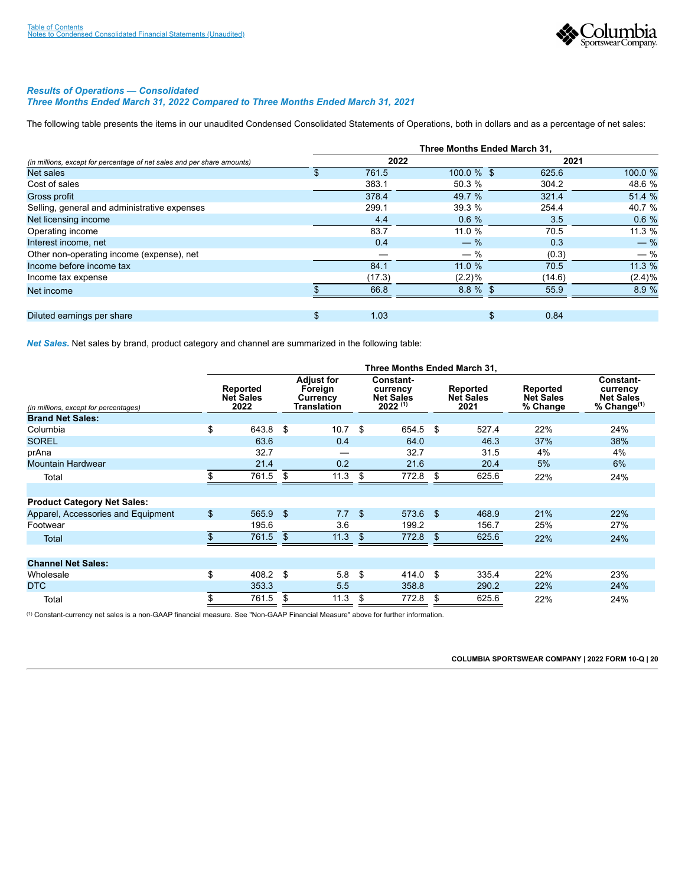

#### *Results of Operations — Consolidated Three Months Ended March 31, 2022 Compared to Three Months Ended March 31, 2021*

The following table presents the items in our unaudited Condensed Consolidated Statements of Operations, both in dollars and as a percentage of net sales:

|                                                                         | Three Months Ended March 31, |        |             |        |           |  |  |  |  |
|-------------------------------------------------------------------------|------------------------------|--------|-------------|--------|-----------|--|--|--|--|
| (in millions, except for percentage of net sales and per share amounts) |                              | 2022   |             |        | 2021      |  |  |  |  |
| Net sales                                                               | S.                           | 761.5  | 100.0 % \$  | 625.6  | 100.0 %   |  |  |  |  |
| Cost of sales                                                           |                              | 383.1  | 50.3 %      | 304.2  | 48.6 %    |  |  |  |  |
| Gross profit                                                            |                              | 378.4  | 49.7 %      | 321.4  | 51.4 %    |  |  |  |  |
| Selling, general and administrative expenses                            |                              | 299.1  | 39.3 %      | 254.4  | 40.7 %    |  |  |  |  |
| Net licensing income                                                    |                              | 4.4    | 0.6%        | 3.5    | 0.6%      |  |  |  |  |
| Operating income                                                        |                              | 83.7   | 11.0 %      | 70.5   | 11.3%     |  |  |  |  |
| Interest income, net                                                    |                              | 0.4    | $-$ %       | 0.3    | $-$ %     |  |  |  |  |
| Other non-operating income (expense), net                               |                              |        | $-$ %       | (0.3)  | $-$ %     |  |  |  |  |
| Income before income tax                                                |                              | 84.1   | 11.0%       | 70.5   | 11.3%     |  |  |  |  |
| Income tax expense                                                      |                              | (17.3) | $(2.2)\%$   | (14.6) | $(2.4)\%$ |  |  |  |  |
| Net income                                                              |                              | 66.8   | $8.8 \%$ \$ | 55.9   | 8.9 %     |  |  |  |  |
|                                                                         |                              |        |             |        |           |  |  |  |  |
| Diluted earnings per share                                              | \$                           | 1.03   | \$          | 0.84   |           |  |  |  |  |

*Net Sales.* Net sales by brand, product category and channel are summarized in the following table:

|                                       | Three Months Ended March 31. |                                      |    |                                                                |      |                                                           |      |                                      |                                          |                                                                    |
|---------------------------------------|------------------------------|--------------------------------------|----|----------------------------------------------------------------|------|-----------------------------------------------------------|------|--------------------------------------|------------------------------------------|--------------------------------------------------------------------|
| (in millions, except for percentages) |                              | Reported<br><b>Net Sales</b><br>2022 |    | <b>Adjust for</b><br>Foreign<br>Currency<br><b>Translation</b> |      | Constant-<br>currency<br><b>Net Sales</b><br>$2022^{(1)}$ |      | Reported<br><b>Net Sales</b><br>2021 | Reported<br><b>Net Sales</b><br>% Change | <b>Constant-</b><br>currency<br><b>Net Sales</b><br>% Change $(1)$ |
| <b>Brand Net Sales:</b>               |                              |                                      |    |                                                                |      |                                                           |      |                                      |                                          |                                                                    |
| Columbia                              | \$                           | 643.8                                | \$ | 10.7                                                           | \$   | 654.5                                                     | - \$ | 527.4                                | 22%                                      | 24%                                                                |
| <b>SOREL</b>                          |                              | 63.6                                 |    | 0.4                                                            |      | 64.0                                                      |      | 46.3                                 | 37%                                      | 38%                                                                |
| prAna                                 |                              | 32.7                                 |    |                                                                |      | 32.7                                                      |      | 31.5                                 | 4%                                       | 4%                                                                 |
| <b>Mountain Hardwear</b>              |                              | 21.4                                 |    | 0.2                                                            |      | 21.6                                                      |      | 20.4                                 | 5%                                       | 6%                                                                 |
| Total                                 |                              | 761.5                                | \$ | 11.3                                                           | \$   | 772.8                                                     | \$   | 625.6                                | 22%                                      | 24%                                                                |
| <b>Product Category Net Sales:</b>    |                              |                                      |    |                                                                |      |                                                           |      |                                      |                                          |                                                                    |
| Apparel, Accessories and Equipment    | \$                           | $565.9$ \$                           |    | 7.7                                                            | \$   | 573.6 \$                                                  |      | 468.9                                | 21%                                      | 22%                                                                |
| Footwear                              |                              | 195.6                                |    | 3.6                                                            |      | 199.2                                                     |      | 156.7                                | 25%                                      | 27%                                                                |
| <b>Total</b>                          |                              | 761.5                                | \$ | 11.3                                                           | \$   | 772.8                                                     | \$   | 625.6                                | 22%                                      | 24%                                                                |
|                                       |                              |                                      |    |                                                                |      |                                                           |      |                                      |                                          |                                                                    |
| <b>Channel Net Sales:</b>             |                              |                                      |    |                                                                |      |                                                           |      |                                      |                                          |                                                                    |
| Wholesale                             | \$                           | 408.2 \$                             |    | 5.8                                                            | - \$ | 414.0 \$                                                  |      | 335.4                                | 22%                                      | 23%                                                                |
| DTC                                   |                              | 353.3                                |    | 5.5                                                            |      | 358.8                                                     |      | 290.2                                | 22%                                      | 24%                                                                |
| Total                                 |                              | 761.5                                | \$ | 11.3                                                           | \$   | 772.8                                                     | \$   | 625.6                                | 22%                                      | 24%                                                                |

<sup>(1)</sup> Constant-currency net sales is a non-GAAP financial measure. See "Non-GAAP Financial Measure" above for further information.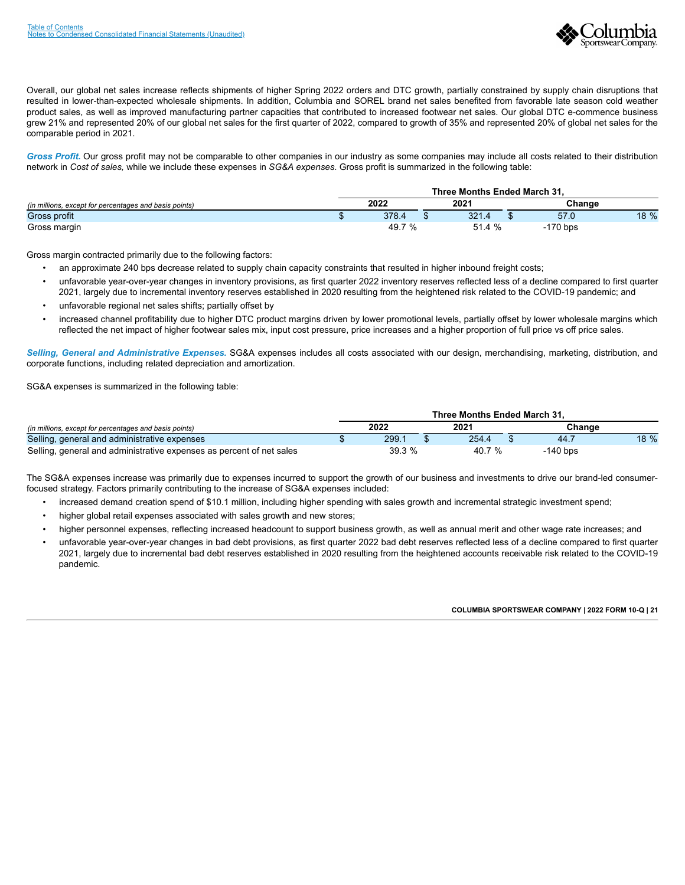

Overall, our global net sales increase reflects shipments of higher Spring 2022 orders and DTC growth, partially constrained by supply chain disruptions that resulted in lower-than-expected wholesale shipments. In addition, Columbia and SOREL brand net sales benefited from favorable late season cold weather product sales, as well as improved manufacturing partner capacities that contributed to increased footwear net sales. Our global DTC e-commence business grew 21% and represented 20% of our global net sales for the first quarter of 2022, compared to growth of 35% and represented 20% of global net sales for the comparable period in 2021.

*Gross Profit.* Our gross profit may not be comparable to other companies in our industry as some companies may include all costs related to their distribution network in *Cost of sales,* while we include these expenses in *SG&A expenses*. Gross profit is summarized in the following table:

|                                                        | Three Months Ended March 31. |        |  |       |  |            |      |
|--------------------------------------------------------|------------------------------|--------|--|-------|--|------------|------|
| (in millions, except for percentages and basis points) |                              | 2022   |  | 2021  |  | Change     |      |
| Gross profit                                           |                              | 378.4  |  | 321.4 |  | 57.0       | 18 % |
| Gross margin                                           |                              | 49.7 % |  | 51.4% |  | $-170$ bps |      |

Gross margin contracted primarily due to the following factors:

- an approximate 240 bps decrease related to supply chain capacity constraints that resulted in higher inbound freight costs;
- unfavorable year-over-year changes in inventory provisions, as first quarter 2022 inventory reserves reflected less of a decline compared to first quarter 2021, largely due to incremental inventory reserves established in 2020 resulting from the heightened risk related to the COVID-19 pandemic; and
- unfavorable regional net sales shifts; partially offset by
- increased channel profitability due to higher DTC product margins driven by lower promotional levels, partially offset by lower wholesale margins which reflected the net impact of higher footwear sales mix, input cost pressure, price increases and a higher proportion of full price vs off price sales.

*Selling, General and Administrative Expenses.* SG&A expenses includes all costs associated with our design, merchandising, marketing, distribution, and corporate functions, including related depreciation and amortization.

SG&A expenses is summarized in the following table:

|                                                                      |       | Three Months Ended March 31. |            |      |
|----------------------------------------------------------------------|-------|------------------------------|------------|------|
| (in millions, except for percentages and basis points)               | 2022  | 2021                         | Chanɑe     |      |
| Selling, general and administrative expenses                         | 299.7 | 254.4                        | 44.7       | 18 % |
| Selling, general and administrative expenses as percent of net sales | 39.3% | 40.7 %                       | $-140$ bps |      |

The SG&A expenses increase was primarily due to expenses incurred to support the growth of our business and investments to drive our brand-led consumerfocused strategy. Factors primarily contributing to the increase of SG&A expenses included:

- increased demand creation spend of \$10.1 million, including higher spending with sales growth and incremental strategic investment spend;
- higher global retail expenses associated with sales growth and new stores;
- higher personnel expenses, reflecting increased headcount to support business growth, as well as annual merit and other wage rate increases; and
- unfavorable year-over-year changes in bad debt provisions, as first quarter 2022 bad debt reserves reflected less of a decline compared to first quarter 2021, largely due to incremental bad debt reserves established in 2020 resulting from the heightened accounts receivable risk related to the COVID-19 pandemic.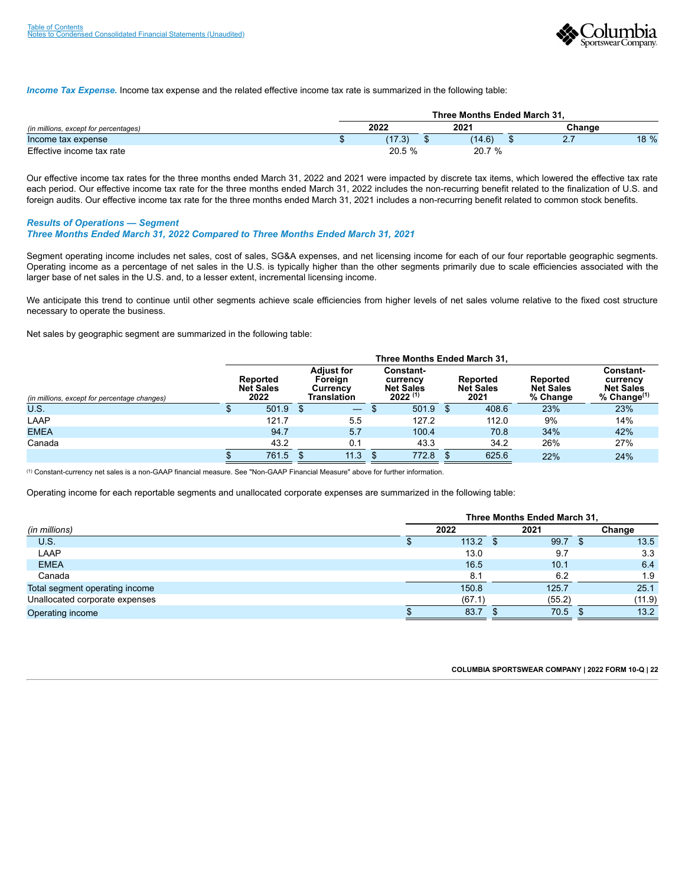

*Income Tax Expense.* Income tax expense and the related effective income tax rate is summarized in the following table:

|                                       | Three Months Ended March 31. |        |  |        |  |        |      |
|---------------------------------------|------------------------------|--------|--|--------|--|--------|------|
| (in millions, except for percentages) |                              | 2022   |  | 2021   |  | Chanɑe |      |
| Income tax expense                    |                              | (17.3) |  | (14.6) |  | $\sim$ | 18 % |
| Effective income tax rate             |                              | 20.5 % |  | 20.7 % |  |        |      |

Our effective income tax rates for the three months ended March 31, 2022 and 2021 were impacted by discrete tax items, which lowered the effective tax rate each period. Our effective income tax rate for the three months ended March 31, 2022 includes the non-recurring benefit related to the finalization of U.S. and foreign audits. Our effective income tax rate for the three months ended March 31, 2021 includes a non-recurring benefit related to common stock benefits.

*Results of Operations — Segment*

*Three Months Ended March 31, 2022 Compared to Three Months Ended March 31, 2021*

Segment operating income includes net sales, cost of sales, SG&A expenses, and net licensing income for each of our four reportable geographic segments. Operating income as a percentage of net sales in the U.S. is typically higher than the other segments primarily due to scale efficiencies associated with the larger base of net sales in the U.S. and, to a lesser extent, incremental licensing income.

We anticipate this trend to continue until other segments achieve scale efficiencies from higher levels of net sales volume relative to the fixed cost structure necessary to operate the business.

Net sales by geographic segment are summarized in the following table:

|                                              | Three Months Ended March 31,         |       |  |                                                         |  |                                                                  |  |                                      |                                          |                                                               |
|----------------------------------------------|--------------------------------------|-------|--|---------------------------------------------------------|--|------------------------------------------------------------------|--|--------------------------------------|------------------------------------------|---------------------------------------------------------------|
| (in millions, except for percentage changes) | Reported<br><b>Net Sales</b><br>2022 |       |  | <b>Adiust for</b><br>Foreian<br>Currency<br>Translation |  | <b>Constant-</b><br>currency<br><b>Net Sales</b><br>$2022^{(1)}$ |  | Reported<br><b>Net Sales</b><br>2021 | Reported<br><b>Net Sales</b><br>% Change | Constant-<br>currency<br><b>Net Sales</b><br>% $Change^{(1)}$ |
| U.S.                                         |                                      | 501.9 |  | $\qquad \qquad -$                                       |  | $501.9$ \$                                                       |  | 408.6                                | 23%                                      | 23%                                                           |
| LAAP                                         |                                      | 121.7 |  | 5.5                                                     |  | 127.2                                                            |  | 112.0                                | 9%                                       | 14%                                                           |
| <b>EMEA</b>                                  |                                      | 94.7  |  | 5.7                                                     |  | 100.4                                                            |  | 70.8                                 | 34%                                      | 42%                                                           |
| Canada                                       |                                      | 43.2  |  | 0.1                                                     |  | 43.3                                                             |  | 34.2                                 | 26%                                      | 27%                                                           |
|                                              |                                      | 761.5 |  | 11.3                                                    |  | 772.8                                                            |  | 625.6                                | 22%                                      | 24%                                                           |

<sup>(1)</sup> Constant-currency net sales is a non-GAAP financial measure. See "Non-GAAP Financial Measure" above for further information.

Operating income for each reportable segments and unallocated corporate expenses are summarized in the following table:

|                                | Three Months Ended March 31, |        |      |        |  |        |
|--------------------------------|------------------------------|--------|------|--------|--|--------|
| (in millions)                  |                              | 2022   |      | 2021   |  | Change |
| U.S.                           |                              | 113.2  | - 35 | 99.7   |  | 13.5   |
| LAAP                           |                              | 13.0   |      | 9.7    |  | 3.3    |
| <b>EMEA</b>                    |                              | 16.5   |      | 10.1   |  | 6.4    |
| Canada                         |                              | 8.1    |      | 6.2    |  | 1.9    |
| Total segment operating income |                              | 150.8  |      | 125.7  |  | 25.1   |
| Unallocated corporate expenses |                              | (67.1) |      | (55.2) |  | (11.9) |
| Operating income               |                              | 83.7   |      | 70.5   |  | 13.2   |

| COLUMBIA SPORTSWEAR COMPANY   2022 FORM 10-Q   22 |  |  |
|---------------------------------------------------|--|--|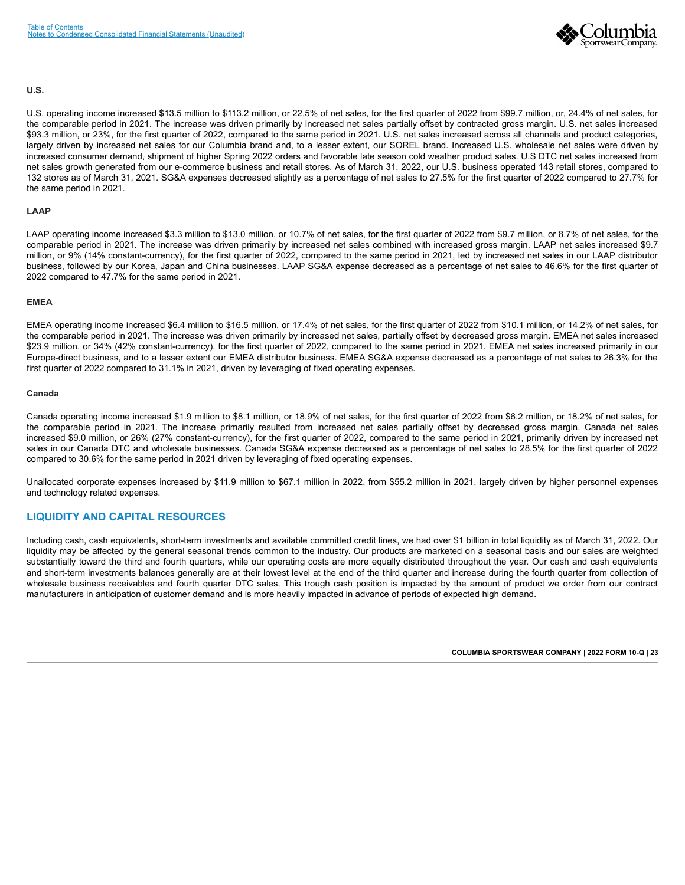

#### **U.S.**

U.S. operating income increased \$13.5 million to \$113.2 million, or 22.5% of net sales, for the first quarter of 2022 from \$99.7 million, or, 24.4% of net sales, for the comparable period in 2021. The increase was driven primarily by increased net sales partially offset by contracted gross margin. U.S. net sales increased \$93.3 million, or 23%, for the first quarter of 2022, compared to the same period in 2021. U.S. net sales increased across all channels and product categories, largely driven by increased net sales for our Columbia brand and, to a lesser extent, our SOREL brand. Increased U.S. wholesale net sales were driven by increased consumer demand, shipment of higher Spring 2022 orders and favorable late season cold weather product sales. U.S DTC net sales increased from net sales growth generated from our e-commerce business and retail stores. As of March 31, 2022, our U.S. business operated 143 retail stores, compared to 132 stores as of March 31, 2021. SG&A expenses decreased slightly as a percentage of net sales to 27.5% for the first quarter of 2022 compared to 27.7% for the same period in 2021.

#### **LAAP**

LAAP operating income increased \$3.3 million to \$13.0 million, or 10.7% of net sales, for the first quarter of 2022 from \$9.7 million, or 8.7% of net sales, for the comparable period in 2021. The increase was driven primarily by increased net sales combined with increased gross margin. LAAP net sales increased \$9.7 million, or 9% (14% constant-currency), for the first quarter of 2022, compared to the same period in 2021, led by increased net sales in our LAAP distributor business, followed by our Korea, Japan and China businesses. LAAP SG&A expense decreased as a percentage of net sales to 46.6% for the first quarter of 2022 compared to 47.7% for the same period in 2021.

#### **EMEA**

EMEA operating income increased \$6.4 million to \$16.5 million, or 17.4% of net sales, for the first quarter of 2022 from \$10.1 million, or 14.2% of net sales, for the comparable period in 2021. The increase was driven primarily by increased net sales, partially offset by decreased gross margin. EMEA net sales increased \$23.9 million, or 34% (42% constant-currency), for the first quarter of 2022, compared to the same period in 2021. EMEA net sales increased primarily in our Europe-direct business, and to a lesser extent our EMEA distributor business. EMEA SG&A expense decreased as a percentage of net sales to 26.3% for the first quarter of 2022 compared to 31.1% in 2021, driven by leveraging of fixed operating expenses.

#### **Canada**

Canada operating income increased \$1.9 million to \$8.1 million, or 18.9% of net sales, for the first quarter of 2022 from \$6.2 million, or 18.2% of net sales, for the comparable period in 2021. The increase primarily resulted from increased net sales partially offset by decreased gross margin. Canada net sales increased \$9.0 million, or 26% (27% constant-currency), for the first quarter of 2022, compared to the same period in 2021, primarily driven by increased net sales in our Canada DTC and wholesale businesses. Canada SG&A expense decreased as a percentage of net sales to 28.5% for the first quarter of 2022 compared to 30.6% for the same period in 2021 driven by leveraging of fixed operating expenses.

Unallocated corporate expenses increased by \$11.9 million to \$67.1 million in 2022, from \$55.2 million in 2021, largely driven by higher personnel expenses and technology related expenses.

### **LIQUIDITY AND CAPITAL RESOURCES**

Including cash, cash equivalents, short-term investments and available committed credit lines, we had over \$1 billion in total liquidity as of March 31, 2022. Our liquidity may be affected by the general seasonal trends common to the industry. Our products are marketed on a seasonal basis and our sales are weighted substantially toward the third and fourth quarters, while our operating costs are more equally distributed throughout the year. Our cash and cash equivalents and short-term investments balances generally are at their lowest level at the end of the third quarter and increase during the fourth quarter from collection of wholesale business receivables and fourth quarter DTC sales. This trough cash position is impacted by the amount of product we order from our contract manufacturers in anticipation of customer demand and is more heavily impacted in advance of periods of expected high demand.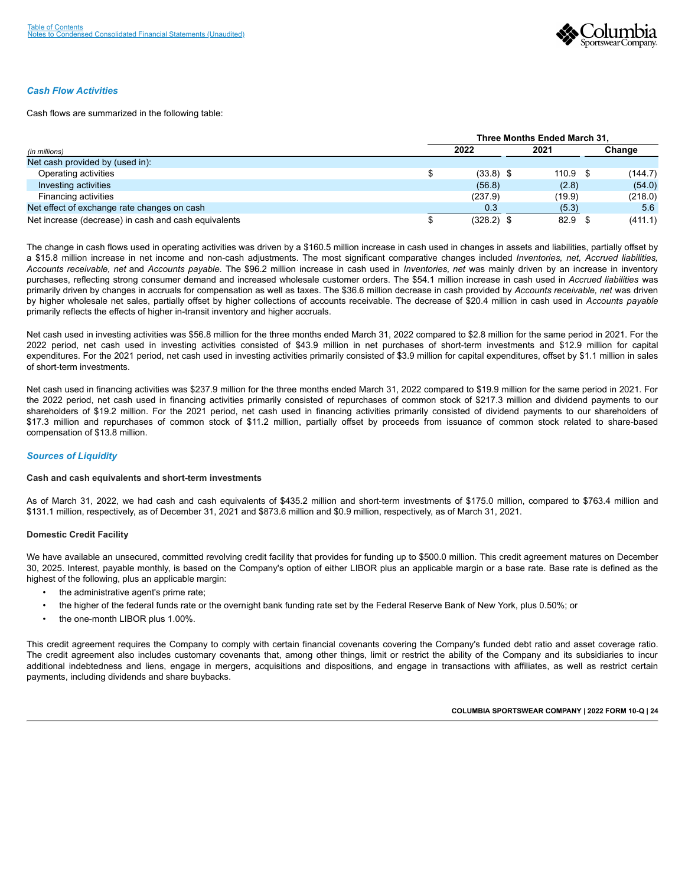

#### *Cash Flow Activities*

Cash flows are summarized in the following table:

|                                                      | Three Months Ended March 31. |              |      |        |         |  |  |  |  |
|------------------------------------------------------|------------------------------|--------------|------|--------|---------|--|--|--|--|
| (in millions)                                        |                              | 2022         | 2021 |        | Change  |  |  |  |  |
| Net cash provided by (used in):                      |                              |              |      |        |         |  |  |  |  |
| Operating activities                                 |                              | $(33.8)$ \$  |      | 110.9  | (144.7) |  |  |  |  |
| Investing activities                                 |                              | (56.8)       |      | (2.8)  | (54.0)  |  |  |  |  |
| Financing activities                                 |                              | (237.9)      |      | (19.9) | (218.0) |  |  |  |  |
| Net effect of exchange rate changes on cash          |                              | 0.3          |      | (5.3)  | 5.6     |  |  |  |  |
| Net increase (decrease) in cash and cash equivalents |                              | $(328.2)$ \$ |      | 82.9   | (411.1) |  |  |  |  |

The change in cash flows used in operating activities was driven by a \$160.5 million increase in cash used in changes in assets and liabilities, partially offset by a \$15.8 million increase in net income and non-cash adjustments. The most significant comparative changes included *Inventories, net, Accrued liabilities, Accounts receivable, net* and *Accounts payable.* The \$96.2 million increase in cash used in *Inventories, net* was mainly driven by an increase in inventory purchases, reflecting strong consumer demand and increased wholesale customer orders. The \$54.1 million increase in cash used in *Accrued liabilities* was primarily driven by changes in accruals for compensation as well as taxes. The \$36.6 million decrease in cash provided by *Accounts receivable, net* was driven by higher wholesale net sales, partially offset by higher collections of accounts receivable. The decrease of \$20.4 million in cash used in *Accounts payable* primarily reflects the effects of higher in-transit inventory and higher accruals.

Net cash used in investing activities was \$56.8 million for the three months ended March 31, 2022 compared to \$2.8 million for the same period in 2021. For the 2022 period, net cash used in investing activities consisted of \$43.9 million in net purchases of short-term investments and \$12.9 million for capital expenditures. For the 2021 period, net cash used in investing activities primarily consisted of \$3.9 million for capital expenditures, offset by \$1.1 million in sales of short-term investments.

Net cash used in financing activities was \$237.9 million for the three months ended March 31, 2022 compared to \$19.9 million for the same period in 2021. For the 2022 period, net cash used in financing activities primarily consisted of repurchases of common stock of \$217.3 million and dividend payments to our shareholders of \$19.2 million. For the 2021 period, net cash used in financing activities primarily consisted of dividend payments to our shareholders of \$17.3 million and repurchases of common stock of \$11.2 million, partially offset by proceeds from issuance of common stock related to share-based compensation of \$13.8 million.

#### *Sources of Liquidity*

#### **Cash and cash equivalents and short-term investments**

As of March 31, 2022, we had cash and cash equivalents of \$435.2 million and short-term investments of \$175.0 million, compared to \$763.4 million and \$131.1 million, respectively, as of December 31, 2021 and \$873.6 million and \$0.9 million, respectively, as of March 31, 2021.

#### **Domestic Credit Facility**

We have available an unsecured, committed revolving credit facility that provides for funding up to \$500.0 million. This credit agreement matures on December 30, 2025. Interest, payable monthly, is based on the Company's option of either LIBOR plus an applicable margin or a base rate. Base rate is defined as the highest of the following, plus an applicable margin:

- the administrative agent's prime rate;
- the higher of the federal funds rate or the overnight bank funding rate set by the Federal Reserve Bank of New York, plus 0.50%; or
- the one-month LIBOR plus 1.00%.

This credit agreement requires the Company to comply with certain financial covenants covering the Company's funded debt ratio and asset coverage ratio. The credit agreement also includes customary covenants that, among other things, limit or restrict the ability of the Company and its subsidiaries to incur additional indebtedness and liens, engage in mergers, acquisitions and dispositions, and engage in transactions with affiliates, as well as restrict certain payments, including dividends and share buybacks.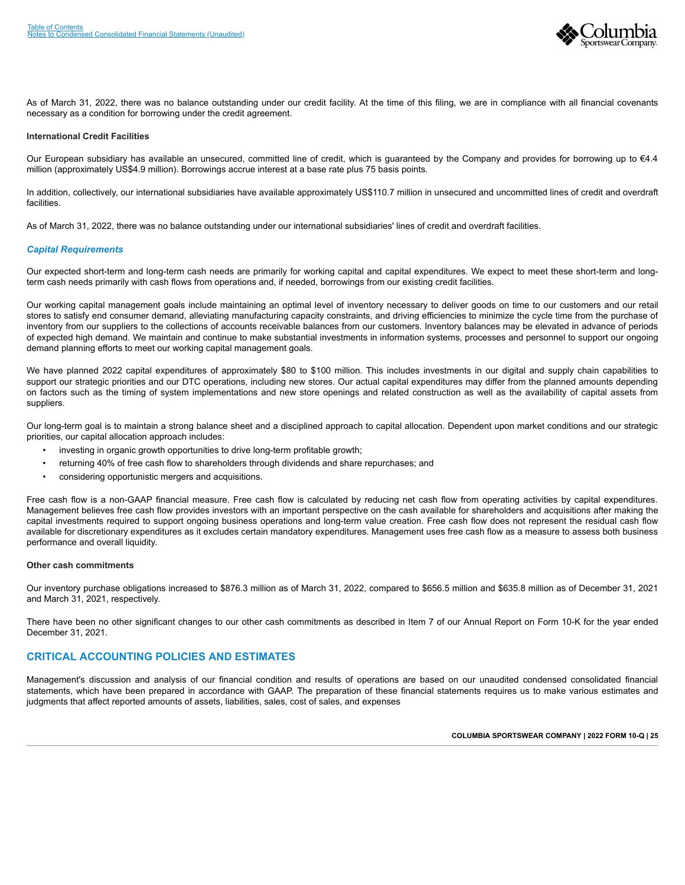

As of March 31, 2022, there was no balance outstanding under our credit facility. At the time of this filing, we are in compliance with all financial covenants necessary as a condition for borrowing under the credit agreement.

#### **International Credit Facilities**

Our European subsidiary has available an unsecured, committed line of credit, which is guaranteed by the Company and provides for borrowing up to €4.4 million (approximately US\$4.9 million). Borrowings accrue interest at a base rate plus 75 basis points.

In addition, collectively, our international subsidiaries have available approximately US\$110.7 million in unsecured and uncommitted lines of credit and overdraft facilities.

As of March 31, 2022, there was no balance outstanding under our international subsidiaries' lines of credit and overdraft facilities.

#### *Capital Requirements*

Our expected short-term and long-term cash needs are primarily for working capital and capital expenditures. We expect to meet these short-term and longterm cash needs primarily with cash flows from operations and, if needed, borrowings from our existing credit facilities.

Our working capital management goals include maintaining an optimal level of inventory necessary to deliver goods on time to our customers and our retail stores to satisfy end consumer demand, alleviating manufacturing capacity constraints, and driving efficiencies to minimize the cycle time from the purchase of inventory from our suppliers to the collections of accounts receivable balances from our customers. Inventory balances may be elevated in advance of periods of expected high demand. We maintain and continue to make substantial investments in information systems, processes and personnel to support our ongoing demand planning efforts to meet our working capital management goals.

We have planned 2022 capital expenditures of approximately \$80 to \$100 million. This includes investments in our digital and supply chain capabilities to support our strategic priorities and our DTC operations, including new stores. Our actual capital expenditures may differ from the planned amounts depending on factors such as the timing of system implementations and new store openings and related construction as well as the availability of capital assets from suppliers.

Our long-term goal is to maintain a strong balance sheet and a disciplined approach to capital allocation. Dependent upon market conditions and our strategic priorities, our capital allocation approach includes:

- investing in organic growth opportunities to drive long-term profitable growth;
- returning 40% of free cash flow to shareholders through dividends and share repurchases; and
- considering opportunistic mergers and acquisitions.

Free cash flow is a non-GAAP financial measure. Free cash flow is calculated by reducing net cash flow from operating activities by capital expenditures. Management believes free cash flow provides investors with an important perspective on the cash available for shareholders and acquisitions after making the capital investments required to support ongoing business operations and long-term value creation. Free cash flow does not represent the residual cash flow available for discretionary expenditures as it excludes certain mandatory expenditures. Management uses free cash flow as a measure to assess both business performance and overall liquidity.

#### **Other cash commitments**

Our inventory purchase obligations increased to \$876.3 million as of March 31, 2022, compared to \$656.5 million and \$635.8 million as of December 31, 2021 and March 31, 2021, respectively.

There have been no other significant changes to our other cash commitments as described in Item 7 of our Annual Report on Form 10-K for the year ended December 31, 2021.

## **CRITICAL ACCOUNTING POLICIES AND ESTIMATES**

Management's discussion and analysis of our financial condition and results of operations are based on our unaudited condensed consolidated financial statements, which have been prepared in accordance with GAAP. The preparation of these financial statements requires us to make various estimates and judgments that affect reported amounts of assets, liabilities, sales, cost of sales, and expenses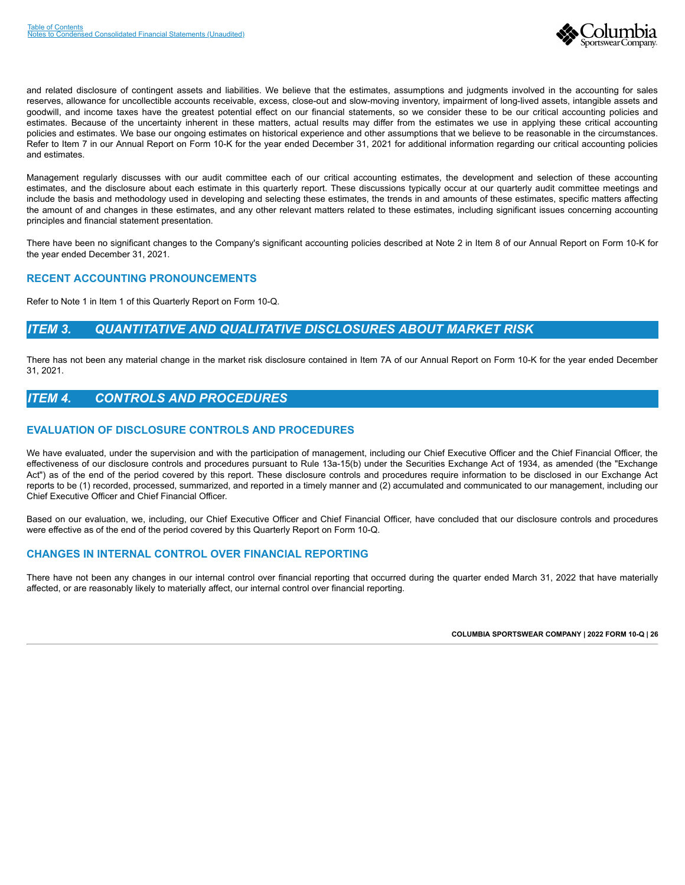

and related disclosure of contingent assets and liabilities. We believe that the estimates, assumptions and judgments involved in the accounting for sales reserves, allowance for uncollectible accounts receivable, excess, close-out and slow-moving inventory, impairment of long-lived assets, intangible assets and goodwill, and income taxes have the greatest potential effect on our financial statements, so we consider these to be our critical accounting policies and estimates. Because of the uncertainty inherent in these matters, actual results may differ from the estimates we use in applying these critical accounting policies and estimates. We base our ongoing estimates on historical experience and other assumptions that we believe to be reasonable in the circumstances. Refer to Item 7 in our Annual Report on Form 10-K for the year ended December 31, 2021 for additional information regarding our critical accounting policies and estimates.

Management regularly discusses with our audit committee each of our critical accounting estimates, the development and selection of these accounting estimates, and the disclosure about each estimate in this quarterly report. These discussions typically occur at our quarterly audit committee meetings and include the basis and methodology used in developing and selecting these estimates, the trends in and amounts of these estimates, specific matters affecting the amount of and changes in these estimates, and any other relevant matters related to these estimates, including significant issues concerning accounting principles and financial statement presentation.

There have been no significant changes to the Company's significant accounting policies described at Note 2 in Item 8 of our Annual Report on Form 10-K for the year ended December 31, 2021.

## **RECENT ACCOUNTING PRONOUNCEMENTS**

Refer to Note 1 in Item 1 of this Quarterly Report on Form 10-Q.

## <span id="page-28-0"></span>*ITEM 3. QUANTITATIVE AND QUALITATIVE DISCLOSURES ABOUT MARKET RISK*

There has not been any material change in the market risk disclosure contained in Item 7A of our Annual Report on Form 10-K for the year ended December 31, 2021.

## <span id="page-28-1"></span>*ITEM 4. CONTROLS AND PROCEDURES*

## **EVALUATION OF DISCLOSURE CONTROLS AND PROCEDURES**

We have evaluated, under the supervision and with the participation of management, including our Chief Executive Officer and the Chief Financial Officer, the effectiveness of our disclosure controls and procedures pursuant to Rule 13a-15(b) under the Securities Exchange Act of 1934, as amended (the "Exchange Act") as of the end of the period covered by this report. These disclosure controls and procedures require information to be disclosed in our Exchange Act reports to be (1) recorded, processed, summarized, and reported in a timely manner and (2) accumulated and communicated to our management, including our Chief Executive Officer and Chief Financial Officer.

Based on our evaluation, we, including, our Chief Executive Officer and Chief Financial Officer, have concluded that our disclosure controls and procedures were effective as of the end of the period covered by this Quarterly Report on Form 10-Q.

## **CHANGES IN INTERNAL CONTROL OVER FINANCIAL REPORTING**

<span id="page-28-2"></span>There have not been any changes in our internal control over financial reporting that occurred during the quarter ended March 31, 2022 that have materially affected, or are reasonably likely to materially affect, our internal control over financial reporting.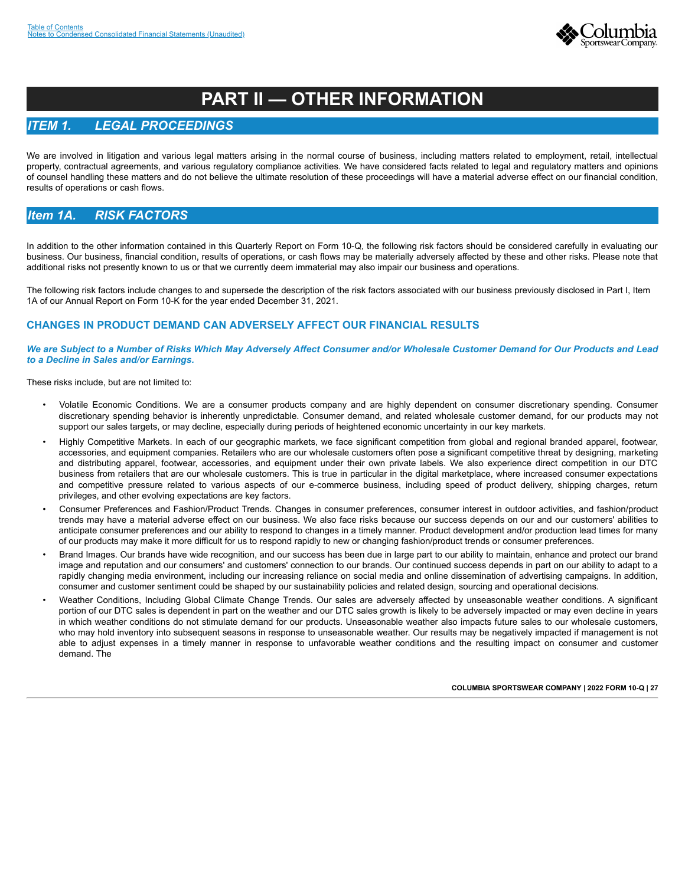

# **PART II — OTHER INFORMATION**

## <span id="page-29-0"></span>*ITEM 1. LEGAL PROCEEDINGS*

We are involved in litigation and various legal matters arising in the normal course of business, including matters related to employment, retail, intellectual property, contractual agreements, and various regulatory compliance activities. We have considered facts related to legal and regulatory matters and opinions of counsel handling these matters and do not believe the ultimate resolution of these proceedings will have a material adverse effect on our financial condition, results of operations or cash flows.

## <span id="page-29-1"></span>*Item 1A. RISK FACTORS*

In addition to the other information contained in this Quarterly Report on Form 10-Q, the following risk factors should be considered carefully in evaluating our business. Our business, financial condition, results of operations, or cash flows may be materially adversely affected by these and other risks. Please note that additional risks not presently known to us or that we currently deem immaterial may also impair our business and operations.

The following risk factors include changes to and supersede the description of the risk factors associated with our business previously disclosed in Part I, Item 1A of our Annual Report on Form 10-K for the year ended December 31, 2021.

## **CHANGES IN PRODUCT DEMAND CAN ADVERSELY AFFECT OUR FINANCIAL RESULTS**

*We are Subject to a Number of Risks Which May Adversely Affect Consumer and/or Wholesale Customer Demand for Our Products and Lead to a Decline in Sales and/or Earnings.*

These risks include, but are not limited to:

- Volatile Economic Conditions. We are a consumer products company and are highly dependent on consumer discretionary spending. Consumer discretionary spending behavior is inherently unpredictable. Consumer demand, and related wholesale customer demand, for our products may not support our sales targets, or may decline, especially during periods of heightened economic uncertainty in our key markets.
- Highly Competitive Markets. In each of our geographic markets, we face significant competition from global and regional branded apparel, footwear, accessories, and equipment companies. Retailers who are our wholesale customers often pose a significant competitive threat by designing, marketing and distributing apparel, footwear, accessories, and equipment under their own private labels. We also experience direct competition in our DTC business from retailers that are our wholesale customers. This is true in particular in the digital marketplace, where increased consumer expectations and competitive pressure related to various aspects of our e-commerce business, including speed of product delivery, shipping charges, return privileges, and other evolving expectations are key factors.
- Consumer Preferences and Fashion/Product Trends. Changes in consumer preferences, consumer interest in outdoor activities, and fashion/product trends may have a material adverse effect on our business. We also face risks because our success depends on our and our customers' abilities to anticipate consumer preferences and our ability to respond to changes in a timely manner. Product development and/or production lead times for many of our products may make it more difficult for us to respond rapidly to new or changing fashion/product trends or consumer preferences.
- Brand Images. Our brands have wide recognition, and our success has been due in large part to our ability to maintain, enhance and protect our brand image and reputation and our consumers' and customers' connection to our brands. Our continued success depends in part on our ability to adapt to a rapidly changing media environment, including our increasing reliance on social media and online dissemination of advertising campaigns. In addition, consumer and customer sentiment could be shaped by our sustainability policies and related design, sourcing and operational decisions.
- Weather Conditions, Including Global Climate Change Trends. Our sales are adversely affected by unseasonable weather conditions. A significant portion of our DTC sales is dependent in part on the weather and our DTC sales growth is likely to be adversely impacted or may even decline in years in which weather conditions do not stimulate demand for our products. Unseasonable weather also impacts future sales to our wholesale customers, who may hold inventory into subsequent seasons in response to unseasonable weather. Our results may be negatively impacted if management is not able to adjust expenses in a timely manner in response to unfavorable weather conditions and the resulting impact on consumer and customer demand. The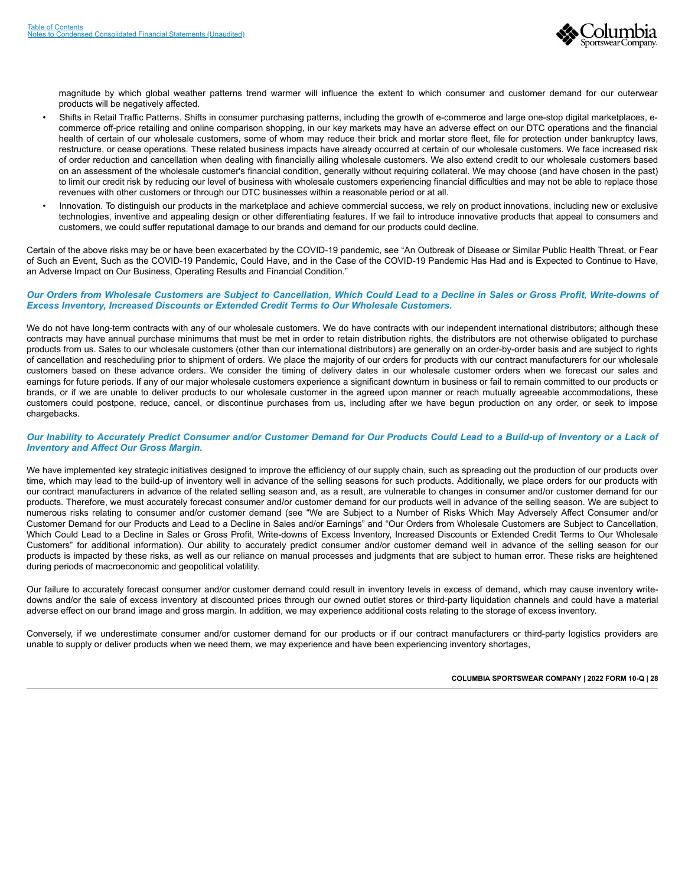

magnitude by which global weather patterns trend warmer will influence the extent to which consumer and customer demand for our outerwear products will be negatively affected.

- Shifts in Retail Traffic Patterns. Shifts in consumer purchasing patterns, including the growth of e-commerce and large one-stop digital marketplaces, ecommerce off-price retailing and online comparison shopping, in our key markets may have an adverse effect on our DTC operations and the financial health of certain of our wholesale customers, some of whom may reduce their brick and mortar store fleet, file for protection under bankruptcy laws, restructure, or cease operations. These related business impacts have already occurred at certain of our wholesale customers. We face increased risk of order reduction and cancellation when dealing with financially ailing wholesale customers. We also extend credit to our wholesale customers based on an assessment of the wholesale customer's financial condition, generally without requiring collateral. We may choose (and have chosen in the past) to limit our credit risk by reducing our level of business with wholesale customers experiencing financial difficulties and may not be able to replace those revenues with other customers or through our DTC businesses within a reasonable period or at all.
- Innovation. To distinguish our products in the marketplace and achieve commercial success, we rely on product innovations, including new or exclusive technologies, inventive and appealing design or other differentiating features. If we fail to introduce innovative products that appeal to consumers and customers, we could suffer reputational damage to our brands and demand for our products could decline.

Certain of the above risks may be or have been exacerbated by the COVID-19 pandemic, see "An Outbreak of Disease or Similar Public Health Threat, or Fear of Such an Event, Such as the COVID-19 Pandemic, Could Have, and in the Case of the COVID-19 Pandemic Has Had and is Expected to Continue to Have, an Adverse Impact on Our Business, Operating Results and Financial Condition."

#### *Our Orders from Wholesale Customers are Subject to Cancellation, Which Could Lead to a Decline in Sales or Gross Profit, Write-downs of Excess Inventory, Increased Discounts or Extended Credit Terms to Our Wholesale Customers.*

We do not have long-term contracts with any of our wholesale customers. We do have contracts with our independent international distributors; although these contracts may have annual purchase minimums that must be met in order to retain distribution rights, the distributors are not otherwise obligated to purchase products from us. Sales to our wholesale customers (other than our international distributors) are generally on an order-by-order basis and are subject to rights of cancellation and rescheduling prior to shipment of orders. We place the majority of our orders for products with our contract manufacturers for our wholesale customers based on these advance orders. We consider the timing of delivery dates in our wholesale customer orders when we forecast our sales and earnings for future periods. If any of our major wholesale customers experience a significant downturn in business or fail to remain committed to our products or brands, or if we are unable to deliver products to our wholesale customer in the agreed upon manner or reach mutually agreeable accommodations, these customers could postpone, reduce, cancel, or discontinue purchases from us, including after we have begun production on any order, or seek to impose chargebacks.

#### *Our Inability to Accurately Predict Consumer and/or Customer Demand for Our Products Could Lead to a Build-up of Inventory or a Lack of Inventory and Affect Our Gross Margin.*

We have implemented key strategic initiatives designed to improve the efficiency of our supply chain, such as spreading out the production of our products over time, which may lead to the build-up of inventory well in advance of the selling seasons for such products. Additionally, we place orders for our products with our contract manufacturers in advance of the related selling season and, as a result, are vulnerable to changes in consumer and/or customer demand for our products. Therefore, we must accurately forecast consumer and/or customer demand for our products well in advance of the selling season. We are subject to numerous risks relating to consumer and/or customer demand (see "We are Subject to a Number of Risks Which May Adversely Affect Consumer and/or Customer Demand for our Products and Lead to a Decline in Sales and/or Earnings" and "Our Orders from Wholesale Customers are Subject to Cancellation, Which Could Lead to a Decline in Sales or Gross Profit, Write-downs of Excess Inventory, Increased Discounts or Extended Credit Terms to Our Wholesale Customers" for additional information). Our ability to accurately predict consumer and/or customer demand well in advance of the selling season for our products is impacted by these risks, as well as our reliance on manual processes and judgments that are subject to human error. These risks are heightened during periods of macroeconomic and geopolitical volatility.

Our failure to accurately forecast consumer and/or customer demand could result in inventory levels in excess of demand, which may cause inventory writedowns and/or the sale of excess inventory at discounted prices through our owned outlet stores or third-party liquidation channels and could have a material adverse effect on our brand image and gross margin. In addition, we may experience additional costs relating to the storage of excess inventory.

Conversely, if we underestimate consumer and/or customer demand for our products or if our contract manufacturers or third-party logistics providers are unable to supply or deliver products when we need them, we may experience and have been experiencing inventory shortages,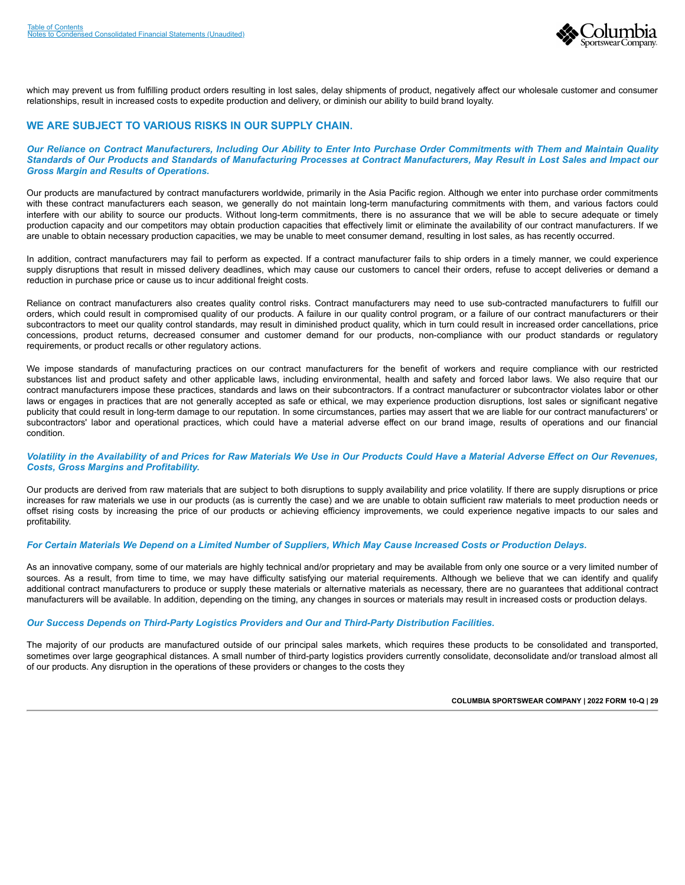

which may prevent us from fulfilling product orders resulting in lost sales, delay shipments of product, negatively affect our wholesale customer and consumer relationships, result in increased costs to expedite production and delivery, or diminish our ability to build brand loyalty.

## **WE ARE SUBJECT TO VARIOUS RISKS IN OUR SUPPLY CHAIN.**

#### *Our Reliance on Contract Manufacturers, Including Our Ability to Enter Into Purchase Order Commitments with Them and Maintain Quality Standards of Our Products and Standards of Manufacturing Processes at Contract Manufacturers, May Result in Lost Sales and Impact our Gross Margin and Results of Operations.*

Our products are manufactured by contract manufacturers worldwide, primarily in the Asia Pacific region. Although we enter into purchase order commitments with these contract manufacturers each season, we generally do not maintain long-term manufacturing commitments with them, and various factors could interfere with our ability to source our products. Without long-term commitments, there is no assurance that we will be able to secure adequate or timely production capacity and our competitors may obtain production capacities that effectively limit or eliminate the availability of our contract manufacturers. If we are unable to obtain necessary production capacities, we may be unable to meet consumer demand, resulting in lost sales, as has recently occurred.

In addition, contract manufacturers may fail to perform as expected. If a contract manufacturer fails to ship orders in a timely manner, we could experience supply disruptions that result in missed delivery deadlines, which may cause our customers to cancel their orders, refuse to accept deliveries or demand a reduction in purchase price or cause us to incur additional freight costs.

Reliance on contract manufacturers also creates quality control risks. Contract manufacturers may need to use sub-contracted manufacturers to fulfill our orders, which could result in compromised quality of our products. A failure in our quality control program, or a failure of our contract manufacturers or their subcontractors to meet our quality control standards, may result in diminished product quality, which in turn could result in increased order cancellations, price concessions, product returns, decreased consumer and customer demand for our products, non-compliance with our product standards or regulatory requirements, or product recalls or other regulatory actions.

We impose standards of manufacturing practices on our contract manufacturers for the benefit of workers and require compliance with our restricted substances list and product safety and other applicable laws, including environmental, health and safety and forced labor laws. We also require that our contract manufacturers impose these practices, standards and laws on their subcontractors. If a contract manufacturer or subcontractor violates labor or other laws or engages in practices that are not generally accepted as safe or ethical, we may experience production disruptions, lost sales or significant negative publicity that could result in long-term damage to our reputation. In some circumstances, parties may assert that we are liable for our contract manufacturers' or subcontractors' labor and operational practices, which could have a material adverse effect on our brand image, results of operations and our financial condition.

#### *Volatility in the Availability of and Prices for Raw Materials We Use in Our Products Could Have a Material Adverse Effect on Our Revenues, Costs, Gross Margins and Profitability.*

Our products are derived from raw materials that are subject to both disruptions to supply availability and price volatility. If there are supply disruptions or price increases for raw materials we use in our products (as is currently the case) and we are unable to obtain sufficient raw materials to meet production needs or offset rising costs by increasing the price of our products or achieving efficiency improvements, we could experience negative impacts to our sales and profitability.

#### *For Certain Materials We Depend on a Limited Number of Suppliers, Which May Cause Increased Costs or Production Delays.*

As an innovative company, some of our materials are highly technical and/or proprietary and may be available from only one source or a very limited number of sources. As a result, from time to time, we may have difficulty satisfying our material requirements. Although we believe that we can identify and qualify additional contract manufacturers to produce or supply these materials or alternative materials as necessary, there are no guarantees that additional contract manufacturers will be available. In addition, depending on the timing, any changes in sources or materials may result in increased costs or production delays.

#### *Our Success Depends on Third-Party Logistics Providers and Our and Third-Party Distribution Facilities.*

The majority of our products are manufactured outside of our principal sales markets, which requires these products to be consolidated and transported, sometimes over large geographical distances. A small number of third-party logistics providers currently consolidate, deconsolidate and/or transload almost all of our products. Any disruption in the operations of these providers or changes to the costs they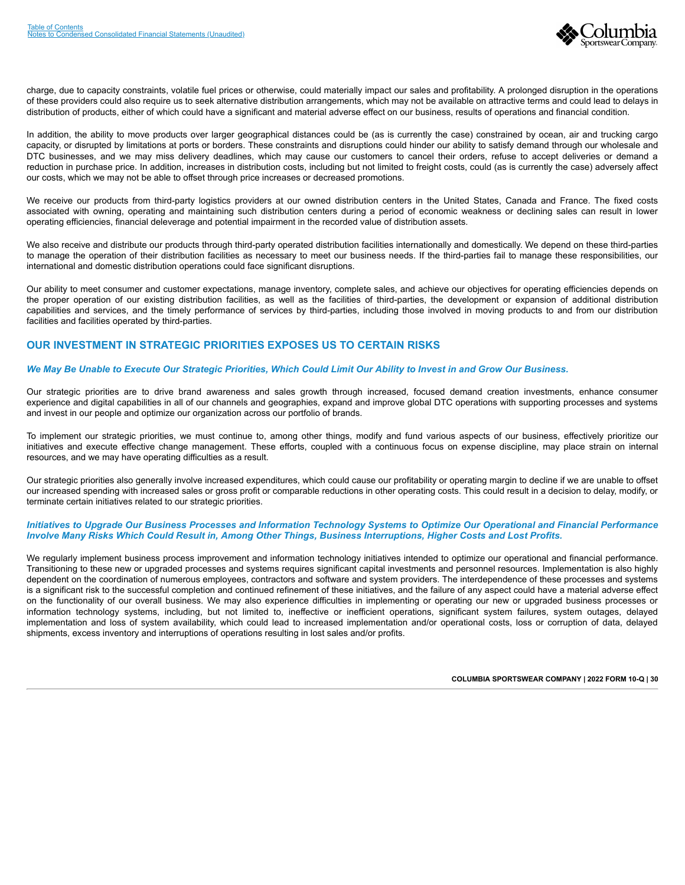

charge, due to capacity constraints, volatile fuel prices or otherwise, could materially impact our sales and profitability. A prolonged disruption in the operations of these providers could also require us to seek alternative distribution arrangements, which may not be available on attractive terms and could lead to delays in distribution of products, either of which could have a significant and material adverse effect on our business, results of operations and financial condition.

In addition, the ability to move products over larger geographical distances could be (as is currently the case) constrained by ocean, air and trucking cargo capacity, or disrupted by limitations at ports or borders. These constraints and disruptions could hinder our ability to satisfy demand through our wholesale and DTC businesses, and we may miss delivery deadlines, which may cause our customers to cancel their orders, refuse to accept deliveries or demand a reduction in purchase price. In addition, increases in distribution costs, including but not limited to freight costs, could (as is currently the case) adversely affect our costs, which we may not be able to offset through price increases or decreased promotions.

We receive our products from third-party logistics providers at our owned distribution centers in the United States, Canada and France. The fixed costs associated with owning, operating and maintaining such distribution centers during a period of economic weakness or declining sales can result in lower operating efficiencies, financial deleverage and potential impairment in the recorded value of distribution assets.

We also receive and distribute our products through third-party operated distribution facilities internationally and domestically. We depend on these third-parties to manage the operation of their distribution facilities as necessary to meet our business needs. If the third-parties fail to manage these responsibilities, our international and domestic distribution operations could face significant disruptions.

Our ability to meet consumer and customer expectations, manage inventory, complete sales, and achieve our objectives for operating efficiencies depends on the proper operation of our existing distribution facilities, as well as the facilities of third-parties, the development or expansion of additional distribution capabilities and services, and the timely performance of services by third-parties, including those involved in moving products to and from our distribution facilities and facilities operated by third-parties.

## **OUR INVESTMENT IN STRATEGIC PRIORITIES EXPOSES US TO CERTAIN RISKS**

#### *We May Be Unable to Execute Our Strategic Priorities, Which Could Limit Our Ability to Invest in and Grow Our Business.*

Our strategic priorities are to drive brand awareness and sales growth through increased, focused demand creation investments, enhance consumer experience and digital capabilities in all of our channels and geographies, expand and improve global DTC operations with supporting processes and systems and invest in our people and optimize our organization across our portfolio of brands.

To implement our strategic priorities, we must continue to, among other things, modify and fund various aspects of our business, effectively prioritize our initiatives and execute effective change management. These efforts, coupled with a continuous focus on expense discipline, may place strain on internal resources, and we may have operating difficulties as a result.

Our strategic priorities also generally involve increased expenditures, which could cause our profitability or operating margin to decline if we are unable to offset our increased spending with increased sales or gross profit or comparable reductions in other operating costs. This could result in a decision to delay, modify, or terminate certain initiatives related to our strategic priorities.

#### *Initiatives to Upgrade Our Business Processes and Information Technology Systems to Optimize Our Operational and Financial Performance Involve Many Risks Which Could Result in, Among Other Things, Business Interruptions, Higher Costs and Lost Profits.*

We regularly implement business process improvement and information technology initiatives intended to optimize our operational and financial performance. Transitioning to these new or upgraded processes and systems requires significant capital investments and personnel resources. Implementation is also highly dependent on the coordination of numerous employees, contractors and software and system providers. The interdependence of these processes and systems is a significant risk to the successful completion and continued refinement of these initiatives, and the failure of any aspect could have a material adverse effect on the functionality of our overall business. We may also experience difficulties in implementing or operating our new or upgraded business processes or information technology systems, including, but not limited to, ineffective or inefficient operations, significant system failures, system outages, delayed implementation and loss of system availability, which could lead to increased implementation and/or operational costs, loss or corruption of data, delayed shipments, excess inventory and interruptions of operations resulting in lost sales and/or profits.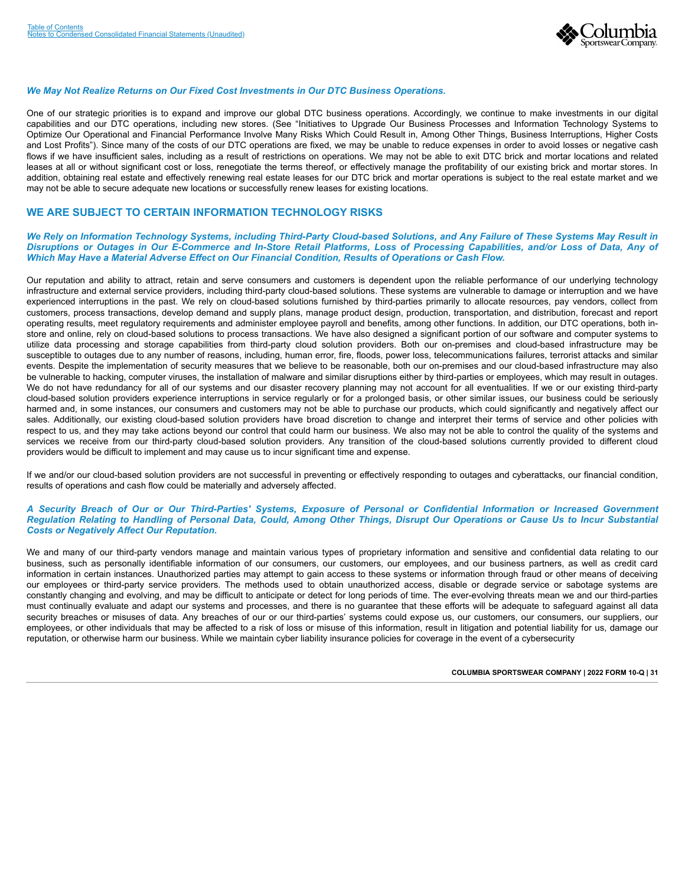

#### *We May Not Realize Returns on Our Fixed Cost Investments in Our DTC Business Operations.*

One of our strategic priorities is to expand and improve our global DTC business operations. Accordingly, we continue to make investments in our digital capabilities and our DTC operations, including new stores. (See "Initiatives to Upgrade Our Business Processes and Information Technology Systems to Optimize Our Operational and Financial Performance Involve Many Risks Which Could Result in, Among Other Things, Business Interruptions, Higher Costs and Lost Profits"). Since many of the costs of our DTC operations are fixed, we may be unable to reduce expenses in order to avoid losses or negative cash flows if we have insufficient sales, including as a result of restrictions on operations. We may not be able to exit DTC brick and mortar locations and related leases at all or without significant cost or loss, renegotiate the terms thereof, or effectively manage the profitability of our existing brick and mortar stores. In addition, obtaining real estate and effectively renewing real estate leases for our DTC brick and mortar operations is subject to the real estate market and we may not be able to secure adequate new locations or successfully renew leases for existing locations.

### **WE ARE SUBJECT TO CERTAIN INFORMATION TECHNOLOGY RISKS**

#### *We Rely on Information Technology Systems, including Third-Party Cloud-based Solutions, and Any Failure of These Systems May Result in Disruptions or Outages in Our E-Commerce and In-Store Retail Platforms, Loss of Processing Capabilities, and/or Loss of Data, Any of Which May Have a Material Adverse Effect on Our Financial Condition, Results of Operations or Cash Flow.*

Our reputation and ability to attract, retain and serve consumers and customers is dependent upon the reliable performance of our underlying technology infrastructure and external service providers, including third-party cloud-based solutions. These systems are vulnerable to damage or interruption and we have experienced interruptions in the past. We rely on cloud-based solutions furnished by third-parties primarily to allocate resources, pay vendors, collect from customers, process transactions, develop demand and supply plans, manage product design, production, transportation, and distribution, forecast and report operating results, meet regulatory requirements and administer employee payroll and benefits, among other functions. In addition, our DTC operations, both instore and online, rely on cloud-based solutions to process transactions. We have also designed a significant portion of our software and computer systems to utilize data processing and storage capabilities from third-party cloud solution providers. Both our on-premises and cloud-based infrastructure may be susceptible to outages due to any number of reasons, including, human error, fire, floods, power loss, telecommunications failures, terrorist attacks and similar events. Despite the implementation of security measures that we believe to be reasonable, both our on-premises and our cloud-based infrastructure may also be vulnerable to hacking, computer viruses, the installation of malware and similar disruptions either by third-parties or employees, which may result in outages. We do not have redundancy for all of our systems and our disaster recovery planning may not account for all eventualities. If we or our existing third-party cloud-based solution providers experience interruptions in service regularly or for a prolonged basis, or other similar issues, our business could be seriously harmed and, in some instances, our consumers and customers may not be able to purchase our products, which could significantly and negatively affect our sales. Additionally, our existing cloud-based solution providers have broad discretion to change and interpret their terms of service and other policies with respect to us, and they may take actions beyond our control that could harm our business. We also may not be able to control the quality of the systems and services we receive from our third-party cloud-based solution providers. Any transition of the cloud-based solutions currently provided to different cloud providers would be difficult to implement and may cause us to incur significant time and expense.

If we and/or our cloud-based solution providers are not successful in preventing or effectively responding to outages and cyberattacks, our financial condition, results of operations and cash flow could be materially and adversely affected.

#### *A Security Breach of Our or Our Third-Parties' Systems, Exposure of Personal or Confidential Information or Increased Government Regulation Relating to Handling of Personal Data, Could, Among Other Things, Disrupt Our Operations or Cause Us to Incur Substantial Costs or Negatively Affect Our Reputation.*

We and many of our third-party vendors manage and maintain various types of proprietary information and sensitive and confidential data relating to our business, such as personally identifiable information of our consumers, our customers, our employees, and our business partners, as well as credit card information in certain instances. Unauthorized parties may attempt to gain access to these systems or information through fraud or other means of deceiving our employees or third-party service providers. The methods used to obtain unauthorized access, disable or degrade service or sabotage systems are constantly changing and evolving, and may be difficult to anticipate or detect for long periods of time. The ever-evolving threats mean we and our third-parties must continually evaluate and adapt our systems and processes, and there is no guarantee that these efforts will be adequate to safeguard against all data security breaches or misuses of data. Any breaches of our or our third-parties' systems could expose us, our customers, our consumers, our suppliers, our employees, or other individuals that may be affected to a risk of loss or misuse of this information, result in litigation and potential liability for us, damage our reputation, or otherwise harm our business. While we maintain cyber liability insurance policies for coverage in the event of a cybersecurity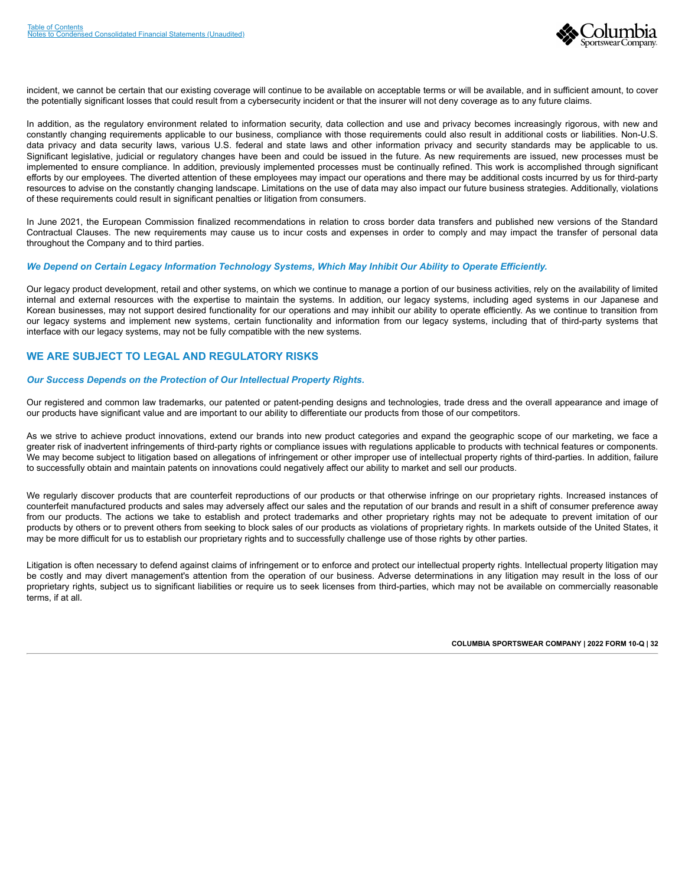

incident, we cannot be certain that our existing coverage will continue to be available on acceptable terms or will be available, and in sufficient amount, to cover the potentially significant losses that could result from a cybersecurity incident or that the insurer will not deny coverage as to any future claims.

In addition, as the regulatory environment related to information security, data collection and use and privacy becomes increasingly rigorous, with new and constantly changing requirements applicable to our business, compliance with those requirements could also result in additional costs or liabilities. Non-U.S. data privacy and data security laws, various U.S. federal and state laws and other information privacy and security standards may be applicable to us. Significant legislative, judicial or regulatory changes have been and could be issued in the future. As new requirements are issued, new processes must be implemented to ensure compliance. In addition, previously implemented processes must be continually refined. This work is accomplished through significant efforts by our employees. The diverted attention of these employees may impact our operations and there may be additional costs incurred by us for third-party resources to advise on the constantly changing landscape. Limitations on the use of data may also impact our future business strategies. Additionally, violations of these requirements could result in significant penalties or litigation from consumers.

In June 2021, the European Commission finalized recommendations in relation to cross border data transfers and published new versions of the Standard Contractual Clauses. The new requirements may cause us to incur costs and expenses in order to comply and may impact the transfer of personal data throughout the Company and to third parties.

## *We Depend on Certain Legacy Information Technology Systems, Which May Inhibit Our Ability to Operate Efficiently.*

Our legacy product development, retail and other systems, on which we continue to manage a portion of our business activities, rely on the availability of limited internal and external resources with the expertise to maintain the systems. In addition, our legacy systems, including aged systems in our Japanese and Korean businesses, may not support desired functionality for our operations and may inhibit our ability to operate efficiently. As we continue to transition from our legacy systems and implement new systems, certain functionality and information from our legacy systems, including that of third-party systems that interface with our legacy systems, may not be fully compatible with the new systems.

### **WE ARE SUBJECT TO LEGAL AND REGULATORY RISKS**

#### *Our Success Depends on the Protection of Our Intellectual Property Rights.*

Our registered and common law trademarks, our patented or patent-pending designs and technologies, trade dress and the overall appearance and image of our products have significant value and are important to our ability to differentiate our products from those of our competitors.

As we strive to achieve product innovations, extend our brands into new product categories and expand the geographic scope of our marketing, we face a greater risk of inadvertent infringements of third-party rights or compliance issues with regulations applicable to products with technical features or components. We may become subject to litigation based on allegations of infringement or other improper use of intellectual property rights of third-parties. In addition, failure to successfully obtain and maintain patents on innovations could negatively affect our ability to market and sell our products.

We regularly discover products that are counterfeit reproductions of our products or that otherwise infringe on our proprietary rights. Increased instances of counterfeit manufactured products and sales may adversely affect our sales and the reputation of our brands and result in a shift of consumer preference away from our products. The actions we take to establish and protect trademarks and other proprietary rights may not be adequate to prevent imitation of our products by others or to prevent others from seeking to block sales of our products as violations of proprietary rights. In markets outside of the United States, it may be more difficult for us to establish our proprietary rights and to successfully challenge use of those rights by other parties.

Litigation is often necessary to defend against claims of infringement or to enforce and protect our intellectual property rights. Intellectual property litigation may be costly and may divert management's attention from the operation of our business. Adverse determinations in any litigation may result in the loss of our proprietary rights, subject us to significant liabilities or require us to seek licenses from third-parties, which may not be available on commercially reasonable terms, if at all.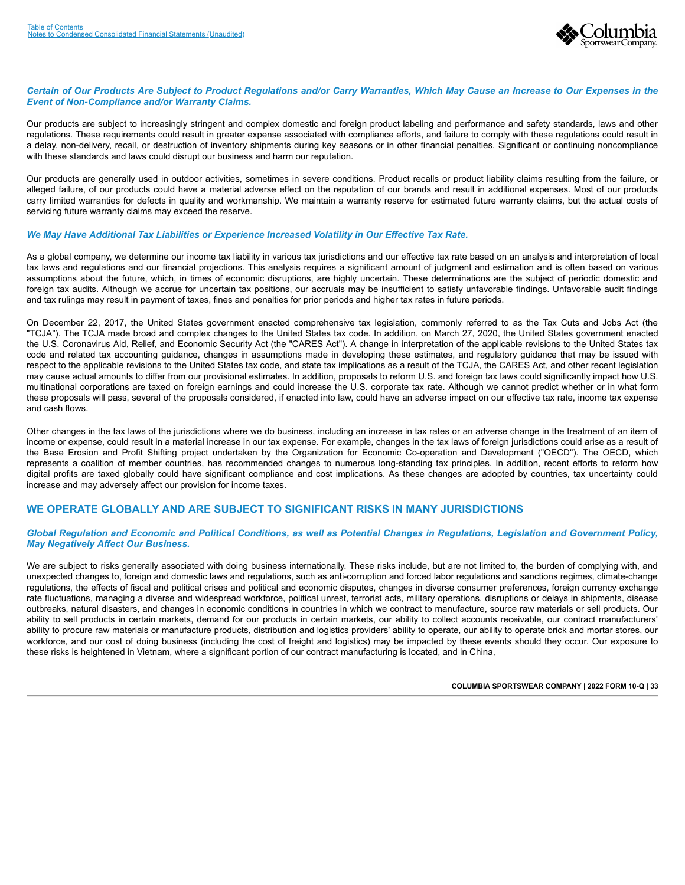

#### *Certain of Our Products Are Subject to Product Regulations and/or Carry Warranties, Which May Cause an Increase to Our Expenses in the Event of Non-Compliance and/or Warranty Claims.*

Our products are subject to increasingly stringent and complex domestic and foreign product labeling and performance and safety standards, laws and other regulations. These requirements could result in greater expense associated with compliance efforts, and failure to comply with these regulations could result in a delay, non-delivery, recall, or destruction of inventory shipments during key seasons or in other financial penalties. Significant or continuing noncompliance with these standards and laws could disrupt our business and harm our reputation.

Our products are generally used in outdoor activities, sometimes in severe conditions. Product recalls or product liability claims resulting from the failure, or alleged failure, of our products could have a material adverse effect on the reputation of our brands and result in additional expenses. Most of our products carry limited warranties for defects in quality and workmanship. We maintain a warranty reserve for estimated future warranty claims, but the actual costs of servicing future warranty claims may exceed the reserve.

#### *We May Have Additional Tax Liabilities or Experience Increased Volatility in Our Effective Tax Rate.*

As a global company, we determine our income tax liability in various tax jurisdictions and our effective tax rate based on an analysis and interpretation of local tax laws and regulations and our financial projections. This analysis requires a significant amount of judgment and estimation and is often based on various assumptions about the future, which, in times of economic disruptions, are highly uncertain. These determinations are the subject of periodic domestic and foreign tax audits. Although we accrue for uncertain tax positions, our accruals may be insufficient to satisfy unfavorable findings. Unfavorable audit findings and tax rulings may result in payment of taxes, fines and penalties for prior periods and higher tax rates in future periods.

On December 22, 2017, the United States government enacted comprehensive tax legislation, commonly referred to as the Tax Cuts and Jobs Act (the "TCJA"). The TCJA made broad and complex changes to the United States tax code. In addition, on March 27, 2020, the United States government enacted the U.S. Coronavirus Aid, Relief, and Economic Security Act (the "CARES Act"). A change in interpretation of the applicable revisions to the United States tax code and related tax accounting guidance, changes in assumptions made in developing these estimates, and regulatory guidance that may be issued with respect to the applicable revisions to the United States tax code, and state tax implications as a result of the TCJA, the CARES Act, and other recent legislation may cause actual amounts to differ from our provisional estimates. In addition, proposals to reform U.S. and foreign tax laws could significantly impact how U.S. multinational corporations are taxed on foreign earnings and could increase the U.S. corporate tax rate. Although we cannot predict whether or in what form these proposals will pass, several of the proposals considered, if enacted into law, could have an adverse impact on our effective tax rate, income tax expense and cash flows.

Other changes in the tax laws of the jurisdictions where we do business, including an increase in tax rates or an adverse change in the treatment of an item of income or expense, could result in a material increase in our tax expense. For example, changes in the tax laws of foreign jurisdictions could arise as a result of the Base Erosion and Profit Shifting project undertaken by the Organization for Economic Co-operation and Development ("OECD"). The OECD, which represents a coalition of member countries, has recommended changes to numerous long-standing tax principles. In addition, recent efforts to reform how digital profits are taxed globally could have significant compliance and cost implications. As these changes are adopted by countries, tax uncertainty could increase and may adversely affect our provision for income taxes.

### **WE OPERATE GLOBALLY AND ARE SUBJECT TO SIGNIFICANT RISKS IN MANY JURISDICTIONS**

#### *Global Regulation and Economic and Political Conditions, as well as Potential Changes in Regulations, Legislation and Government Policy, May Negatively Affect Our Business.*

We are subject to risks generally associated with doing business internationally. These risks include, but are not limited to, the burden of complying with, and unexpected changes to, foreign and domestic laws and regulations, such as anti-corruption and forced labor regulations and sanctions regimes, climate-change regulations, the effects of fiscal and political crises and political and economic disputes, changes in diverse consumer preferences, foreign currency exchange rate fluctuations, managing a diverse and widespread workforce, political unrest, terrorist acts, military operations, disruptions or delays in shipments, disease outbreaks, natural disasters, and changes in economic conditions in countries in which we contract to manufacture, source raw materials or sell products. Our ability to sell products in certain markets, demand for our products in certain markets, our ability to collect accounts receivable, our contract manufacturers' ability to procure raw materials or manufacture products, distribution and logistics providers' ability to operate, our ability to operate brick and mortar stores, our workforce, and our cost of doing business (including the cost of freight and logistics) may be impacted by these events should they occur. Our exposure to these risks is heightened in Vietnam, where a significant portion of our contract manufacturing is located, and in China,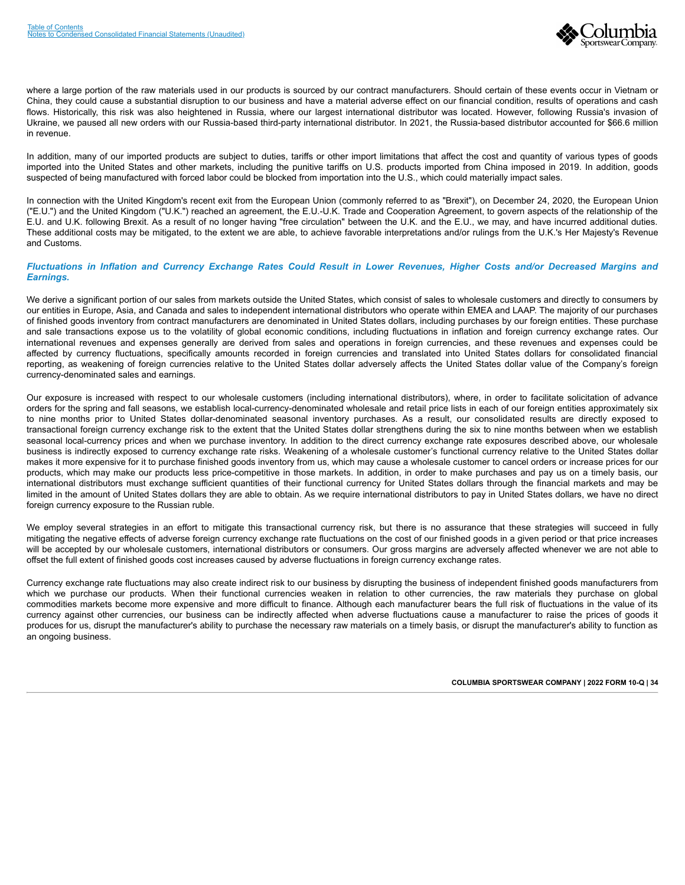

where a large portion of the raw materials used in our products is sourced by our contract manufacturers. Should certain of these events occur in Vietnam or China, they could cause a substantial disruption to our business and have a material adverse effect on our financial condition, results of operations and cash flows. Historically, this risk was also heightened in Russia, where our largest international distributor was located. However, following Russia's invasion of Ukraine, we paused all new orders with our Russia-based third-party international distributor. In 2021, the Russia-based distributor accounted for \$66.6 million in revenue.

In addition, many of our imported products are subject to duties, tariffs or other import limitations that affect the cost and quantity of various types of goods imported into the United States and other markets, including the punitive tariffs on U.S. products imported from China imposed in 2019. In addition, goods suspected of being manufactured with forced labor could be blocked from importation into the U.S., which could materially impact sales.

In connection with the United Kingdom's recent exit from the European Union (commonly referred to as "Brexit"), on December 24, 2020, the European Union ("E.U.") and the United Kingdom ("U.K.") reached an agreement, the E.U.-U.K. Trade and Cooperation Agreement, to govern aspects of the relationship of the E.U. and U.K. following Brexit. As a result of no longer having "free circulation" between the U.K. and the E.U., we may, and have incurred additional duties. These additional costs may be mitigated, to the extent we are able, to achieve favorable interpretations and/or rulings from the U.K.'s Her Majesty's Revenue and Customs.

#### *Fluctuations in Inflation and Currency Exchange Rates Could Result in Lower Revenues, Higher Costs and/or Decreased Margins and Earnings.*

We derive a significant portion of our sales from markets outside the United States, which consist of sales to wholesale customers and directly to consumers by our entities in Europe, Asia, and Canada and sales to independent international distributors who operate within EMEA and LAAP. The majority of our purchases of finished goods inventory from contract manufacturers are denominated in United States dollars, including purchases by our foreign entities. These purchase and sale transactions expose us to the volatility of global economic conditions, including fluctuations in inflation and foreign currency exchange rates. Our international revenues and expenses generally are derived from sales and operations in foreign currencies, and these revenues and expenses could be affected by currency fluctuations, specifically amounts recorded in foreign currencies and translated into United States dollars for consolidated financial reporting, as weakening of foreign currencies relative to the United States dollar adversely affects the United States dollar value of the Company's foreign currency-denominated sales and earnings.

Our exposure is increased with respect to our wholesale customers (including international distributors), where, in order to facilitate solicitation of advance orders for the spring and fall seasons, we establish local-currency-denominated wholesale and retail price lists in each of our foreign entities approximately six to nine months prior to United States dollar-denominated seasonal inventory purchases. As a result, our consolidated results are directly exposed to transactional foreign currency exchange risk to the extent that the United States dollar strengthens during the six to nine months between when we establish seasonal local-currency prices and when we purchase inventory. In addition to the direct currency exchange rate exposures described above, our wholesale business is indirectly exposed to currency exchange rate risks. Weakening of a wholesale customer's functional currency relative to the United States dollar makes it more expensive for it to purchase finished goods inventory from us, which may cause a wholesale customer to cancel orders or increase prices for our products, which may make our products less price-competitive in those markets. In addition, in order to make purchases and pay us on a timely basis, our international distributors must exchange sufficient quantities of their functional currency for United States dollars through the financial markets and may be limited in the amount of United States dollars they are able to obtain. As we require international distributors to pay in United States dollars, we have no direct foreign currency exposure to the Russian ruble.

We employ several strategies in an effort to mitigate this transactional currency risk, but there is no assurance that these strategies will succeed in fully mitigating the negative effects of adverse foreign currency exchange rate fluctuations on the cost of our finished goods in a given period or that price increases will be accepted by our wholesale customers, international distributors or consumers. Our gross margins are adversely affected whenever we are not able to offset the full extent of finished goods cost increases caused by adverse fluctuations in foreign currency exchange rates.

Currency exchange rate fluctuations may also create indirect risk to our business by disrupting the business of independent finished goods manufacturers from which we purchase our products. When their functional currencies weaken in relation to other currencies, the raw materials they purchase on global commodities markets become more expensive and more difficult to finance. Although each manufacturer bears the full risk of fluctuations in the value of its currency against other currencies, our business can be indirectly affected when adverse fluctuations cause a manufacturer to raise the prices of goods it produces for us, disrupt the manufacturer's ability to purchase the necessary raw materials on a timely basis, or disrupt the manufacturer's ability to function as an ongoing business.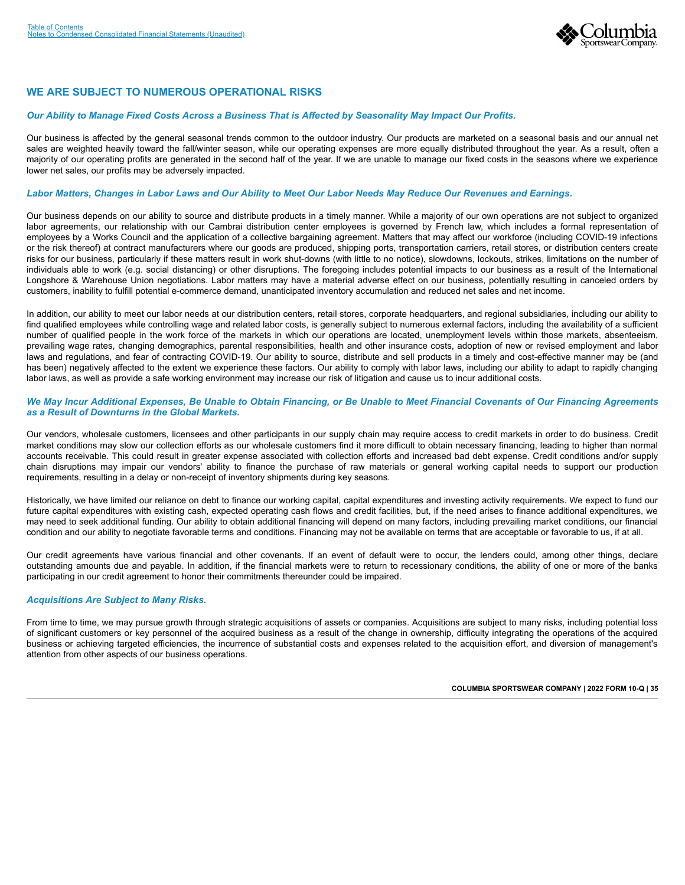

## **WE ARE SUBJECT TO NUMEROUS OPERATIONAL RISKS**

#### *Our Ability to Manage Fixed Costs Across a Business That is Affected by Seasonality May Impact Our Profits.*

Our business is affected by the general seasonal trends common to the outdoor industry. Our products are marketed on a seasonal basis and our annual net sales are weighted heavily toward the fall/winter season, while our operating expenses are more equally distributed throughout the year. As a result, often a majority of our operating profits are generated in the second half of the year. If we are unable to manage our fixed costs in the seasons where we experience lower net sales, our profits may be adversely impacted.

#### *Labor Matters, Changes in Labor Laws and Our Ability to Meet Our Labor Needs May Reduce Our Revenues and Earnings.*

Our business depends on our ability to source and distribute products in a timely manner. While a majority of our own operations are not subject to organized labor agreements, our relationship with our Cambrai distribution center employees is governed by French law, which includes a formal representation of employees by a Works Council and the application of a collective bargaining agreement. Matters that may affect our workforce (including COVID-19 infections or the risk thereof) at contract manufacturers where our goods are produced, shipping ports, transportation carriers, retail stores, or distribution centers create risks for our business, particularly if these matters result in work shut-downs (with little to no notice), slowdowns, lockouts, strikes, limitations on the number of individuals able to work (e.g. social distancing) or other disruptions. The foregoing includes potential impacts to our business as a result of the International Longshore & Warehouse Union negotiations. Labor matters may have a material adverse effect on our business, potentially resulting in canceled orders by customers, inability to fulfill potential e-commerce demand, unanticipated inventory accumulation and reduced net sales and net income.

In addition, our ability to meet our labor needs at our distribution centers, retail stores, corporate headquarters, and regional subsidiaries, including our ability to find qualified employees while controlling wage and related labor costs, is generally subject to numerous external factors, including the availability of a sufficient number of qualified people in the work force of the markets in which our operations are located, unemployment levels within those markets, absenteeism, prevailing wage rates, changing demographics, parental responsibilities, health and other insurance costs, adoption of new or revised employment and labor laws and regulations, and fear of contracting COVID-19. Our ability to source, distribute and sell products in a timely and cost-effective manner may be (and has been) negatively affected to the extent we experience these factors. Our ability to comply with labor laws, including our ability to adapt to rapidly changing labor laws, as well as provide a safe working environment may increase our risk of litigation and cause us to incur additional costs.

#### *We May Incur Additional Expenses, Be Unable to Obtain Financing, or Be Unable to Meet Financial Covenants of Our Financing Agreements as a Result of Downturns in the Global Markets.*

Our vendors, wholesale customers, licensees and other participants in our supply chain may require access to credit markets in order to do business. Credit market conditions may slow our collection efforts as our wholesale customers find it more difficult to obtain necessary financing, leading to higher than normal accounts receivable. This could result in greater expense associated with collection efforts and increased bad debt expense. Credit conditions and/or supply chain disruptions may impair our vendors' ability to finance the purchase of raw materials or general working capital needs to support our production requirements, resulting in a delay or non-receipt of inventory shipments during key seasons.

Historically, we have limited our reliance on debt to finance our working capital, capital expenditures and investing activity requirements. We expect to fund our future capital expenditures with existing cash, expected operating cash flows and credit facilities, but, if the need arises to finance additional expenditures, we may need to seek additional funding. Our ability to obtain additional financing will depend on many factors, including prevailing market conditions, our financial condition and our ability to negotiate favorable terms and conditions. Financing may not be available on terms that are acceptable or favorable to us, if at all.

Our credit agreements have various financial and other covenants. If an event of default were to occur, the lenders could, among other things, declare outstanding amounts due and payable. In addition, if the financial markets were to return to recessionary conditions, the ability of one or more of the banks participating in our credit agreement to honor their commitments thereunder could be impaired.

#### *Acquisitions Are Subject to Many Risks.*

From time to time, we may pursue growth through strategic acquisitions of assets or companies. Acquisitions are subject to many risks, including potential loss of significant customers or key personnel of the acquired business as a result of the change in ownership, difficulty integrating the operations of the acquired business or achieving targeted efficiencies, the incurrence of substantial costs and expenses related to the acquisition effort, and diversion of management's attention from other aspects of our business operations.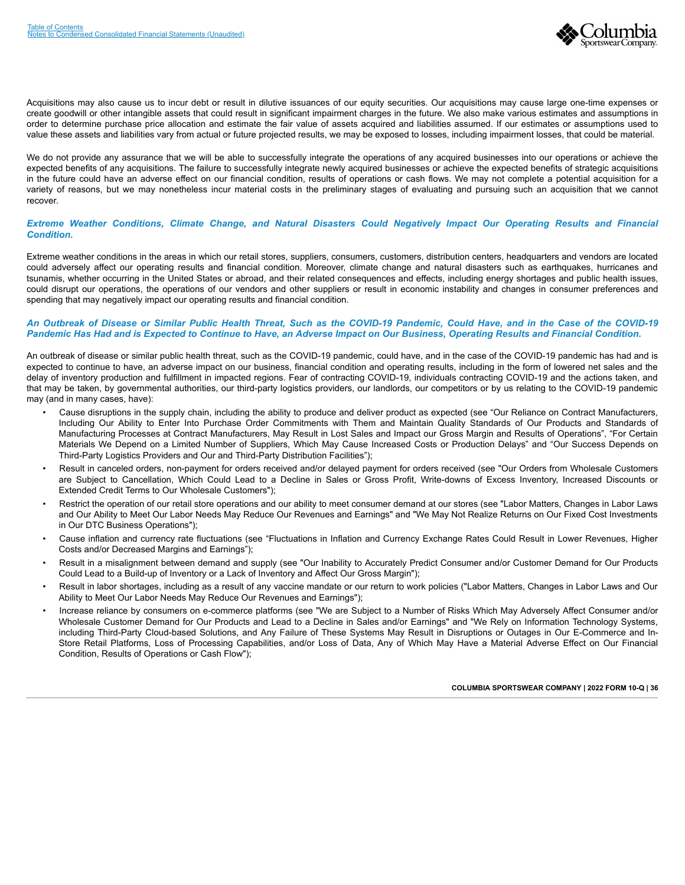

Acquisitions may also cause us to incur debt or result in dilutive issuances of our equity securities. Our acquisitions may cause large one-time expenses or create goodwill or other intangible assets that could result in significant impairment charges in the future. We also make various estimates and assumptions in order to determine purchase price allocation and estimate the fair value of assets acquired and liabilities assumed. If our estimates or assumptions used to value these assets and liabilities vary from actual or future projected results, we may be exposed to losses, including impairment losses, that could be material.

We do not provide any assurance that we will be able to successfully integrate the operations of any acquired businesses into our operations or achieve the expected benefits of any acquisitions. The failure to successfully integrate newly acquired businesses or achieve the expected benefits of strategic acquisitions in the future could have an adverse effect on our financial condition, results of operations or cash flows. We may not complete a potential acquisition for a variety of reasons, but we may nonetheless incur material costs in the preliminary stages of evaluating and pursuing such an acquisition that we cannot recover.

#### *Extreme Weather Conditions, Climate Change, and Natural Disasters Could Negatively Impact Our Operating Results and Financial Condition.*

Extreme weather conditions in the areas in which our retail stores, suppliers, consumers, customers, distribution centers, headquarters and vendors are located could adversely affect our operating results and financial condition. Moreover, climate change and natural disasters such as earthquakes, hurricanes and tsunamis, whether occurring in the United States or abroad, and their related consequences and effects, including energy shortages and public health issues, could disrupt our operations, the operations of our vendors and other suppliers or result in economic instability and changes in consumer preferences and spending that may negatively impact our operating results and financial condition.

#### *An Outbreak of Disease or Similar Public Health Threat, Such as the COVID-19 Pandemic, Could Have, and in the Case of the COVID-19 Pandemic Has Had and is Expected to Continue to Have, an Adverse Impact on Our Business, Operating Results and Financial Condition.*

An outbreak of disease or similar public health threat, such as the COVID-19 pandemic, could have, and in the case of the COVID-19 pandemic has had and is expected to continue to have, an adverse impact on our business, financial condition and operating results, including in the form of lowered net sales and the delay of inventory production and fulfillment in impacted regions. Fear of contracting COVID-19, individuals contracting COVID-19 and the actions taken, and that may be taken, by governmental authorities, our third-party logistics providers, our landlords, our competitors or by us relating to the COVID-19 pandemic may (and in many cases, have):

- Cause disruptions in the supply chain, including the ability to produce and deliver product as expected (see "Our Reliance on Contract Manufacturers, Including Our Ability to Enter Into Purchase Order Commitments with Them and Maintain Quality Standards of Our Products and Standards of Manufacturing Processes at Contract Manufacturers, May Result in Lost Sales and Impact our Gross Margin and Results of Operations", "For Certain Materials We Depend on a Limited Number of Suppliers, Which May Cause Increased Costs or Production Delays" and "Our Success Depends on Third-Party Logistics Providers and Our and Third-Party Distribution Facilities");
- Result in canceled orders, non-payment for orders received and/or delayed payment for orders received (see "Our Orders from Wholesale Customers are Subject to Cancellation, Which Could Lead to a Decline in Sales or Gross Profit, Write-downs of Excess Inventory, Increased Discounts or Extended Credit Terms to Our Wholesale Customers");
- Restrict the operation of our retail store operations and our ability to meet consumer demand at our stores (see "Labor Matters, Changes in Labor Laws and Our Ability to Meet Our Labor Needs May Reduce Our Revenues and Earnings" and "We May Not Realize Returns on Our Fixed Cost Investments in Our DTC Business Operations");
- Cause inflation and currency rate fluctuations (see "Fluctuations in Inflation and Currency Exchange Rates Could Result in Lower Revenues, Higher Costs and/or Decreased Margins and Earnings");
- Result in a misalignment between demand and supply (see "Our Inability to Accurately Predict Consumer and/or Customer Demand for Our Products Could Lead to a Build-up of Inventory or a Lack of Inventory and Affect Our Gross Margin");
- Result in labor shortages, including as a result of any vaccine mandate or our return to work policies ("Labor Matters, Changes in Labor Laws and Our Ability to Meet Our Labor Needs May Reduce Our Revenues and Earnings");
- Increase reliance by consumers on e-commerce platforms (see "We are Subject to a Number of Risks Which May Adversely Affect Consumer and/or Wholesale Customer Demand for Our Products and Lead to a Decline in Sales and/or Earnings" and "We Rely on Information Technology Systems, including Third-Party Cloud-based Solutions, and Any Failure of These Systems May Result in Disruptions or Outages in Our E-Commerce and In-Store Retail Platforms, Loss of Processing Capabilities, and/or Loss of Data, Any of Which May Have a Material Adverse Effect on Our Financial Condition, Results of Operations or Cash Flow");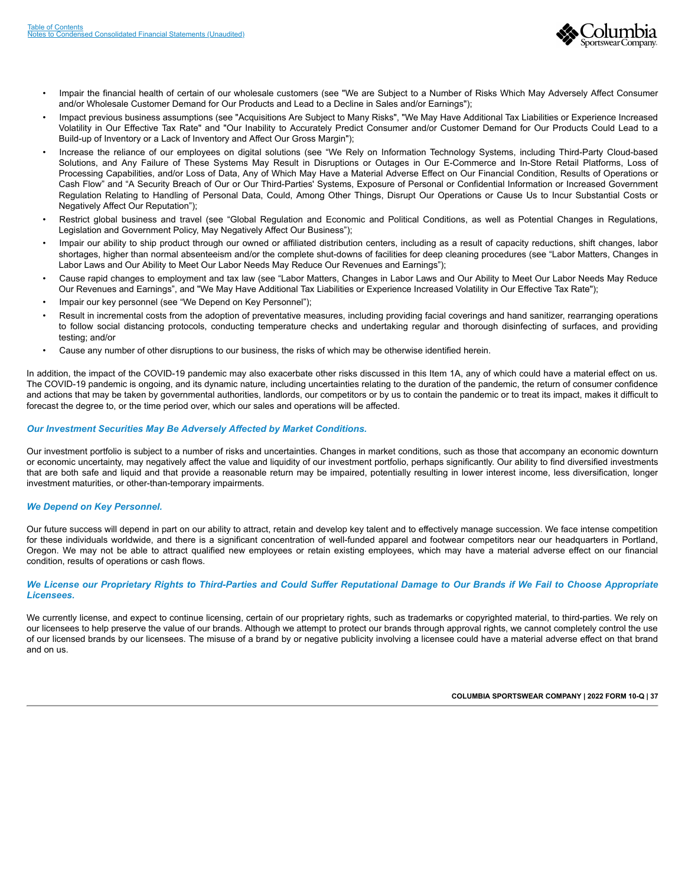

- Impair the financial health of certain of our wholesale customers (see "We are Subject to a Number of Risks Which May Adversely Affect Consumer and/or Wholesale Customer Demand for Our Products and Lead to a Decline in Sales and/or Earnings");
- Impact previous business assumptions (see "Acquisitions Are Subject to Many Risks", "We May Have Additional Tax Liabilities or Experience Increased Volatility in Our Effective Tax Rate" and "Our Inability to Accurately Predict Consumer and/or Customer Demand for Our Products Could Lead to a Build-up of Inventory or a Lack of Inventory and Affect Our Gross Margin");
- Increase the reliance of our employees on digital solutions (see "We Rely on Information Technology Systems, including Third-Party Cloud-based Solutions, and Any Failure of These Systems May Result in Disruptions or Outages in Our E-Commerce and In-Store Retail Platforms, Loss of Processing Capabilities, and/or Loss of Data, Any of Which May Have a Material Adverse Effect on Our Financial Condition, Results of Operations or Cash Flow" and "A Security Breach of Our or Our Third-Parties' Systems, Exposure of Personal or Confidential Information or Increased Government Regulation Relating to Handling of Personal Data, Could, Among Other Things, Disrupt Our Operations or Cause Us to Incur Substantial Costs or Negatively Affect Our Reputation");
- Restrict global business and travel (see "Global Regulation and Economic and Political Conditions, as well as Potential Changes in Regulations, Legislation and Government Policy, May Negatively Affect Our Business");
- Impair our ability to ship product through our owned or affiliated distribution centers, including as a result of capacity reductions, shift changes, labor shortages, higher than normal absenteeism and/or the complete shut-downs of facilities for deep cleaning procedures (see "Labor Matters, Changes in Labor Laws and Our Ability to Meet Our Labor Needs May Reduce Our Revenues and Earnings");
- Cause rapid changes to employment and tax law (see "Labor Matters, Changes in Labor Laws and Our Ability to Meet Our Labor Needs May Reduce Our Revenues and Earnings", and "We May Have Additional Tax Liabilities or Experience Increased Volatility in Our Effective Tax Rate");
- Impair our key personnel (see "We Depend on Key Personnel");
- Result in incremental costs from the adoption of preventative measures, including providing facial coverings and hand sanitizer, rearranging operations to follow social distancing protocols, conducting temperature checks and undertaking regular and thorough disinfecting of surfaces, and providing testing; and/or
- Cause any number of other disruptions to our business, the risks of which may be otherwise identified herein.

In addition, the impact of the COVID-19 pandemic may also exacerbate other risks discussed in this Item 1A, any of which could have a material effect on us. The COVID-19 pandemic is ongoing, and its dynamic nature, including uncertainties relating to the duration of the pandemic, the return of consumer confidence and actions that may be taken by governmental authorities, landlords, our competitors or by us to contain the pandemic or to treat its impact, makes it difficult to forecast the degree to, or the time period over, which our sales and operations will be affected.

#### *Our Investment Securities May Be Adversely Affected by Market Conditions.*

Our investment portfolio is subject to a number of risks and uncertainties. Changes in market conditions, such as those that accompany an economic downturn or economic uncertainty, may negatively affect the value and liquidity of our investment portfolio, perhaps significantly. Our ability to find diversified investments that are both safe and liquid and that provide a reasonable return may be impaired, potentially resulting in lower interest income, less diversification, longer investment maturities, or other-than-temporary impairments.

#### *We Depend on Key Personnel.*

Our future success will depend in part on our ability to attract, retain and develop key talent and to effectively manage succession. We face intense competition for these individuals worldwide, and there is a significant concentration of well-funded apparel and footwear competitors near our headquarters in Portland, Oregon. We may not be able to attract qualified new employees or retain existing employees, which may have a material adverse effect on our financial condition, results of operations or cash flows.

#### *We License our Proprietary Rights to Third-Parties and Could Suffer Reputational Damage to Our Brands if We Fail to Choose Appropriate Licensees.*

We currently license, and expect to continue licensing, certain of our proprietary rights, such as trademarks or copyrighted material, to third-parties. We rely on our licensees to help preserve the value of our brands. Although we attempt to protect our brands through approval rights, we cannot completely control the use of our licensed brands by our licensees. The misuse of a brand by or negative publicity involving a licensee could have a material adverse effect on that brand and on us.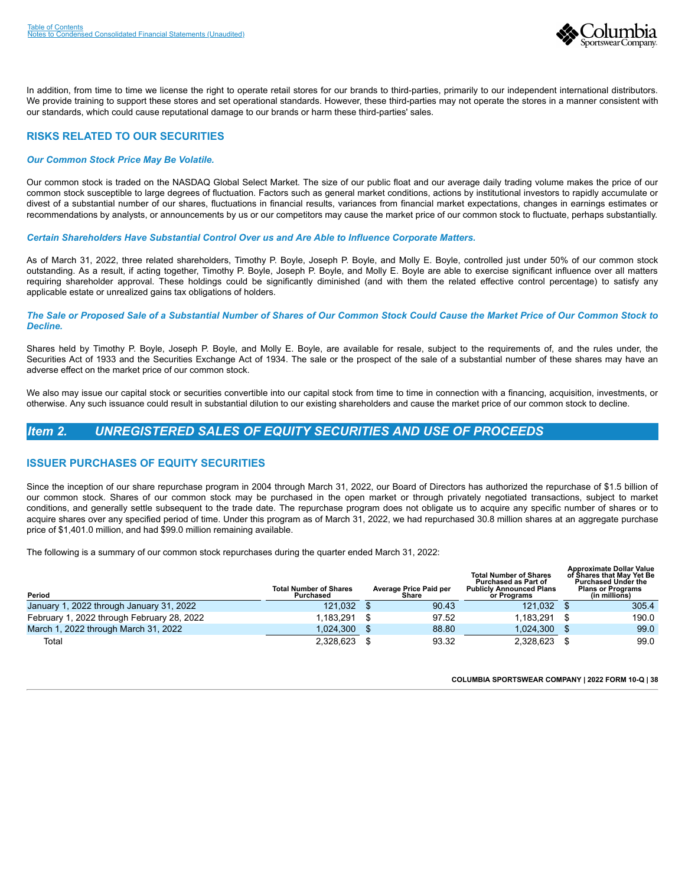

In addition, from time to time we license the right to operate retail stores for our brands to third-parties, primarily to our independent international distributors. We provide training to support these stores and set operational standards. However, these third-parties may not operate the stores in a manner consistent with our standards, which could cause reputational damage to our brands or harm these third-parties' sales.

## **RISKS RELATED TO OUR SECURITIES**

#### *Our Common Stock Price May Be Volatile.*

Our common stock is traded on the NASDAQ Global Select Market. The size of our public float and our average daily trading volume makes the price of our common stock susceptible to large degrees of fluctuation. Factors such as general market conditions, actions by institutional investors to rapidly accumulate or divest of a substantial number of our shares, fluctuations in financial results, variances from financial market expectations, changes in earnings estimates or recommendations by analysts, or announcements by us or our competitors may cause the market price of our common stock to fluctuate, perhaps substantially.

*Certain Shareholders Have Substantial Control Over us and Are Able to Influence Corporate Matters.*

As of March 31, 2022, three related shareholders, Timothy P. Boyle, Joseph P. Boyle, and Molly E. Boyle, controlled just under 50% of our common stock outstanding. As a result, if acting together, Timothy P. Boyle, Joseph P. Boyle, and Molly E. Boyle are able to exercise significant influence over all matters requiring shareholder approval. These holdings could be significantly diminished (and with them the related effective control percentage) to satisfy any applicable estate or unrealized gains tax obligations of holders.

#### *The Sale or Proposed Sale of a Substantial Number of Shares of Our Common Stock Could Cause the Market Price of Our Common Stock to Decline.*

Shares held by Timothy P. Boyle, Joseph P. Boyle, and Molly E. Boyle, are available for resale, subject to the requirements of, and the rules under, the Securities Act of 1933 and the Securities Exchange Act of 1934. The sale or the prospect of the sale of a substantial number of these shares may have an adverse effect on the market price of our common stock.

We also may issue our capital stock or securities convertible into our capital stock from time to time in connection with a financing, acquisition, investments, or otherwise. Any such issuance could result in substantial dilution to our existing shareholders and cause the market price of our common stock to decline.

## <span id="page-40-0"></span>*Item 2. UNREGISTERED SALES OF EQUITY SECURITIES AND USE OF PROCEEDS*

## **ISSUER PURCHASES OF EQUITY SECURITIES**

Since the inception of our share repurchase program in 2004 through March 31, 2022, our Board of Directors has authorized the repurchase of \$1.5 billion of our common stock. Shares of our common stock may be purchased in the open market or through privately negotiated transactions, subject to market conditions, and generally settle subsequent to the trade date. The repurchase program does not obligate us to acquire any specific number of shares or to acquire shares over any specified period of time. Under this program as of March 31, 2022, we had repurchased 30.8 million shares at an aggregate purchase price of \$1,401.0 million, and had \$99.0 million remaining available.

The following is a summary of our common stock repurchases during the quarter ended March 31, 2022:

<span id="page-40-1"></span>

| Period                                     | <b>Total Number of Shares</b><br>Purchased | Average Price Paid per<br>Share | <b>Total Number of Shares</b><br><b>Purchased as Part of</b><br><b>Publicly Announced Plans</b><br>or Programs | <b>Approximate Dollar Value</b><br>of Shares that May Yet Be<br><b>Purchased Under the</b><br><b>Plans or Programs</b><br>(in millions) |
|--------------------------------------------|--------------------------------------------|---------------------------------|----------------------------------------------------------------------------------------------------------------|-----------------------------------------------------------------------------------------------------------------------------------------|
| January 1, 2022 through January 31, 2022   | 121,032                                    | 90.43                           | 121.032                                                                                                        | 305.4                                                                                                                                   |
| February 1, 2022 through February 28, 2022 | 1.183.291                                  | 97.52                           | 1.183.291                                                                                                      | 190.0                                                                                                                                   |
| March 1, 2022 through March 31, 2022       | 1,024,300                                  | 88.80                           | 1.024.300                                                                                                      | 99.0                                                                                                                                    |
| Total                                      | 2,328,623                                  | 93.32                           | 2.328.623                                                                                                      | 99.0                                                                                                                                    |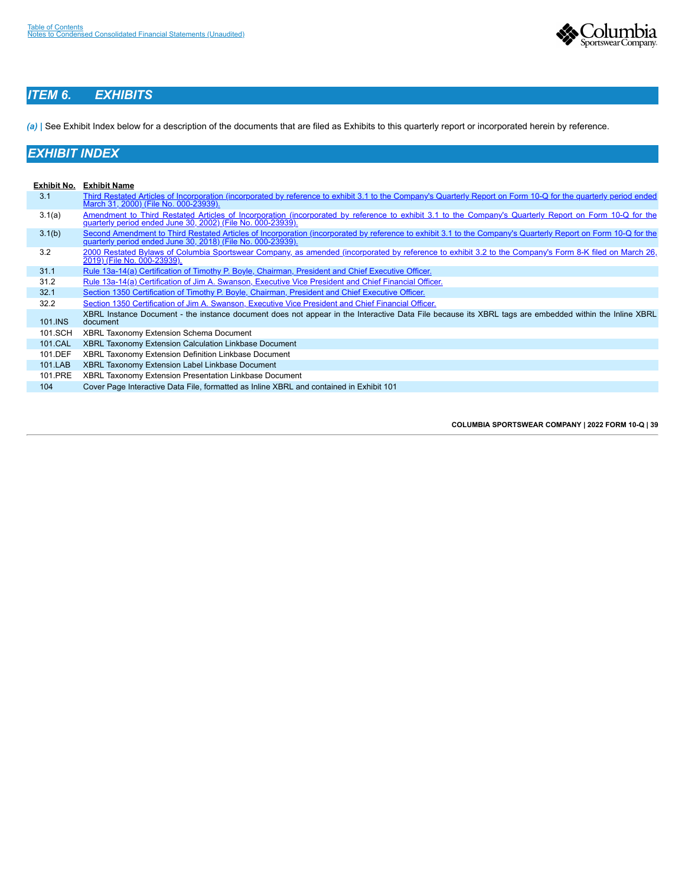

## *ITEM 6. EXHIBITS*

*(a)* | See Exhibit Index below for a description of the documents that are filed as Exhibits to this quarterly report or incorporated herein by reference.

## *EXHIBIT INDEX*

<span id="page-41-0"></span>

| Exhibit No. | <b>Exhibit Name</b>                                                                                                                                                                                                          |
|-------------|------------------------------------------------------------------------------------------------------------------------------------------------------------------------------------------------------------------------------|
| 3.1         | Third Restated Articles of Incorporation (incorporated by reference to exhibit 3.1 to the Company's Quarterly Report on Form 10-Q for the quarterly period ended<br>March 31, 2000) (File No. 000-23939).                    |
| 3.1(a)      | Amendment to Third Restated Articles of Incorporation (incorporated by reference to exhibit 3.1 to the Company's Quarterly Report on Form 10-Q for the<br>guarterly period ended June 30, 2002) (File No. 000-23939).        |
| 3.1(b)      | Second Amendment to Third Restated Articles of Incorporation (incorporated by reference to exhibit 3.1 to the Company's Quarterly Report on Form 10-Q for the<br>quarterly period ended June 30, 2018) (File No. 000-23939). |
| 3.2         | 2000 Restated Bylaws of Columbia Sportswear Company, as amended (incorporated by reference to exhibit 3.2 to the Company's Form 8-K filed on March 26,<br>2019) (File No. 000-23939).                                        |
| 31.1        | Rule 13a-14(a) Certification of Timothy P. Boyle, Chairman, President and Chief Executive Officer.                                                                                                                           |
| 31.2        | Rule 13a-14(a) Certification of Jim A. Swanson, Executive Vice President and Chief Financial Officer.                                                                                                                        |
| 32.1        | Section 1350 Certification of Timothy P. Boyle, Chairman, President and Chief Executive Officer.                                                                                                                             |
| 32.2        | Section 1350 Certification of Jim A. Swanson, Executive Vice President and Chief Financial Officer.                                                                                                                          |
| 101.INS     | XBRL Instance Document - the instance document does not appear in the Interactive Data File because its XBRL tags are embedded within the Inline XBRL<br>document                                                            |
| 101.SCH     | XBRL Taxonomy Extension Schema Document                                                                                                                                                                                      |
| 101.CAL     | XBRL Taxonomy Extension Calculation Linkbase Document                                                                                                                                                                        |
| 101.DEF     | XBRL Taxonomy Extension Definition Linkbase Document                                                                                                                                                                         |
| 101.LAB     | XBRL Taxonomy Extension Label Linkbase Document                                                                                                                                                                              |
| 101.PRE     | XBRL Taxonomy Extension Presentation Linkbase Document                                                                                                                                                                       |
| 104         | Cover Page Interactive Data File, formatted as Inline XBRL and contained in Exhibit 101                                                                                                                                      |
|             |                                                                                                                                                                                                                              |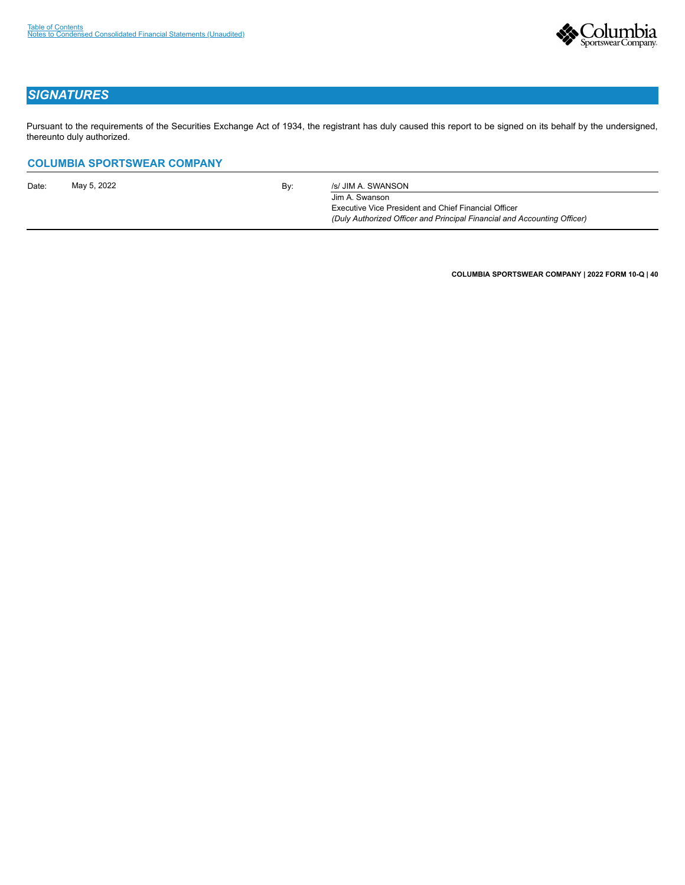

## *SIGNATURES*

Pursuant to the requirements of the Securities Exchange Act of 1934, the registrant has duly caused this report to be signed on its behalf by the undersigned, thereunto duly authorized.

## **COLUMBIA SPORTSWEAR COMPANY**

| Date: | May 5, 2022 | Bv: | /s/ JIM A. SWANSON                                                                                                                                        |
|-------|-------------|-----|-----------------------------------------------------------------------------------------------------------------------------------------------------------|
|       |             |     | Jim A. Swanson<br><b>Executive Vice President and Chief Financial Officer</b><br>(Duly Authorized Officer and Principal Financial and Accounting Officer) |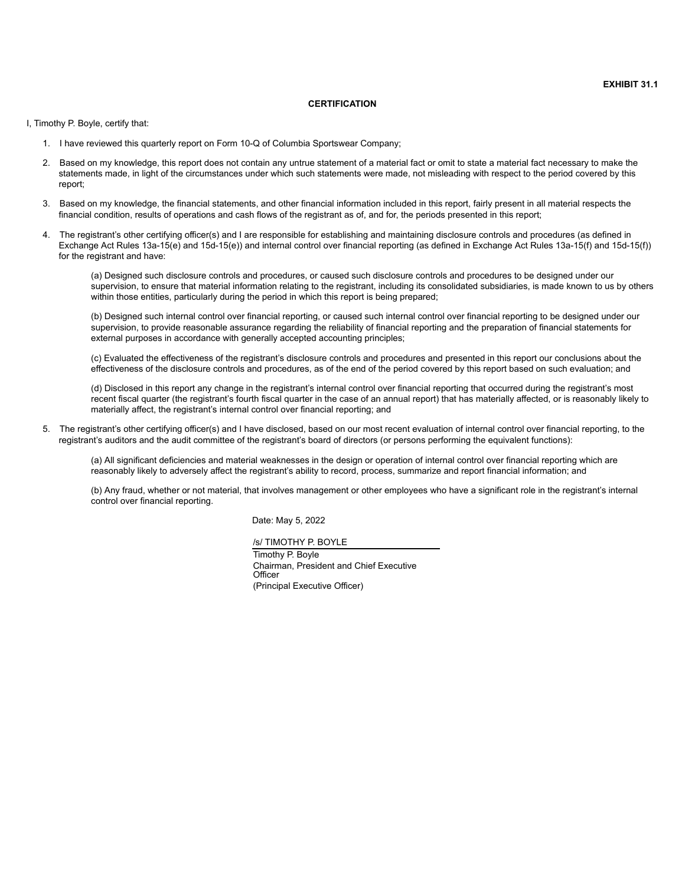#### **CERTIFICATION**

I, Timothy P. Boyle, certify that:

- 1. I have reviewed this quarterly report on Form 10-Q of Columbia Sportswear Company;
- 2. Based on my knowledge, this report does not contain any untrue statement of a material fact or omit to state a material fact necessary to make the statements made, in light of the circumstances under which such statements were made, not misleading with respect to the period covered by this report;
- 3. Based on my knowledge, the financial statements, and other financial information included in this report, fairly present in all material respects the financial condition, results of operations and cash flows of the registrant as of, and for, the periods presented in this report;
- 4. The registrant's other certifying officer(s) and I are responsible for establishing and maintaining disclosure controls and procedures (as defined in Exchange Act Rules 13a-15(e) and 15d-15(e)) and internal control over financial reporting (as defined in Exchange Act Rules 13a-15(f) and 15d-15(f)) for the registrant and have:

(a) Designed such disclosure controls and procedures, or caused such disclosure controls and procedures to be designed under our supervision, to ensure that material information relating to the registrant, including its consolidated subsidiaries, is made known to us by others within those entities, particularly during the period in which this report is being prepared;

(b) Designed such internal control over financial reporting, or caused such internal control over financial reporting to be designed under our supervision, to provide reasonable assurance regarding the reliability of financial reporting and the preparation of financial statements for external purposes in accordance with generally accepted accounting principles;

(c) Evaluated the effectiveness of the registrant's disclosure controls and procedures and presented in this report our conclusions about the effectiveness of the disclosure controls and procedures, as of the end of the period covered by this report based on such evaluation; and

(d) Disclosed in this report any change in the registrant's internal control over financial reporting that occurred during the registrant's most recent fiscal quarter (the registrant's fourth fiscal quarter in the case of an annual report) that has materially affected, or is reasonably likely to materially affect, the registrant's internal control over financial reporting; and

5. The registrant's other certifying officer(s) and I have disclosed, based on our most recent evaluation of internal control over financial reporting, to the registrant's auditors and the audit committee of the registrant's board of directors (or persons performing the equivalent functions):

(a) All significant deficiencies and material weaknesses in the design or operation of internal control over financial reporting which are reasonably likely to adversely affect the registrant's ability to record, process, summarize and report financial information; and

(b) Any fraud, whether or not material, that involves management or other employees who have a significant role in the registrant's internal control over financial reporting.

Date: May 5, 2022

/s/ TIMOTHY P. BOYLE

Timothy P. Boyle Chairman, President and Chief Executive **Officer** (Principal Executive Officer)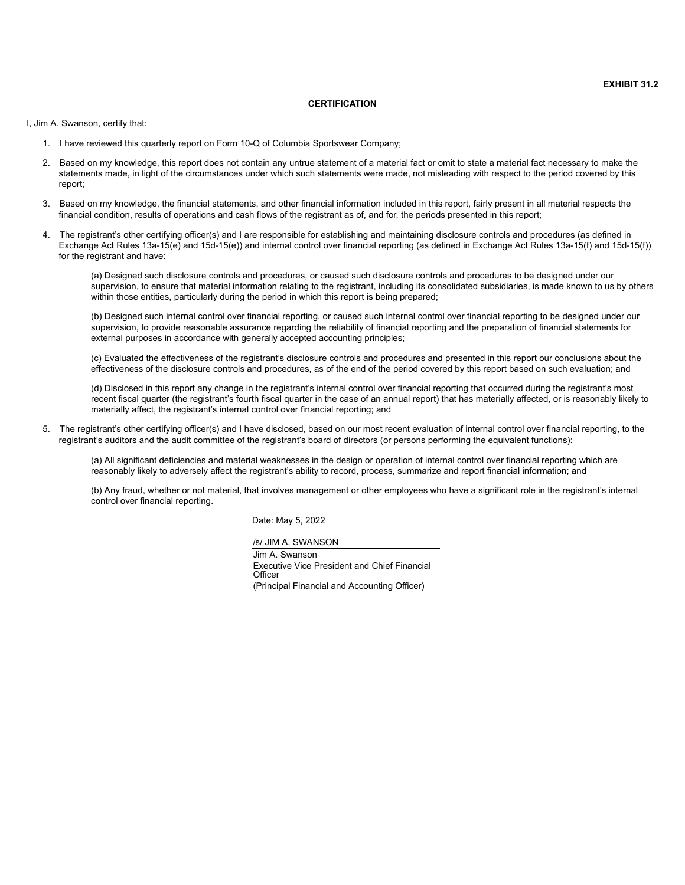#### **CERTIFICATION**

I, Jim A. Swanson, certify that:

- 1. I have reviewed this quarterly report on Form 10-Q of Columbia Sportswear Company;
- 2. Based on my knowledge, this report does not contain any untrue statement of a material fact or omit to state a material fact necessary to make the statements made, in light of the circumstances under which such statements were made, not misleading with respect to the period covered by this report;
- 3. Based on my knowledge, the financial statements, and other financial information included in this report, fairly present in all material respects the financial condition, results of operations and cash flows of the registrant as of, and for, the periods presented in this report;
- 4. The registrant's other certifying officer(s) and I are responsible for establishing and maintaining disclosure controls and procedures (as defined in Exchange Act Rules 13a-15(e) and 15d-15(e)) and internal control over financial reporting (as defined in Exchange Act Rules 13a-15(f) and 15d-15(f)) for the registrant and have:

(a) Designed such disclosure controls and procedures, or caused such disclosure controls and procedures to be designed under our supervision, to ensure that material information relating to the registrant, including its consolidated subsidiaries, is made known to us by others within those entities, particularly during the period in which this report is being prepared;

(b) Designed such internal control over financial reporting, or caused such internal control over financial reporting to be designed under our supervision, to provide reasonable assurance regarding the reliability of financial reporting and the preparation of financial statements for external purposes in accordance with generally accepted accounting principles;

(c) Evaluated the effectiveness of the registrant's disclosure controls and procedures and presented in this report our conclusions about the effectiveness of the disclosure controls and procedures, as of the end of the period covered by this report based on such evaluation; and

(d) Disclosed in this report any change in the registrant's internal control over financial reporting that occurred during the registrant's most recent fiscal quarter (the registrant's fourth fiscal quarter in the case of an annual report) that has materially affected, or is reasonably likely to materially affect, the registrant's internal control over financial reporting; and

5. The registrant's other certifying officer(s) and I have disclosed, based on our most recent evaluation of internal control over financial reporting, to the registrant's auditors and the audit committee of the registrant's board of directors (or persons performing the equivalent functions):

(a) All significant deficiencies and material weaknesses in the design or operation of internal control over financial reporting which are reasonably likely to adversely affect the registrant's ability to record, process, summarize and report financial information; and

(b) Any fraud, whether or not material, that involves management or other employees who have a significant role in the registrant's internal control over financial reporting.

Date: May 5, 2022

/s/ JIM A. SWANSON

Jim A. Swanson Executive Vice President and Chief Financial **Officer** (Principal Financial and Accounting Officer)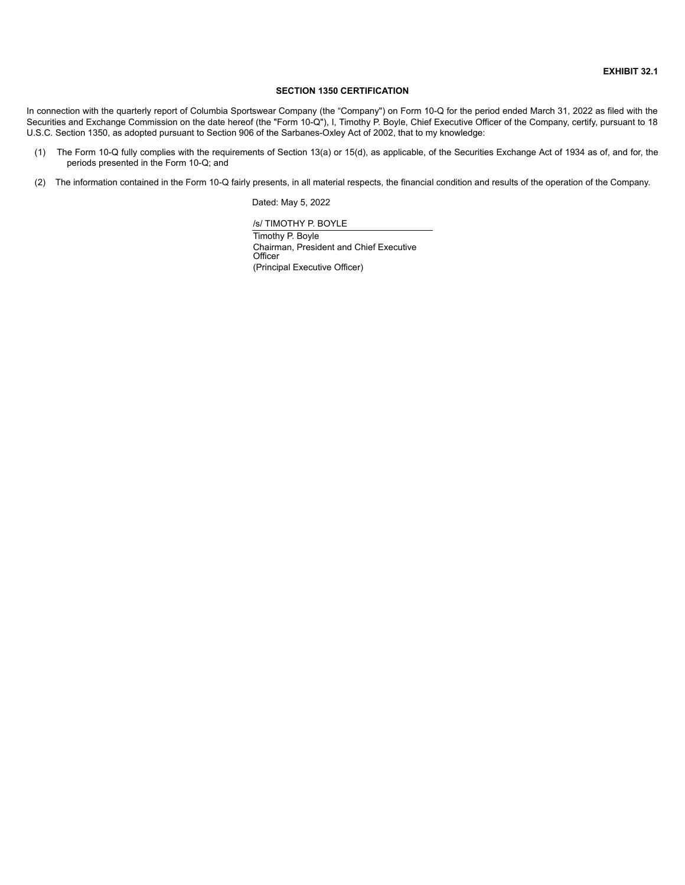#### **SECTION 1350 CERTIFICATION**

In connection with the quarterly report of Columbia Sportswear Company (the "Company") on Form 10-Q for the period ended March 31, 2022 as filed with the Securities and Exchange Commission on the date hereof (the "Form 10-Q"), I, Timothy P. Boyle, Chief Executive Officer of the Company, certify, pursuant to 18 U.S.C. Section 1350, as adopted pursuant to Section 906 of the Sarbanes-Oxley Act of 2002, that to my knowledge:

- (1) The Form 10-Q fully complies with the requirements of Section 13(a) or 15(d), as applicable, of the Securities Exchange Act of 1934 as of, and for, the periods presented in the Form 10-Q; and
- (2) The information contained in the Form 10-Q fairly presents, in all material respects, the financial condition and results of the operation of the Company.

Dated: May 5, 2022

/s/ TIMOTHY P. BOYLE

Timothy P. Boyle Chairman, President and Chief Executive **Officer** (Principal Executive Officer)